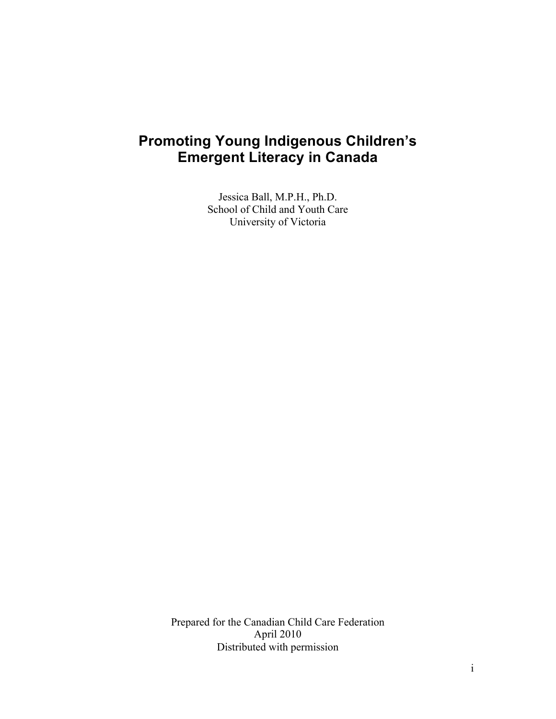# **Promoting Young Indigenous Children's Emergent Literacy in Canada**

Jessica Ball, M.P.H., Ph.D. School of Child and Youth Care University of Victoria

Prepared for the Canadian Child Care Federation April 2010 Distributed with permission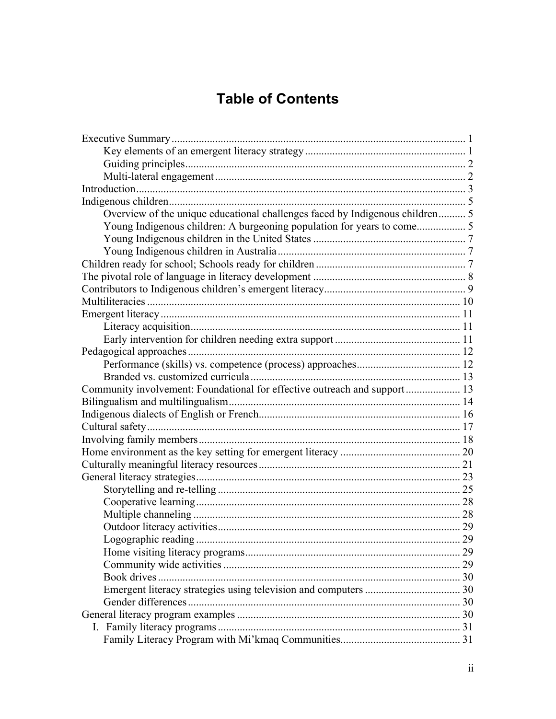# **Table of Contents**

| Overview of the unique educational challenges faced by Indigenous children 5 |  |
|------------------------------------------------------------------------------|--|
|                                                                              |  |
|                                                                              |  |
|                                                                              |  |
|                                                                              |  |
|                                                                              |  |
|                                                                              |  |
|                                                                              |  |
|                                                                              |  |
|                                                                              |  |
|                                                                              |  |
|                                                                              |  |
|                                                                              |  |
|                                                                              |  |
| Community involvement: Foundational for effective outreach and support 13    |  |
|                                                                              |  |
|                                                                              |  |
|                                                                              |  |
|                                                                              |  |
|                                                                              |  |
|                                                                              |  |
|                                                                              |  |
|                                                                              |  |
|                                                                              |  |
|                                                                              |  |
|                                                                              |  |
|                                                                              |  |
|                                                                              |  |
|                                                                              |  |
|                                                                              |  |
|                                                                              |  |
|                                                                              |  |
|                                                                              |  |
|                                                                              |  |
|                                                                              |  |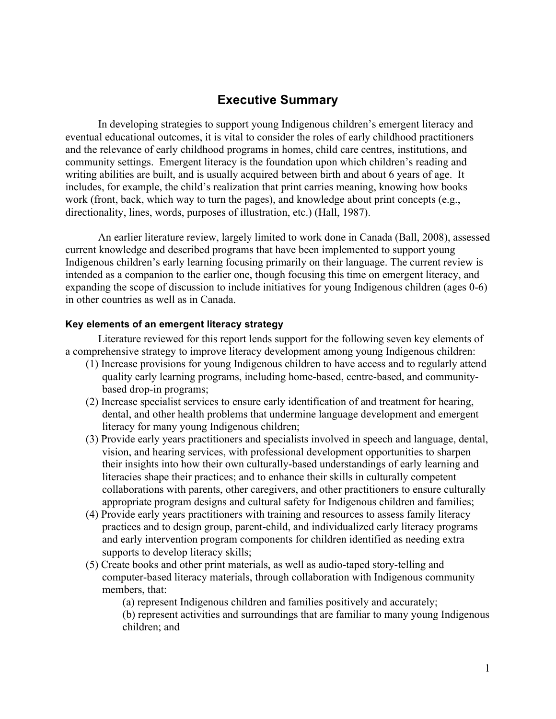## **Executive Summary**

In developing strategies to support young Indigenous children's emergent literacy and eventual educational outcomes, it is vital to consider the roles of early childhood practitioners and the relevance of early childhood programs in homes, child care centres, institutions, and community settings. Emergent literacy is the foundation upon which children's reading and writing abilities are built, and is usually acquired between birth and about 6 years of age. It includes, for example, the child's realization that print carries meaning, knowing how books work (front, back, which way to turn the pages), and knowledge about print concepts (e.g., directionality, lines, words, purposes of illustration, etc.) (Hall, 1987).

An earlier literature review, largely limited to work done in Canada (Ball, 2008), assessed current knowledge and described programs that have been implemented to support young Indigenous children's early learning focusing primarily on their language. The current review is intended as a companion to the earlier one, though focusing this time on emergent literacy, and expanding the scope of discussion to include initiatives for young Indigenous children (ages 0-6) in other countries as well as in Canada.

#### **Key elements of an emergent literacy strategy**

Literature reviewed for this report lends support for the following seven key elements of a comprehensive strategy to improve literacy development among young Indigenous children:

- (1) Increase provisions for young Indigenous children to have access and to regularly attend quality early learning programs, including home-based, centre-based, and communitybased drop-in programs;
- (2) Increase specialist services to ensure early identification of and treatment for hearing, dental, and other health problems that undermine language development and emergent literacy for many young Indigenous children;
- (3) Provide early years practitioners and specialists involved in speech and language, dental, vision, and hearing services, with professional development opportunities to sharpen their insights into how their own culturally-based understandings of early learning and literacies shape their practices; and to enhance their skills in culturally competent collaborations with parents, other caregivers, and other practitioners to ensure culturally appropriate program designs and cultural safety for Indigenous children and families;
- (4) Provide early years practitioners with training and resources to assess family literacy practices and to design group, parent-child, and individualized early literacy programs and early intervention program components for children identified as needing extra supports to develop literacy skills;
- (5) Create books and other print materials, as well as audio-taped story-telling and computer-based literacy materials, through collaboration with Indigenous community members, that:

(a) represent Indigenous children and families positively and accurately; (b) represent activities and surroundings that are familiar to many young Indigenous children; and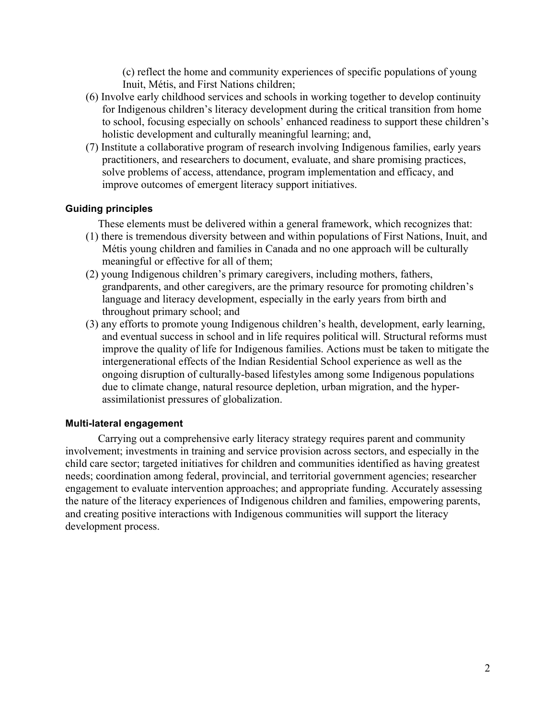(c) reflect the home and community experiences of specific populations of young Inuit, Métis, and First Nations children;

- (6) Involve early childhood services and schools in working together to develop continuity for Indigenous children's literacy development during the critical transition from home to school, focusing especially on schools' enhanced readiness to support these children's holistic development and culturally meaningful learning; and,
- (7) Institute a collaborative program of research involving Indigenous families, early years practitioners, and researchers to document, evaluate, and share promising practices, solve problems of access, attendance, program implementation and efficacy, and improve outcomes of emergent literacy support initiatives.

### **Guiding principles**

These elements must be delivered within a general framework, which recognizes that:

- (1) there is tremendous diversity between and within populations of First Nations, Inuit, and Métis young children and families in Canada and no one approach will be culturally meaningful or effective for all of them;
- (2) young Indigenous children's primary caregivers, including mothers, fathers, grandparents, and other caregivers, are the primary resource for promoting children's language and literacy development, especially in the early years from birth and throughout primary school; and
- (3) any efforts to promote young Indigenous children's health, development, early learning, and eventual success in school and in life requires political will. Structural reforms must improve the quality of life for Indigenous families. Actions must be taken to mitigate the intergenerational effects of the Indian Residential School experience as well as the ongoing disruption of culturally-based lifestyles among some Indigenous populations due to climate change, natural resource depletion, urban migration, and the hyperassimilationist pressures of globalization.

### **Multi-lateral engagement**

Carrying out a comprehensive early literacy strategy requires parent and community involvement; investments in training and service provision across sectors, and especially in the child care sector; targeted initiatives for children and communities identified as having greatest needs; coordination among federal, provincial, and territorial government agencies; researcher engagement to evaluate intervention approaches; and appropriate funding. Accurately assessing the nature of the literacy experiences of Indigenous children and families, empowering parents, and creating positive interactions with Indigenous communities will support the literacy development process.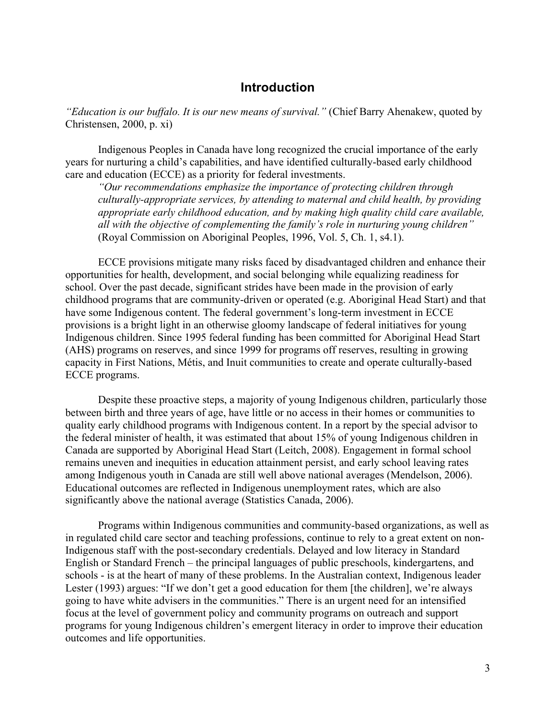### **Introduction**

*"Education is our buffalo. It is our new means of survival."* (Chief Barry Ahenakew, quoted by Christensen, 2000, p. xi)

Indigenous Peoples in Canada have long recognized the crucial importance of the early years for nurturing a child's capabilities, and have identified culturally-based early childhood care and education (ECCE) as a priority for federal investments.

*"Our recommendations emphasize the importance of protecting children through culturally-appropriate services, by attending to maternal and child health, by providing appropriate early childhood education, and by making high quality child care available, all with the objective of complementing the family's role in nurturing young children"* (Royal Commission on Aboriginal Peoples, 1996, Vol. 5, Ch. 1, s4.1).

ECCE provisions mitigate many risks faced by disadvantaged children and enhance their opportunities for health, development, and social belonging while equalizing readiness for school. Over the past decade, significant strides have been made in the provision of early childhood programs that are community-driven or operated (e.g. Aboriginal Head Start) and that have some Indigenous content. The federal government's long-term investment in ECCE provisions is a bright light in an otherwise gloomy landscape of federal initiatives for young Indigenous children. Since 1995 federal funding has been committed for Aboriginal Head Start (AHS) programs on reserves, and since 1999 for programs off reserves, resulting in growing capacity in First Nations, Métis, and Inuit communities to create and operate culturally-based ECCE programs.

Despite these proactive steps, a majority of young Indigenous children, particularly those between birth and three years of age, have little or no access in their homes or communities to quality early childhood programs with Indigenous content. In a report by the special advisor to the federal minister of health, it was estimated that about 15% of young Indigenous children in Canada are supported by Aboriginal Head Start (Leitch, 2008). Engagement in formal school remains uneven and inequities in education attainment persist, and early school leaving rates among Indigenous youth in Canada are still well above national averages (Mendelson, 2006). Educational outcomes are reflected in Indigenous unemployment rates, which are also significantly above the national average (Statistics Canada, 2006).

Programs within Indigenous communities and community-based organizations, as well as in regulated child care sector and teaching professions, continue to rely to a great extent on non-Indigenous staff with the post-secondary credentials. Delayed and low literacy in Standard English or Standard French – the principal languages of public preschools, kindergartens, and schools - is at the heart of many of these problems. In the Australian context, Indigenous leader Lester (1993) argues: "If we don't get a good education for them [the children], we're always going to have white advisers in the communities." There is an urgent need for an intensified focus at the level of government policy and community programs on outreach and support programs for young Indigenous children's emergent literacy in order to improve their education outcomes and life opportunities.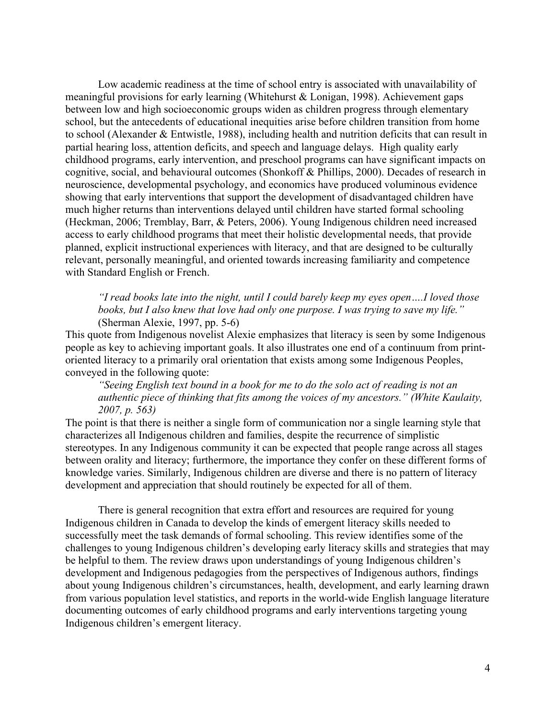Low academic readiness at the time of school entry is associated with unavailability of meaningful provisions for early learning (Whitehurst & Lonigan, 1998). Achievement gaps between low and high socioeconomic groups widen as children progress through elementary school, but the antecedents of educational inequities arise before children transition from home to school (Alexander & Entwistle, 1988), including health and nutrition deficits that can result in partial hearing loss, attention deficits, and speech and language delays. High quality early childhood programs, early intervention, and preschool programs can have significant impacts on cognitive, social, and behavioural outcomes (Shonkoff & Phillips, 2000). Decades of research in neuroscience, developmental psychology, and economics have produced voluminous evidence showing that early interventions that support the development of disadvantaged children have much higher returns than interventions delayed until children have started formal schooling (Heckman, 2006; Tremblay, Barr, & Peters, 2006). Young Indigenous children need increased access to early childhood programs that meet their holistic developmental needs, that provide planned, explicit instructional experiences with literacy, and that are designed to be culturally relevant, personally meaningful, and oriented towards increasing familiarity and competence with Standard English or French.

*"I read books late into the night, until I could barely keep my eyes open….I loved those books, but I also knew that love had only one purpose. I was trying to save my life."* (Sherman Alexie, 1997, pp. 5-6)

This quote from Indigenous novelist Alexie emphasizes that literacy is seen by some Indigenous people as key to achieving important goals. It also illustrates one end of a continuum from printoriented literacy to a primarily oral orientation that exists among some Indigenous Peoples, conveyed in the following quote:

*"Seeing English text bound in a book for me to do the solo act of reading is not an authentic piece of thinking that fits among the voices of my ancestors." (White Kaulaity, 2007, p. 563)*

The point is that there is neither a single form of communication nor a single learning style that characterizes all Indigenous children and families, despite the recurrence of simplistic stereotypes. In any Indigenous community it can be expected that people range across all stages between orality and literacy; furthermore, the importance they confer on these different forms of knowledge varies. Similarly, Indigenous children are diverse and there is no pattern of literacy development and appreciation that should routinely be expected for all of them.

There is general recognition that extra effort and resources are required for young Indigenous children in Canada to develop the kinds of emergent literacy skills needed to successfully meet the task demands of formal schooling. This review identifies some of the challenges to young Indigenous children's developing early literacy skills and strategies that may be helpful to them. The review draws upon understandings of young Indigenous children's development and Indigenous pedagogies from the perspectives of Indigenous authors, findings about young Indigenous children's circumstances, health, development, and early learning drawn from various population level statistics, and reports in the world-wide English language literature documenting outcomes of early childhood programs and early interventions targeting young Indigenous children's emergent literacy.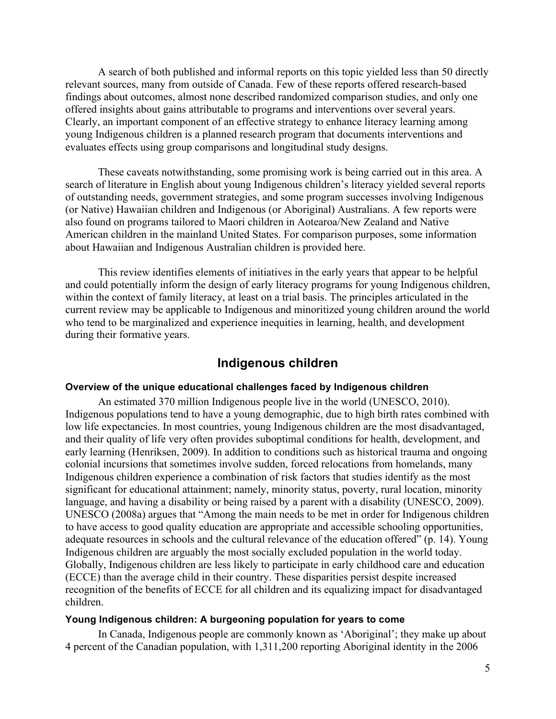A search of both published and informal reports on this topic yielded less than 50 directly relevant sources, many from outside of Canada. Few of these reports offered research-based findings about outcomes, almost none described randomized comparison studies, and only one offered insights about gains attributable to programs and interventions over several years. Clearly, an important component of an effective strategy to enhance literacy learning among young Indigenous children is a planned research program that documents interventions and evaluates effects using group comparisons and longitudinal study designs.

These caveats notwithstanding, some promising work is being carried out in this area. A search of literature in English about young Indigenous children's literacy yielded several reports of outstanding needs, government strategies, and some program successes involving Indigenous (or Native) Hawaiian children and Indigenous (or Aboriginal) Australians. A few reports were also found on programs tailored to Maori children in Aotearoa/New Zealand and Native American children in the mainland United States. For comparison purposes, some information about Hawaiian and Indigenous Australian children is provided here.

This review identifies elements of initiatives in the early years that appear to be helpful and could potentially inform the design of early literacy programs for young Indigenous children, within the context of family literacy, at least on a trial basis. The principles articulated in the current review may be applicable to Indigenous and minoritized young children around the world who tend to be marginalized and experience inequities in learning, health, and development during their formative years.

## **Indigenous children**

#### **Overview of the unique educational challenges faced by Indigenous children**

An estimated 370 million Indigenous people live in the world (UNESCO, 2010). Indigenous populations tend to have a young demographic, due to high birth rates combined with low life expectancies. In most countries, young Indigenous children are the most disadvantaged, and their quality of life very often provides suboptimal conditions for health, development, and early learning (Henriksen, 2009). In addition to conditions such as historical trauma and ongoing colonial incursions that sometimes involve sudden, forced relocations from homelands, many Indigenous children experience a combination of risk factors that studies identify as the most significant for educational attainment; namely, minority status, poverty, rural location, minority language, and having a disability or being raised by a parent with a disability (UNESCO, 2009). UNESCO (2008a) argues that "Among the main needs to be met in order for Indigenous children to have access to good quality education are appropriate and accessible schooling opportunities, adequate resources in schools and the cultural relevance of the education offered" (p. 14). Young Indigenous children are arguably the most socially excluded population in the world today. Globally, Indigenous children are less likely to participate in early childhood care and education (ECCE) than the average child in their country. These disparities persist despite increased recognition of the benefits of ECCE for all children and its equalizing impact for disadvantaged children.

#### **Young Indigenous children: A burgeoning population for years to come**

In Canada, Indigenous people are commonly known as 'Aboriginal'; they make up about 4 percent of the Canadian population, with 1,311,200 reporting Aboriginal identity in the 2006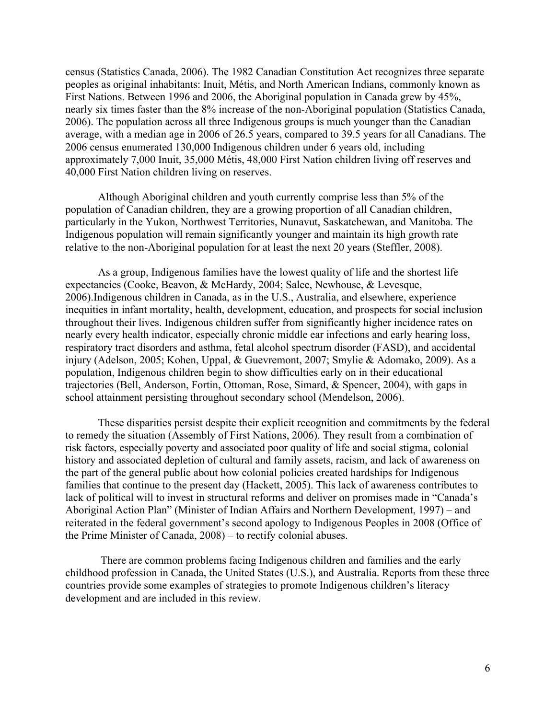census (Statistics Canada, 2006). The 1982 Canadian Constitution Act recognizes three separate peoples as original inhabitants: Inuit, Métis, and North American Indians, commonly known as First Nations. Between 1996 and 2006, the Aboriginal population in Canada grew by 45%, nearly six times faster than the 8% increase of the non-Aboriginal population (Statistics Canada, 2006). The population across all three Indigenous groups is much younger than the Canadian average, with a median age in 2006 of 26.5 years, compared to 39.5 years for all Canadians. The 2006 census enumerated 130,000 Indigenous children under 6 years old, including approximately 7,000 Inuit, 35,000 Métis, 48,000 First Nation children living off reserves and 40,000 First Nation children living on reserves.

Although Aboriginal children and youth currently comprise less than 5% of the population of Canadian children, they are a growing proportion of all Canadian children, particularly in the Yukon, Northwest Territories, Nunavut, Saskatchewan, and Manitoba. The Indigenous population will remain significantly younger and maintain its high growth rate relative to the non-Aboriginal population for at least the next 20 years (Steffler, 2008).

As a group, Indigenous families have the lowest quality of life and the shortest life expectancies (Cooke, Beavon, & McHardy, 2004; Salee, Newhouse, & Levesque, 2006).Indigenous children in Canada, as in the U.S., Australia, and elsewhere, experience inequities in infant mortality, health, development, education, and prospects for social inclusion throughout their lives. Indigenous children suffer from significantly higher incidence rates on nearly every health indicator, especially chronic middle ear infections and early hearing loss, respiratory tract disorders and asthma, fetal alcohol spectrum disorder (FASD), and accidental injury (Adelson, 2005; Kohen, Uppal, & Guevremont, 2007; Smylie & Adomako, 2009). As a population, Indigenous children begin to show difficulties early on in their educational trajectories (Bell, Anderson, Fortin, Ottoman, Rose, Simard, & Spencer, 2004), with gaps in school attainment persisting throughout secondary school (Mendelson, 2006).

These disparities persist despite their explicit recognition and commitments by the federal to remedy the situation (Assembly of First Nations, 2006). They result from a combination of risk factors, especially poverty and associated poor quality of life and social stigma, colonial history and associated depletion of cultural and family assets, racism, and lack of awareness on the part of the general public about how colonial policies created hardships for Indigenous families that continue to the present day (Hackett, 2005). This lack of awareness contributes to lack of political will to invest in structural reforms and deliver on promises made in "Canada's Aboriginal Action Plan" (Minister of Indian Affairs and Northern Development, 1997) – and reiterated in the federal government's second apology to Indigenous Peoples in 2008 (Office of the Prime Minister of Canada, 2008) – to rectify colonial abuses.

There are common problems facing Indigenous children and families and the early childhood profession in Canada, the United States (U.S.), and Australia. Reports from these three countries provide some examples of strategies to promote Indigenous children's literacy development and are included in this review.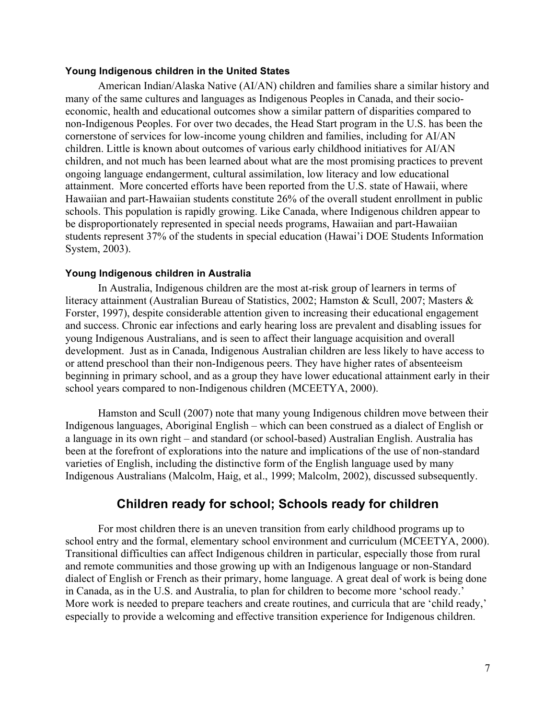#### **Young Indigenous children in the United States**

American Indian/Alaska Native (AI/AN) children and families share a similar history and many of the same cultures and languages as Indigenous Peoples in Canada, and their socioeconomic, health and educational outcomes show a similar pattern of disparities compared to non-Indigenous Peoples. For over two decades, the Head Start program in the U.S. has been the cornerstone of services for low-income young children and families, including for AI/AN children. Little is known about outcomes of various early childhood initiatives for AI/AN children, and not much has been learned about what are the most promising practices to prevent ongoing language endangerment, cultural assimilation, low literacy and low educational attainment. More concerted efforts have been reported from the U.S. state of Hawaii, where Hawaiian and part-Hawaiian students constitute 26% of the overall student enrollment in public schools. This population is rapidly growing. Like Canada, where Indigenous children appear to be disproportionately represented in special needs programs, Hawaiian and part-Hawaiian students represent 37% of the students in special education (Hawai'i DOE Students Information System, 2003).

#### **Young Indigenous children in Australia**

In Australia, Indigenous children are the most at-risk group of learners in terms of literacy attainment (Australian Bureau of Statistics, 2002; Hamston & Scull, 2007; Masters & Forster, 1997), despite considerable attention given to increasing their educational engagement and success. Chronic ear infections and early hearing loss are prevalent and disabling issues for young Indigenous Australians, and is seen to affect their language acquisition and overall development. Just as in Canada, Indigenous Australian children are less likely to have access to or attend preschool than their non-Indigenous peers. They have higher rates of absenteeism beginning in primary school, and as a group they have lower educational attainment early in their school years compared to non-Indigenous children (MCEETYA, 2000).

Hamston and Scull (2007) note that many young Indigenous children move between their Indigenous languages, Aboriginal English – which can been construed as a dialect of English or a language in its own right – and standard (or school-based) Australian English. Australia has been at the forefront of explorations into the nature and implications of the use of non-standard varieties of English, including the distinctive form of the English language used by many Indigenous Australians (Malcolm, Haig, et al., 1999; Malcolm, 2002), discussed subsequently.

### **Children ready for school; Schools ready for children**

For most children there is an uneven transition from early childhood programs up to school entry and the formal, elementary school environment and curriculum (MCEETYA, 2000). Transitional difficulties can affect Indigenous children in particular, especially those from rural and remote communities and those growing up with an Indigenous language or non-Standard dialect of English or French as their primary, home language. A great deal of work is being done in Canada, as in the U.S. and Australia, to plan for children to become more 'school ready.' More work is needed to prepare teachers and create routines, and curricula that are 'child ready,' especially to provide a welcoming and effective transition experience for Indigenous children.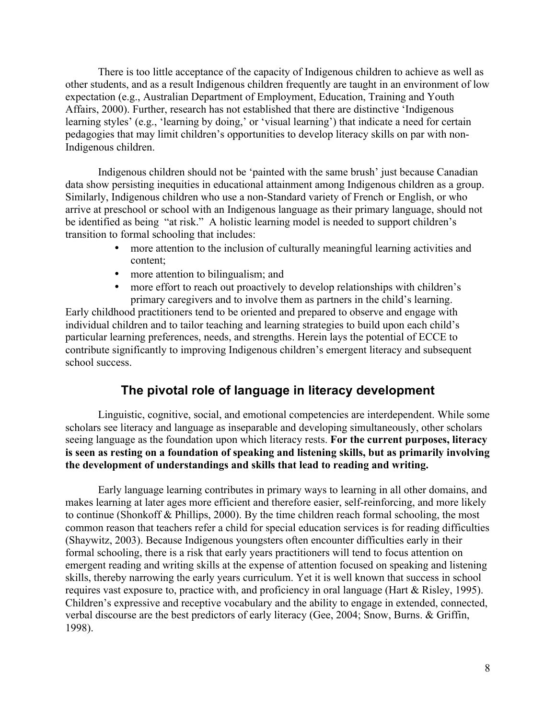There is too little acceptance of the capacity of Indigenous children to achieve as well as other students, and as a result Indigenous children frequently are taught in an environment of low expectation (e.g., Australian Department of Employment, Education, Training and Youth Affairs, 2000). Further, research has not established that there are distinctive 'Indigenous learning styles' (e.g., 'learning by doing,' or 'visual learning') that indicate a need for certain pedagogies that may limit children's opportunities to develop literacy skills on par with non-Indigenous children.

Indigenous children should not be 'painted with the same brush' just because Canadian data show persisting inequities in educational attainment among Indigenous children as a group. Similarly, Indigenous children who use a non-Standard variety of French or English, or who arrive at preschool or school with an Indigenous language as their primary language, should not be identified as being "at risk." A holistic learning model is needed to support children's transition to formal schooling that includes:

- more attention to the inclusion of culturally meaningful learning activities and content;
- more attention to bilingualism; and
- more effort to reach out proactively to develop relationships with children's primary caregivers and to involve them as partners in the child's learning.

Early childhood practitioners tend to be oriented and prepared to observe and engage with individual children and to tailor teaching and learning strategies to build upon each child's particular learning preferences, needs, and strengths. Herein lays the potential of ECCE to contribute significantly to improving Indigenous children's emergent literacy and subsequent school success.

## **The pivotal role of language in literacy development**

Linguistic, cognitive, social, and emotional competencies are interdependent. While some scholars see literacy and language as inseparable and developing simultaneously, other scholars seeing language as the foundation upon which literacy rests. **For the current purposes, literacy is seen as resting on a foundation of speaking and listening skills, but as primarily involving the development of understandings and skills that lead to reading and writing.**

Early language learning contributes in primary ways to learning in all other domains, and makes learning at later ages more efficient and therefore easier, self-reinforcing, and more likely to continue (Shonkoff & Phillips, 2000). By the time children reach formal schooling, the most common reason that teachers refer a child for special education services is for reading difficulties (Shaywitz, 2003). Because Indigenous youngsters often encounter difficulties early in their formal schooling, there is a risk that early years practitioners will tend to focus attention on emergent reading and writing skills at the expense of attention focused on speaking and listening skills, thereby narrowing the early years curriculum. Yet it is well known that success in school requires vast exposure to, practice with, and proficiency in oral language (Hart & Risley, 1995). Children's expressive and receptive vocabulary and the ability to engage in extended, connected, verbal discourse are the best predictors of early literacy (Gee, 2004; Snow, Burns. & Griffin, 1998).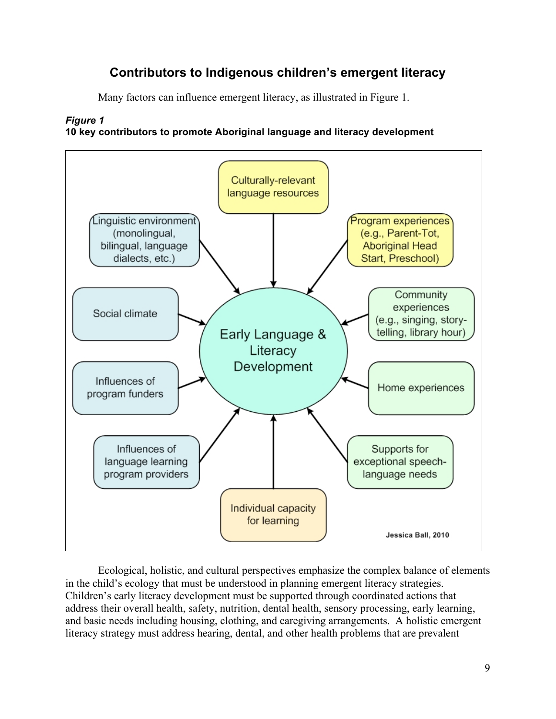## **Contributors to Indigenous children's emergent literacy**

Many factors can influence emergent literacy, as illustrated in Figure 1.

### *Figure 1*

## **10 key contributors to promote Aboriginal language and literacy development**



Ecological, holistic, and cultural perspectives emphasize the complex balance of elements in the child's ecology that must be understood in planning emergent literacy strategies. Children's early literacy development must be supported through coordinated actions that address their overall health, safety, nutrition, dental health, sensory processing, early learning, and basic needs including housing, clothing, and caregiving arrangements. A holistic emergent literacy strategy must address hearing, dental, and other health problems that are prevalent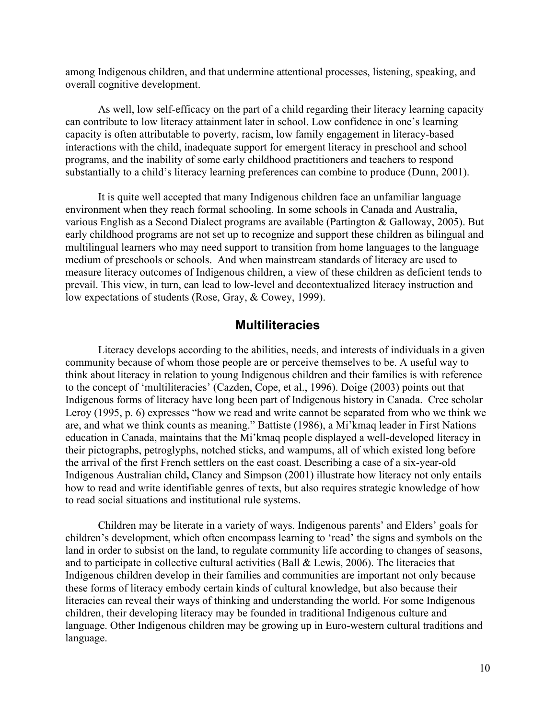among Indigenous children, and that undermine attentional processes, listening, speaking, and overall cognitive development.

As well, low self-efficacy on the part of a child regarding their literacy learning capacity can contribute to low literacy attainment later in school. Low confidence in one's learning capacity is often attributable to poverty, racism, low family engagement in literacy-based interactions with the child, inadequate support for emergent literacy in preschool and school programs, and the inability of some early childhood practitioners and teachers to respond substantially to a child's literacy learning preferences can combine to produce (Dunn, 2001).

It is quite well accepted that many Indigenous children face an unfamiliar language environment when they reach formal schooling. In some schools in Canada and Australia, various English as a Second Dialect programs are available (Partington & Galloway, 2005). But early childhood programs are not set up to recognize and support these children as bilingual and multilingual learners who may need support to transition from home languages to the language medium of preschools or schools. And when mainstream standards of literacy are used to measure literacy outcomes of Indigenous children, a view of these children as deficient tends to prevail. This view, in turn, can lead to low-level and decontextualized literacy instruction and low expectations of students (Rose, Gray, & Cowey, 1999).

### **Multiliteracies**

Literacy develops according to the abilities, needs, and interests of individuals in a given community because of whom those people are or perceive themselves to be. A useful way to think about literacy in relation to young Indigenous children and their families is with reference to the concept of 'multiliteracies' (Cazden, Cope, et al., 1996). Doige (2003) points out that Indigenous forms of literacy have long been part of Indigenous history in Canada. Cree scholar Leroy (1995, p. 6) expresses "how we read and write cannot be separated from who we think we are, and what we think counts as meaning." Battiste (1986), a Mi'kmaq leader in First Nations education in Canada, maintains that the Mi'kmaq people displayed a well-developed literacy in their pictographs, petroglyphs, notched sticks, and wampums, all of which existed long before the arrival of the first French settlers on the east coast. Describing a case of a six-year-old Indigenous Australian child**,** Clancy and Simpson (2001) illustrate how literacy not only entails how to read and write identifiable genres of texts, but also requires strategic knowledge of how to read social situations and institutional rule systems.

Children may be literate in a variety of ways. Indigenous parents' and Elders' goals for children's development, which often encompass learning to 'read' the signs and symbols on the land in order to subsist on the land, to regulate community life according to changes of seasons, and to participate in collective cultural activities (Ball  $&$  Lewis, 2006). The literacies that Indigenous children develop in their families and communities are important not only because these forms of literacy embody certain kinds of cultural knowledge, but also because their literacies can reveal their ways of thinking and understanding the world. For some Indigenous children, their developing literacy may be founded in traditional Indigenous culture and language. Other Indigenous children may be growing up in Euro-western cultural traditions and language.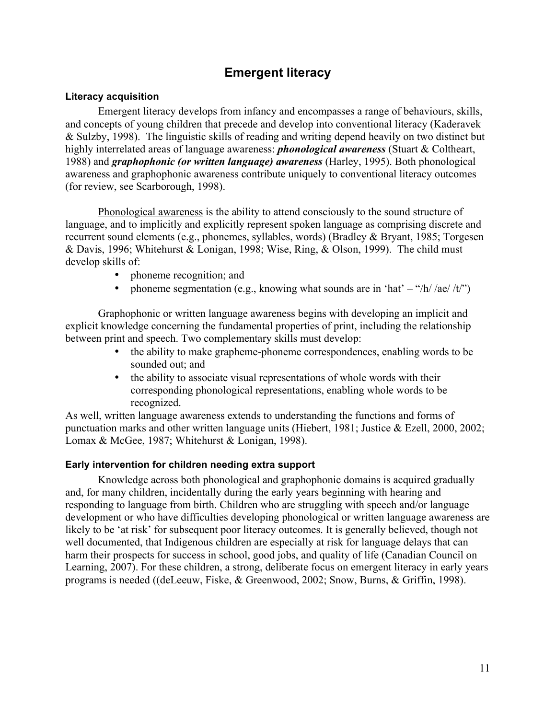## **Emergent literacy**

#### **Literacy acquisition**

Emergent literacy develops from infancy and encompasses a range of behaviours, skills, and concepts of young children that precede and develop into conventional literacy (Kaderavek & Sulzby, 1998). The linguistic skills of reading and writing depend heavily on two distinct but highly interrelated areas of language awareness: *phonological awareness* (Stuart & Coltheart, 1988) and *graphophonic (or written language) awareness* (Harley, 1995). Both phonological awareness and graphophonic awareness contribute uniquely to conventional literacy outcomes (for review, see Scarborough, 1998).

Phonological awareness is the ability to attend consciously to the sound structure of language, and to implicitly and explicitly represent spoken language as comprising discrete and recurrent sound elements (e.g., phonemes, syllables, words) (Bradley & Bryant, 1985; Torgesen & Davis, 1996; Whitehurst & Lonigan, 1998; Wise, Ring, & Olson, 1999). The child must develop skills of:

- phoneme recognition; and
- phoneme segmentation (e.g., knowing what sounds are in 'hat' "/h/ /ae/ /t/")

Graphophonic or written language awareness begins with developing an implicit and explicit knowledge concerning the fundamental properties of print, including the relationship between print and speech. Two complementary skills must develop:

- the ability to make grapheme-phoneme correspondences, enabling words to be sounded out; and
- the ability to associate visual representations of whole words with their corresponding phonological representations, enabling whole words to be recognized.

As well, written language awareness extends to understanding the functions and forms of punctuation marks and other written language units (Hiebert, 1981; Justice & Ezell, 2000, 2002; Lomax & McGee, 1987; Whitehurst & Lonigan, 1998).

### **Early intervention for children needing extra support**

Knowledge across both phonological and graphophonic domains is acquired gradually and, for many children, incidentally during the early years beginning with hearing and responding to language from birth. Children who are struggling with speech and/or language development or who have difficulties developing phonological or written language awareness are likely to be 'at risk' for subsequent poor literacy outcomes. It is generally believed, though not well documented, that Indigenous children are especially at risk for language delays that can harm their prospects for success in school, good jobs, and quality of life (Canadian Council on Learning, 2007). For these children, a strong, deliberate focus on emergent literacy in early years programs is needed ((deLeeuw, Fiske, & Greenwood, 2002; Snow, Burns, & Griffin, 1998).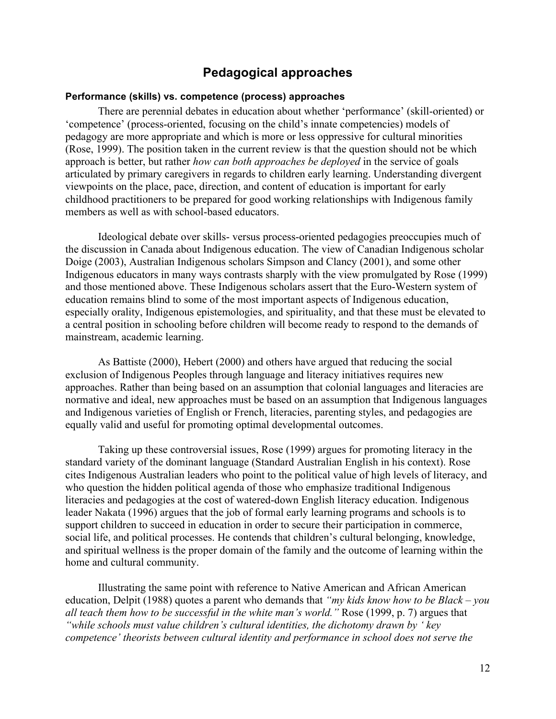## **Pedagogical approaches**

#### **Performance (skills) vs. competence (process) approaches**

There are perennial debates in education about whether 'performance' (skill-oriented) or 'competence' (process-oriented, focusing on the child's innate competencies) models of pedagogy are more appropriate and which is more or less oppressive for cultural minorities (Rose, 1999). The position taken in the current review is that the question should not be which approach is better, but rather *how can both approaches be deployed* in the service of goals articulated by primary caregivers in regards to children early learning. Understanding divergent viewpoints on the place, pace, direction, and content of education is important for early childhood practitioners to be prepared for good working relationships with Indigenous family members as well as with school-based educators.

Ideological debate over skills- versus process-oriented pedagogies preoccupies much of the discussion in Canada about Indigenous education. The view of Canadian Indigenous scholar Doige (2003), Australian Indigenous scholars Simpson and Clancy (2001), and some other Indigenous educators in many ways contrasts sharply with the view promulgated by Rose (1999) and those mentioned above. These Indigenous scholars assert that the Euro-Western system of education remains blind to some of the most important aspects of Indigenous education, especially orality, Indigenous epistemologies, and spirituality, and that these must be elevated to a central position in schooling before children will become ready to respond to the demands of mainstream, academic learning.

As Battiste (2000), Hebert (2000) and others have argued that reducing the social exclusion of Indigenous Peoples through language and literacy initiatives requires new approaches. Rather than being based on an assumption that colonial languages and literacies are normative and ideal, new approaches must be based on an assumption that Indigenous languages and Indigenous varieties of English or French, literacies, parenting styles, and pedagogies are equally valid and useful for promoting optimal developmental outcomes.

Taking up these controversial issues, Rose (1999) argues for promoting literacy in the standard variety of the dominant language (Standard Australian English in his context). Rose cites Indigenous Australian leaders who point to the political value of high levels of literacy, and who question the hidden political agenda of those who emphasize traditional Indigenous literacies and pedagogies at the cost of watered-down English literacy education. Indigenous leader Nakata (1996) argues that the job of formal early learning programs and schools is to support children to succeed in education in order to secure their participation in commerce, social life, and political processes. He contends that children's cultural belonging, knowledge, and spiritual wellness is the proper domain of the family and the outcome of learning within the home and cultural community.

Illustrating the same point with reference to Native American and African American education, Delpit (1988) quotes a parent who demands that *"my kids know how to be Black – you all teach them how to be successful in the white man's world."* Rose (1999, p. 7) argues that *"while schools must value children's cultural identities, the dichotomy drawn by ' key competence' theorists between cultural identity and performance in school does not serve the*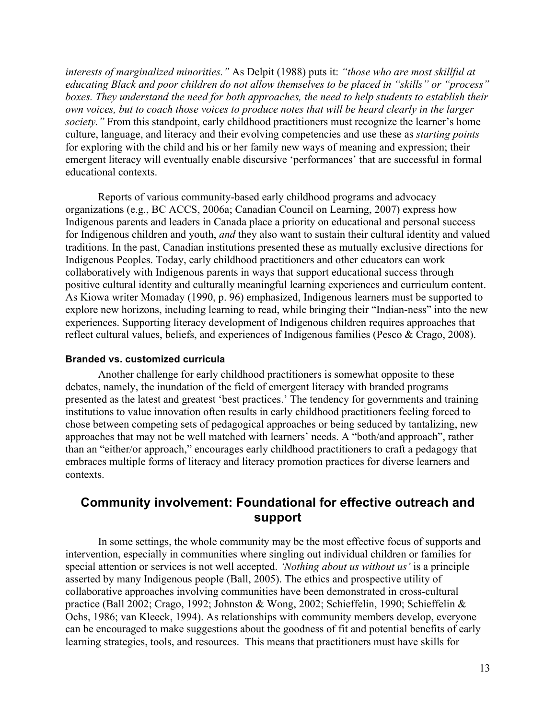*interests of marginalized minorities."* As Delpit (1988) puts it: *"those who are most skillful at educating Black and poor children do not allow themselves to be placed in "skills" or "process" boxes. They understand the need for both approaches, the need to help students to establish their own voices, but to coach those voices to produce notes that will be heard clearly in the larger society.*" From this standpoint, early childhood practitioners must recognize the learner's home culture, language, and literacy and their evolving competencies and use these as *starting points* for exploring with the child and his or her family new ways of meaning and expression; their emergent literacy will eventually enable discursive 'performances' that are successful in formal educational contexts.

Reports of various community-based early childhood programs and advocacy organizations (e.g., BC ACCS, 2006a; Canadian Council on Learning, 2007) express how Indigenous parents and leaders in Canada place a priority on educational and personal success for Indigenous children and youth, *and* they also want to sustain their cultural identity and valued traditions. In the past, Canadian institutions presented these as mutually exclusive directions for Indigenous Peoples. Today, early childhood practitioners and other educators can work collaboratively with Indigenous parents in ways that support educational success through positive cultural identity and culturally meaningful learning experiences and curriculum content. As Kiowa writer Momaday (1990, p. 96) emphasized, Indigenous learners must be supported to explore new horizons, including learning to read, while bringing their "Indian-ness" into the new experiences. Supporting literacy development of Indigenous children requires approaches that reflect cultural values, beliefs, and experiences of Indigenous families (Pesco & Crago, 2008).

#### **Branded vs. customized curricula**

Another challenge for early childhood practitioners is somewhat opposite to these debates, namely, the inundation of the field of emergent literacy with branded programs presented as the latest and greatest 'best practices.' The tendency for governments and training institutions to value innovation often results in early childhood practitioners feeling forced to chose between competing sets of pedagogical approaches or being seduced by tantalizing, new approaches that may not be well matched with learners' needs. A "both/and approach", rather than an "either/or approach," encourages early childhood practitioners to craft a pedagogy that embraces multiple forms of literacy and literacy promotion practices for diverse learners and contexts.

## **Community involvement: Foundational for effective outreach and support**

In some settings, the whole community may be the most effective focus of supports and intervention, especially in communities where singling out individual children or families for special attention or services is not well accepted. *'Nothing about us without us'* is a principle asserted by many Indigenous people (Ball, 2005). The ethics and prospective utility of collaborative approaches involving communities have been demonstrated in cross-cultural practice (Ball 2002; Crago, 1992; Johnston & Wong, 2002; Schieffelin, 1990; Schieffelin & Ochs, 1986; van Kleeck, 1994). As relationships with community members develop, everyone can be encouraged to make suggestions about the goodness of fit and potential benefits of early learning strategies, tools, and resources. This means that practitioners must have skills for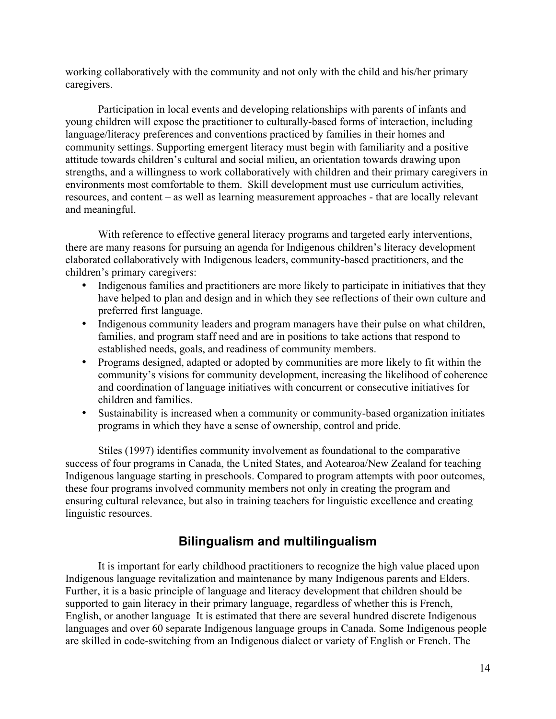working collaboratively with the community and not only with the child and his/her primary caregivers.

Participation in local events and developing relationships with parents of infants and young children will expose the practitioner to culturally-based forms of interaction, including language/literacy preferences and conventions practiced by families in their homes and community settings. Supporting emergent literacy must begin with familiarity and a positive attitude towards children's cultural and social milieu, an orientation towards drawing upon strengths, and a willingness to work collaboratively with children and their primary caregivers in environments most comfortable to them. Skill development must use curriculum activities, resources, and content – as well as learning measurement approaches - that are locally relevant and meaningful.

With reference to effective general literacy programs and targeted early interventions, there are many reasons for pursuing an agenda for Indigenous children's literacy development elaborated collaboratively with Indigenous leaders, community-based practitioners, and the children's primary caregivers:

- Indigenous families and practitioners are more likely to participate in initiatives that they have helped to plan and design and in which they see reflections of their own culture and preferred first language.
- Indigenous community leaders and program managers have their pulse on what children, families, and program staff need and are in positions to take actions that respond to established needs, goals, and readiness of community members.
- Programs designed, adapted or adopted by communities are more likely to fit within the community's visions for community development, increasing the likelihood of coherence and coordination of language initiatives with concurrent or consecutive initiatives for children and families.
- Sustainability is increased when a community or community-based organization initiates programs in which they have a sense of ownership, control and pride.

Stiles (1997) identifies community involvement as foundational to the comparative success of four programs in Canada, the United States, and Aotearoa/New Zealand for teaching Indigenous language starting in preschools. Compared to program attempts with poor outcomes, these four programs involved community members not only in creating the program and ensuring cultural relevance, but also in training teachers for linguistic excellence and creating linguistic resources.

## **Bilingualism and multilingualism**

It is important for early childhood practitioners to recognize the high value placed upon Indigenous language revitalization and maintenance by many Indigenous parents and Elders. Further, it is a basic principle of language and literacy development that children should be supported to gain literacy in their primary language, regardless of whether this is French, English, or another language It is estimated that there are several hundred discrete Indigenous languages and over 60 separate Indigenous language groups in Canada. Some Indigenous people are skilled in code-switching from an Indigenous dialect or variety of English or French. The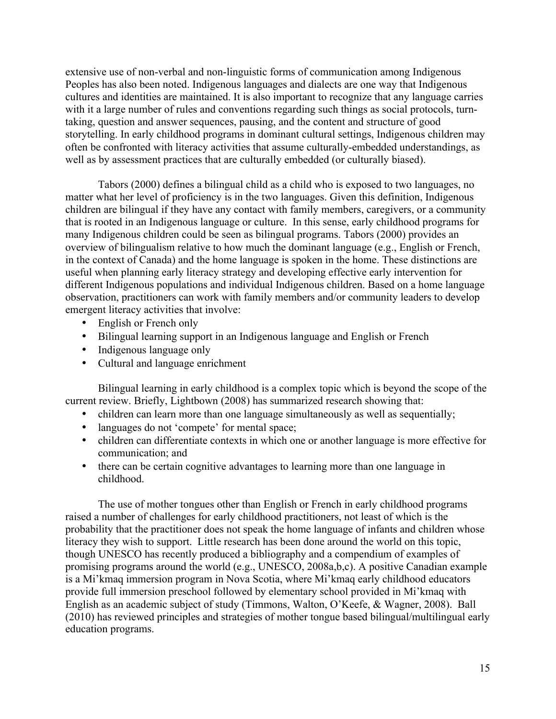extensive use of non-verbal and non-linguistic forms of communication among Indigenous Peoples has also been noted. Indigenous languages and dialects are one way that Indigenous cultures and identities are maintained. It is also important to recognize that any language carries with it a large number of rules and conventions regarding such things as social protocols, turntaking, question and answer sequences, pausing, and the content and structure of good storytelling. In early childhood programs in dominant cultural settings, Indigenous children may often be confronted with literacy activities that assume culturally-embedded understandings, as well as by assessment practices that are culturally embedded (or culturally biased).

Tabors (2000) defines a bilingual child as a child who is exposed to two languages, no matter what her level of proficiency is in the two languages. Given this definition, Indigenous children are bilingual if they have any contact with family members, caregivers, or a community that is rooted in an Indigenous language or culture. In this sense, early childhood programs for many Indigenous children could be seen as bilingual programs. Tabors (2000) provides an overview of bilingualism relative to how much the dominant language (e.g., English or French, in the context of Canada) and the home language is spoken in the home. These distinctions are useful when planning early literacy strategy and developing effective early intervention for different Indigenous populations and individual Indigenous children. Based on a home language observation, practitioners can work with family members and/or community leaders to develop emergent literacy activities that involve:

- English or French only
- Bilingual learning support in an Indigenous language and English or French
- Indigenous language only
- Cultural and language enrichment

Bilingual learning in early childhood is a complex topic which is beyond the scope of the current review. Briefly, Lightbown (2008) has summarized research showing that:

- children can learn more than one language simultaneously as well as sequentially;
- languages do not 'compete' for mental space;
- children can differentiate contexts in which one or another language is more effective for communication; and
- there can be certain cognitive advantages to learning more than one language in childhood.

The use of mother tongues other than English or French in early childhood programs raised a number of challenges for early childhood practitioners, not least of which is the probability that the practitioner does not speak the home language of infants and children whose literacy they wish to support. Little research has been done around the world on this topic, though UNESCO has recently produced a bibliography and a compendium of examples of promising programs around the world (e.g., UNESCO, 2008a,b,c). A positive Canadian example is a Mi'kmaq immersion program in Nova Scotia, where Mi'kmaq early childhood educators provide full immersion preschool followed by elementary school provided in Mi'kmaq with English as an academic subject of study (Timmons, Walton, O'Keefe, & Wagner, 2008). Ball (2010) has reviewed principles and strategies of mother tongue based bilingual/multilingual early education programs.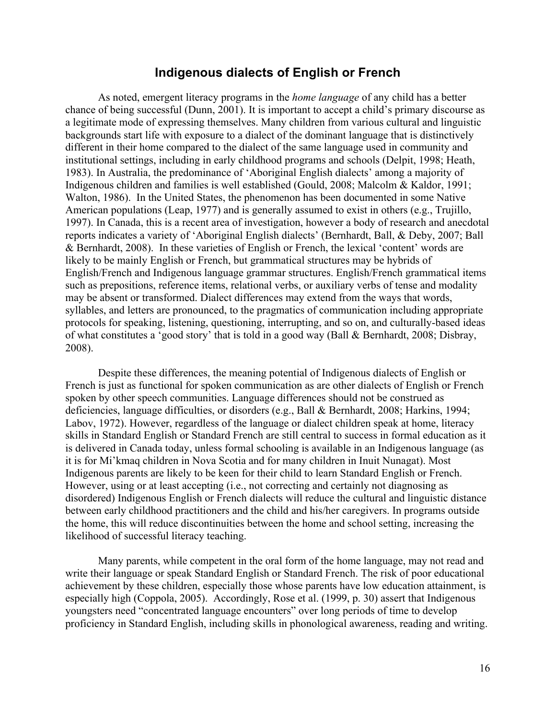## **Indigenous dialects of English or French**

As noted, emergent literacy programs in the *home language* of any child has a better chance of being successful (Dunn, 2001). It is important to accept a child's primary discourse as a legitimate mode of expressing themselves. Many children from various cultural and linguistic backgrounds start life with exposure to a dialect of the dominant language that is distinctively different in their home compared to the dialect of the same language used in community and institutional settings, including in early childhood programs and schools (Delpit, 1998; Heath, 1983). In Australia, the predominance of 'Aboriginal English dialects' among a majority of Indigenous children and families is well established (Gould, 2008; Malcolm & Kaldor, 1991; Walton, 1986). In the United States, the phenomenon has been documented in some Native American populations (Leap, 1977) and is generally assumed to exist in others (e.g., Trujillo, 1997). In Canada, this is a recent area of investigation, however a body of research and anecdotal reports indicates a variety of 'Aboriginal English dialects' (Bernhardt, Ball, & Deby, 2007; Ball & Bernhardt, 2008). In these varieties of English or French, the lexical 'content' words are likely to be mainly English or French, but grammatical structures may be hybrids of English/French and Indigenous language grammar structures. English/French grammatical items such as prepositions, reference items, relational verbs, or auxiliary verbs of tense and modality may be absent or transformed. Dialect differences may extend from the ways that words, syllables, and letters are pronounced, to the pragmatics of communication including appropriate protocols for speaking, listening, questioning, interrupting, and so on, and culturally-based ideas of what constitutes a 'good story' that is told in a good way (Ball & Bernhardt, 2008; Disbray, 2008).

Despite these differences, the meaning potential of Indigenous dialects of English or French is just as functional for spoken communication as are other dialects of English or French spoken by other speech communities. Language differences should not be construed as deficiencies, language difficulties, or disorders (e.g., Ball & Bernhardt, 2008; Harkins, 1994; Labov, 1972). However, regardless of the language or dialect children speak at home, literacy skills in Standard English or Standard French are still central to success in formal education as it is delivered in Canada today, unless formal schooling is available in an Indigenous language (as it is for Mi'kmaq children in Nova Scotia and for many children in Inuit Nunagat). Most Indigenous parents are likely to be keen for their child to learn Standard English or French. However, using or at least accepting (i.e., not correcting and certainly not diagnosing as disordered) Indigenous English or French dialects will reduce the cultural and linguistic distance between early childhood practitioners and the child and his/her caregivers. In programs outside the home, this will reduce discontinuities between the home and school setting, increasing the likelihood of successful literacy teaching.

Many parents, while competent in the oral form of the home language, may not read and write their language or speak Standard English or Standard French. The risk of poor educational achievement by these children, especially those whose parents have low education attainment, is especially high (Coppola, 2005). Accordingly, Rose et al. (1999, p. 30) assert that Indigenous youngsters need "concentrated language encounters" over long periods of time to develop proficiency in Standard English, including skills in phonological awareness, reading and writing.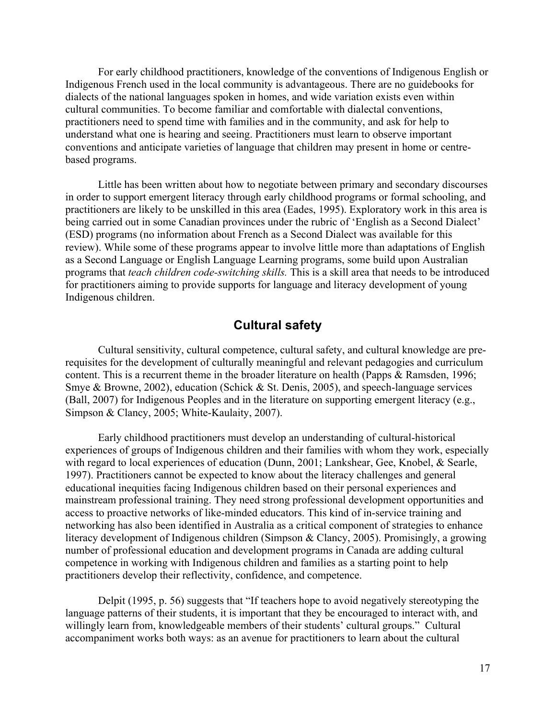For early childhood practitioners, knowledge of the conventions of Indigenous English or Indigenous French used in the local community is advantageous. There are no guidebooks for dialects of the national languages spoken in homes, and wide variation exists even within cultural communities. To become familiar and comfortable with dialectal conventions, practitioners need to spend time with families and in the community, and ask for help to understand what one is hearing and seeing. Practitioners must learn to observe important conventions and anticipate varieties of language that children may present in home or centrebased programs.

Little has been written about how to negotiate between primary and secondary discourses in order to support emergent literacy through early childhood programs or formal schooling, and practitioners are likely to be unskilled in this area (Eades, 1995). Exploratory work in this area is being carried out in some Canadian provinces under the rubric of 'English as a Second Dialect' (ESD) programs (no information about French as a Second Dialect was available for this review). While some of these programs appear to involve little more than adaptations of English as a Second Language or English Language Learning programs, some build upon Australian programs that *teach children code-switching skills.* This is a skill area that needs to be introduced for practitioners aiming to provide supports for language and literacy development of young Indigenous children.

## **Cultural safety**

Cultural sensitivity, cultural competence, cultural safety, and cultural knowledge are prerequisites for the development of culturally meaningful and relevant pedagogies and curriculum content. This is a recurrent theme in the broader literature on health (Papps & Ramsden, 1996; Smye & Browne, 2002), education (Schick & St. Denis, 2005), and speech-language services (Ball, 2007) for Indigenous Peoples and in the literature on supporting emergent literacy (e.g., Simpson & Clancy, 2005; White-Kaulaity, 2007).

Early childhood practitioners must develop an understanding of cultural-historical experiences of groups of Indigenous children and their families with whom they work, especially with regard to local experiences of education (Dunn, 2001; Lankshear, Gee, Knobel, & Searle, 1997). Practitioners cannot be expected to know about the literacy challenges and general educational inequities facing Indigenous children based on their personal experiences and mainstream professional training. They need strong professional development opportunities and access to proactive networks of like-minded educators. This kind of in-service training and networking has also been identified in Australia as a critical component of strategies to enhance literacy development of Indigenous children (Simpson & Clancy, 2005). Promisingly, a growing number of professional education and development programs in Canada are adding cultural competence in working with Indigenous children and families as a starting point to help practitioners develop their reflectivity, confidence, and competence.

Delpit (1995, p. 56) suggests that "If teachers hope to avoid negatively stereotyping the language patterns of their students, it is important that they be encouraged to interact with, and willingly learn from, knowledgeable members of their students' cultural groups." Cultural accompaniment works both ways: as an avenue for practitioners to learn about the cultural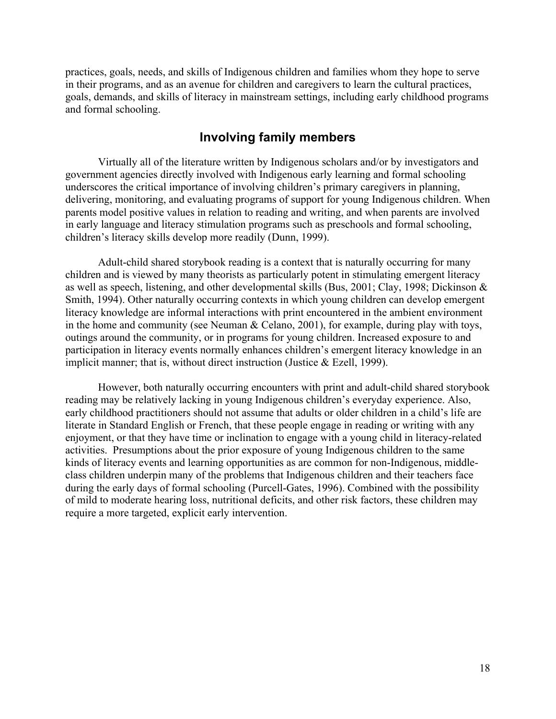practices, goals, needs, and skills of Indigenous children and families whom they hope to serve in their programs, and as an avenue for children and caregivers to learn the cultural practices, goals, demands, and skills of literacy in mainstream settings, including early childhood programs and formal schooling.

## **Involving family members**

Virtually all of the literature written by Indigenous scholars and/or by investigators and government agencies directly involved with Indigenous early learning and formal schooling underscores the critical importance of involving children's primary caregivers in planning, delivering, monitoring, and evaluating programs of support for young Indigenous children. When parents model positive values in relation to reading and writing, and when parents are involved in early language and literacy stimulation programs such as preschools and formal schooling, children's literacy skills develop more readily (Dunn, 1999).

Adult-child shared storybook reading is a context that is naturally occurring for many children and is viewed by many theorists as particularly potent in stimulating emergent literacy as well as speech, listening, and other developmental skills (Bus, 2001; Clay, 1998; Dickinson & Smith, 1994). Other naturally occurring contexts in which young children can develop emergent literacy knowledge are informal interactions with print encountered in the ambient environment in the home and community (see Neuman & Celano, 2001), for example, during play with toys, outings around the community, or in programs for young children. Increased exposure to and participation in literacy events normally enhances children's emergent literacy knowledge in an implicit manner; that is, without direct instruction (Justice  $\&$  Ezell, 1999).

However, both naturally occurring encounters with print and adult-child shared storybook reading may be relatively lacking in young Indigenous children's everyday experience. Also, early childhood practitioners should not assume that adults or older children in a child's life are literate in Standard English or French, that these people engage in reading or writing with any enjoyment, or that they have time or inclination to engage with a young child in literacy-related activities. Presumptions about the prior exposure of young Indigenous children to the same kinds of literacy events and learning opportunities as are common for non-Indigenous, middleclass children underpin many of the problems that Indigenous children and their teachers face during the early days of formal schooling (Purcell-Gates, 1996). Combined with the possibility of mild to moderate hearing loss, nutritional deficits, and other risk factors, these children may require a more targeted, explicit early intervention.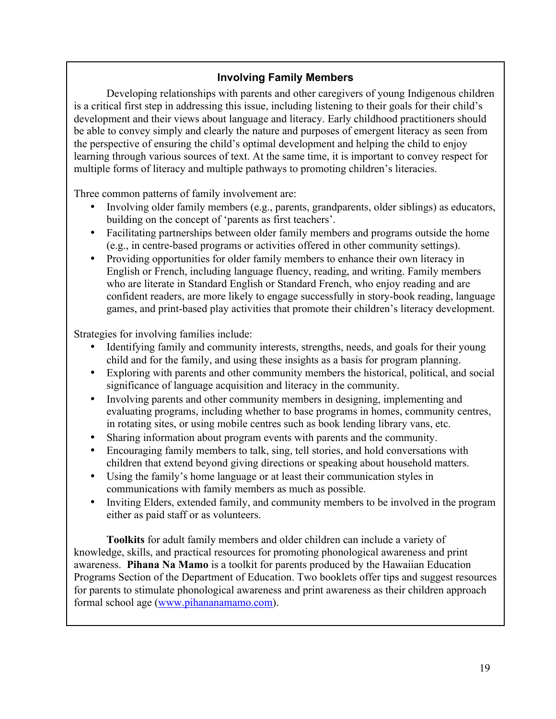## **Involving Family Members**

Developing relationships with parents and other caregivers of young Indigenous children is a critical first step in addressing this issue, including listening to their goals for their child's development and their views about language and literacy. Early childhood practitioners should be able to convey simply and clearly the nature and purposes of emergent literacy as seen from the perspective of ensuring the child's optimal development and helping the child to enjoy learning through various sources of text. At the same time, it is important to convey respect for multiple forms of literacy and multiple pathways to promoting children's literacies.

Three common patterns of family involvement are:

- Involving older family members (e.g., parents, grandparents, older siblings) as educators, building on the concept of 'parents as first teachers'.
- Facilitating partnerships between older family members and programs outside the home (e.g., in centre-based programs or activities offered in other community settings).
- Providing opportunities for older family members to enhance their own literacy in English or French, including language fluency, reading, and writing. Family members who are literate in Standard English or Standard French, who enjoy reading and are confident readers, are more likely to engage successfully in story-book reading, language games, and print-based play activities that promote their children's literacy development.

Strategies for involving families include:

- Identifying family and community interests, strengths, needs, and goals for their young child and for the family, and using these insights as a basis for program planning.
- Exploring with parents and other community members the historical, political, and social significance of language acquisition and literacy in the community.
- Involving parents and other community members in designing, implementing and evaluating programs, including whether to base programs in homes, community centres, in rotating sites, or using mobile centres such as book lending library vans, etc.
- Sharing information about program events with parents and the community.
- Encouraging family members to talk, sing, tell stories, and hold conversations with children that extend beyond giving directions or speaking about household matters.
- Using the family's home language or at least their communication styles in communications with family members as much as possible.
- Inviting Elders, extended family, and community members to be involved in the program either as paid staff or as volunteers.

**Toolkits** for adult family members and older children can include a variety of knowledge, skills, and practical resources for promoting phonological awareness and print awareness. **Pihana Na Mamo** is a toolkit for parents produced by the Hawaiian Education Programs Section of the Department of Education. Two booklets offer tips and suggest resources for parents to stimulate phonological awareness and print awareness as their children approach formal school age (www.pihananamamo.com).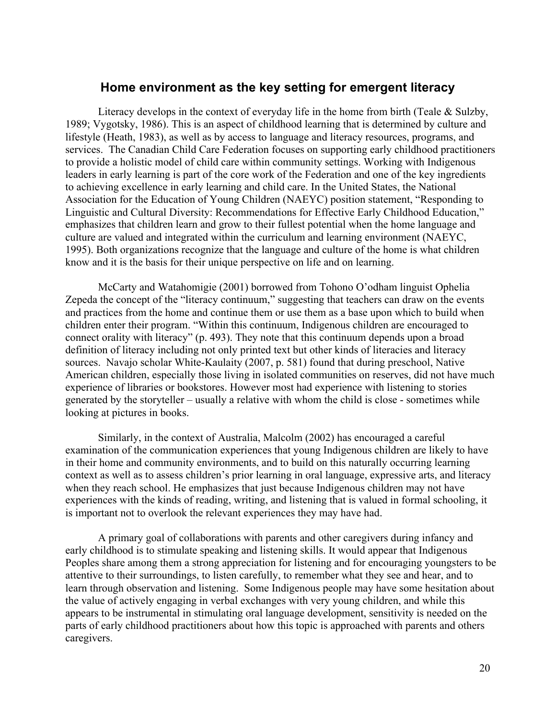### **Home environment as the key setting for emergent literacy**

Literacy develops in the context of everyday life in the home from birth (Teale & Sulzby, 1989; Vygotsky, 1986). This is an aspect of childhood learning that is determined by culture and lifestyle (Heath, 1983), as well as by access to language and literacy resources, programs, and services. The Canadian Child Care Federation focuses on supporting early childhood practitioners to provide a holistic model of child care within community settings. Working with Indigenous leaders in early learning is part of the core work of the Federation and one of the key ingredients to achieving excellence in early learning and child care. In the United States, the National Association for the Education of Young Children (NAEYC) position statement, "Responding to Linguistic and Cultural Diversity: Recommendations for Effective Early Childhood Education," emphasizes that children learn and grow to their fullest potential when the home language and culture are valued and integrated within the curriculum and learning environment (NAEYC, 1995). Both organizations recognize that the language and culture of the home is what children know and it is the basis for their unique perspective on life and on learning.

McCarty and Watahomigie (2001) borrowed from Tohono O'odham linguist Ophelia Zepeda the concept of the "literacy continuum," suggesting that teachers can draw on the events and practices from the home and continue them or use them as a base upon which to build when children enter their program. "Within this continuum, Indigenous children are encouraged to connect orality with literacy" (p. 493). They note that this continuum depends upon a broad definition of literacy including not only printed text but other kinds of literacies and literacy sources. Navajo scholar White-Kaulaity (2007, p. 581) found that during preschool, Native American children, especially those living in isolated communities on reserves, did not have much experience of libraries or bookstores. However most had experience with listening to stories generated by the storyteller – usually a relative with whom the child is close - sometimes while looking at pictures in books.

Similarly, in the context of Australia, Malcolm (2002) has encouraged a careful examination of the communication experiences that young Indigenous children are likely to have in their home and community environments, and to build on this naturally occurring learning context as well as to assess children's prior learning in oral language, expressive arts, and literacy when they reach school. He emphasizes that just because Indigenous children may not have experiences with the kinds of reading, writing, and listening that is valued in formal schooling, it is important not to overlook the relevant experiences they may have had.

A primary goal of collaborations with parents and other caregivers during infancy and early childhood is to stimulate speaking and listening skills. It would appear that Indigenous Peoples share among them a strong appreciation for listening and for encouraging youngsters to be attentive to their surroundings, to listen carefully, to remember what they see and hear, and to learn through observation and listening. Some Indigenous people may have some hesitation about the value of actively engaging in verbal exchanges with very young children, and while this appears to be instrumental in stimulating oral language development, sensitivity is needed on the parts of early childhood practitioners about how this topic is approached with parents and others caregivers.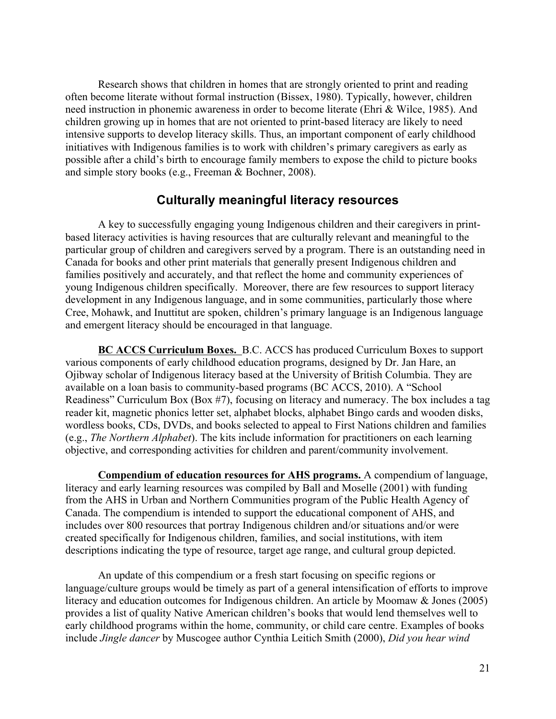Research shows that children in homes that are strongly oriented to print and reading often become literate without formal instruction (Bissex, 1980). Typically, however, children need instruction in phonemic awareness in order to become literate (Ehri & Wilce, 1985). And children growing up in homes that are not oriented to print-based literacy are likely to need intensive supports to develop literacy skills. Thus, an important component of early childhood initiatives with Indigenous families is to work with children's primary caregivers as early as possible after a child's birth to encourage family members to expose the child to picture books and simple story books (e.g., Freeman & Bochner, 2008).

### **Culturally meaningful literacy resources**

A key to successfully engaging young Indigenous children and their caregivers in printbased literacy activities is having resources that are culturally relevant and meaningful to the particular group of children and caregivers served by a program. There is an outstanding need in Canada for books and other print materials that generally present Indigenous children and families positively and accurately, and that reflect the home and community experiences of young Indigenous children specifically. Moreover, there are few resources to support literacy development in any Indigenous language, and in some communities, particularly those where Cree, Mohawk, and Inuttitut are spoken, children's primary language is an Indigenous language and emergent literacy should be encouraged in that language.

**BC ACCS Curriculum Boxes.** B.C. ACCS has produced Curriculum Boxes to support various components of early childhood education programs, designed by Dr. Jan Hare, an Ojibway scholar of Indigenous literacy based at the University of British Columbia. They are available on a loan basis to community-based programs (BC ACCS, 2010). A "School Readiness" Curriculum Box (Box #7), focusing on literacy and numeracy. The box includes a tag reader kit, magnetic phonics letter set, alphabet blocks, alphabet Bingo cards and wooden disks, wordless books, CDs, DVDs, and books selected to appeal to First Nations children and families (e.g., *The Northern Alphabet*). The kits include information for practitioners on each learning objective, and corresponding activities for children and parent/community involvement.

**Compendium of education resources for AHS programs.** A compendium of language, literacy and early learning resources was compiled by Ball and Moselle (2001) with funding from the AHS in Urban and Northern Communities program of the Public Health Agency of Canada. The compendium is intended to support the educational component of AHS, and includes over 800 resources that portray Indigenous children and/or situations and/or were created specifically for Indigenous children, families, and social institutions, with item descriptions indicating the type of resource, target age range, and cultural group depicted.

An update of this compendium or a fresh start focusing on specific regions or language/culture groups would be timely as part of a general intensification of efforts to improve literacy and education outcomes for Indigenous children. An article by Moomaw & Jones (2005) provides a list of quality Native American children's books that would lend themselves well to early childhood programs within the home, community, or child care centre. Examples of books include *Jingle dancer* by Muscogee author Cynthia Leitich Smith (2000), *Did you hear wind*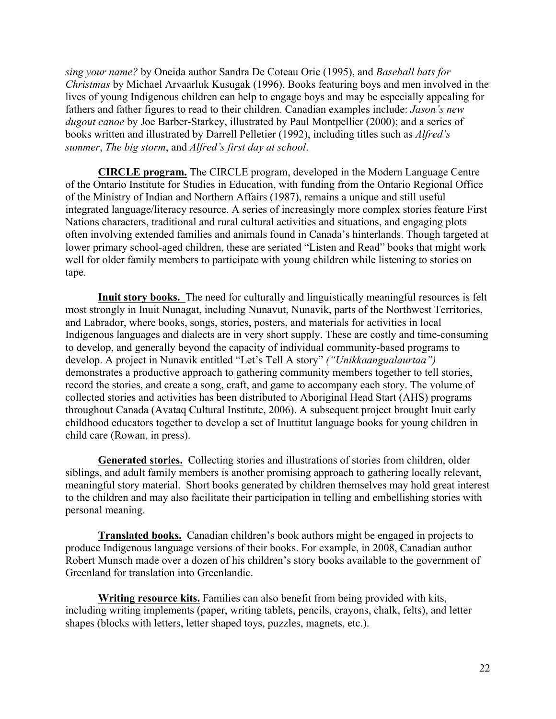*sing your name?* by Oneida author Sandra De Coteau Orie (1995), and *Baseball bats for Christmas* by Michael Arvaarluk Kusugak (1996). Books featuring boys and men involved in the lives of young Indigenous children can help to engage boys and may be especially appealing for fathers and father figures to read to their children. Canadian examples include: *Jason's new dugout canoe* by Joe Barber-Starkey, illustrated by Paul Montpellier (2000); and a series of books written and illustrated by Darrell Pelletier (1992), including titles such as *Alfred's summer*, *The big storm*, and *Alfred's first day at school*.

**CIRCLE program.** The CIRCLE program, developed in the Modern Language Centre of the Ontario Institute for Studies in Education, with funding from the Ontario Regional Office of the Ministry of Indian and Northern Affairs (1987), remains a unique and still useful integrated language/literacy resource. A series of increasingly more complex stories feature First Nations characters, traditional and rural cultural activities and situations, and engaging plots often involving extended families and animals found in Canada's hinterlands. Though targeted at lower primary school-aged children, these are seriated "Listen and Read" books that might work well for older family members to participate with young children while listening to stories on tape.

**Inuit story books.** The need for culturally and linguistically meaningful resources is felt most strongly in Inuit Nunagat, including Nunavut, Nunavik, parts of the Northwest Territories, and Labrador, where books, songs, stories, posters, and materials for activities in local Indigenous languages and dialects are in very short supply. These are costly and time-consuming to develop, and generally beyond the capacity of individual community-based programs to develop. A project in Nunavik entitled "Let's Tell A story" *("Unikkaangualaurtaa")* demonstrates a productive approach to gathering community members together to tell stories, record the stories, and create a song, craft, and game to accompany each story. The volume of collected stories and activities has been distributed to Aboriginal Head Start (AHS) programs throughout Canada (Avataq Cultural Institute, 2006). A subsequent project brought Inuit early childhood educators together to develop a set of Inuttitut language books for young children in child care (Rowan, in press).

**Generated stories.** Collecting stories and illustrations of stories from children, older siblings, and adult family members is another promising approach to gathering locally relevant, meaningful story material. Short books generated by children themselves may hold great interest to the children and may also facilitate their participation in telling and embellishing stories with personal meaning.

**Translated books.** Canadian children's book authors might be engaged in projects to produce Indigenous language versions of their books. For example, in 2008, Canadian author Robert Munsch made over a dozen of his children's story books available to the government of Greenland for translation into Greenlandic.

**Writing resource kits.** Families can also benefit from being provided with kits, including writing implements (paper, writing tablets, pencils, crayons, chalk, felts), and letter shapes (blocks with letters, letter shaped toys, puzzles, magnets, etc.).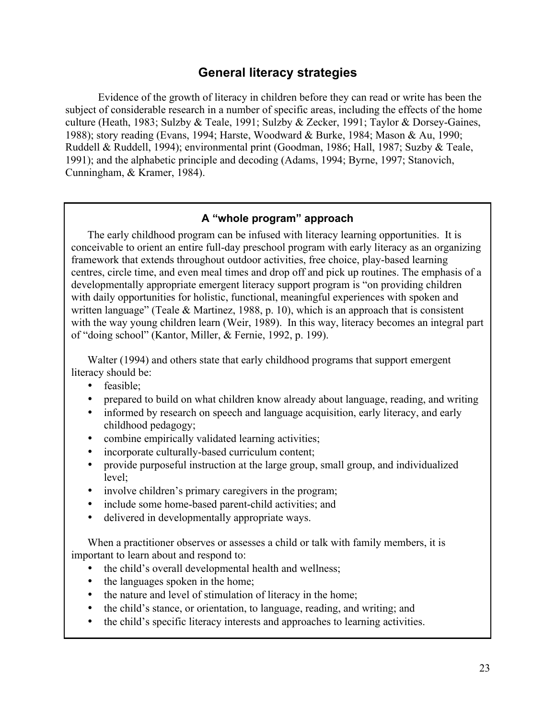## **General literacy strategies**

Evidence of the growth of literacy in children before they can read or write has been the subject of considerable research in a number of specific areas, including the effects of the home culture (Heath, 1983; Sulzby & Teale, 1991; Sulzby & Zecker, 1991; Taylor & Dorsey-Gaines, 1988); story reading (Evans, 1994; Harste, Woodward & Burke, 1984; Mason & Au, 1990; Ruddell & Ruddell, 1994); environmental print (Goodman, 1986; Hall, 1987; Suzby & Teale, 1991); and the alphabetic principle and decoding (Adams, 1994; Byrne, 1997; Stanovich, Cunningham, & Kramer, 1984).

### **A "whole program" approach**

The early childhood program can be infused with literacy learning opportunities. It is conceivable to orient an entire full-day preschool program with early literacy as an organizing framework that extends throughout outdoor activities, free choice, play-based learning centres, circle time, and even meal times and drop off and pick up routines. The emphasis of a developmentally appropriate emergent literacy support program is "on providing children with daily opportunities for holistic, functional, meaningful experiences with spoken and written language" (Teale & Martinez, 1988, p. 10), which is an approach that is consistent with the way young children learn (Weir, 1989). In this way, literacy becomes an integral part of "doing school" (Kantor, Miller, & Fernie, 1992, p. 199).

Walter (1994) and others state that early childhood programs that support emergent literacy should be:

- feasible:
- prepared to build on what children know already about language, reading, and writing
- informed by research on speech and language acquisition, early literacy, and early childhood pedagogy;
- combine empirically validated learning activities;
- incorporate culturally-based curriculum content;
- provide purposeful instruction at the large group, small group, and individualized level;
- involve children's primary caregivers in the program;
- include some home-based parent-child activities; and
- delivered in developmentally appropriate ways.

When a practitioner observes or assesses a child or talk with family members, it is important to learn about and respond to:

- the child's overall developmental health and wellness;
- the languages spoken in the home;
- the nature and level of stimulation of literacy in the home;
- the child's stance, or orientation, to language, reading, and writing; and
- the child's specific literacy interests and approaches to learning activities.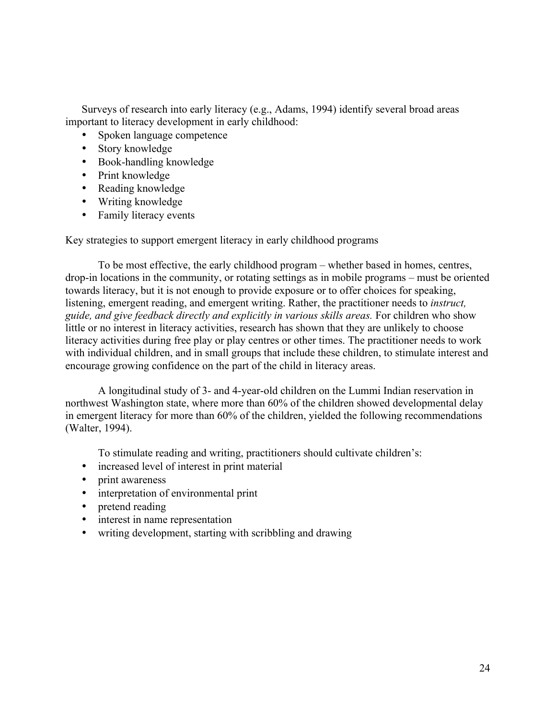Surveys of research into early literacy (e.g., Adams, 1994) identify several broad areas important to literacy development in early childhood:

- Spoken language competence
- Story knowledge
- Book-handling knowledge
- Print knowledge
- Reading knowledge
- Writing knowledge
- Family literacy events

Key strategies to support emergent literacy in early childhood programs

To be most effective, the early childhood program – whether based in homes, centres, drop-in locations in the community, or rotating settings as in mobile programs – must be oriented towards literacy, but it is not enough to provide exposure or to offer choices for speaking, listening, emergent reading, and emergent writing. Rather, the practitioner needs to *instruct, guide, and give feedback directly and explicitly in various skills areas.* For children who show little or no interest in literacy activities, research has shown that they are unlikely to choose literacy activities during free play or play centres or other times. The practitioner needs to work with individual children, and in small groups that include these children, to stimulate interest and encourage growing confidence on the part of the child in literacy areas.

A longitudinal study of 3- and 4-year-old children on the Lummi Indian reservation in northwest Washington state, where more than 60% of the children showed developmental delay in emergent literacy for more than 60% of the children, yielded the following recommendations (Walter, 1994).

To stimulate reading and writing, practitioners should cultivate children's:

- increased level of interest in print material
- print awareness
- interpretation of environmental print
- pretend reading
- interest in name representation
- writing development, starting with scribbling and drawing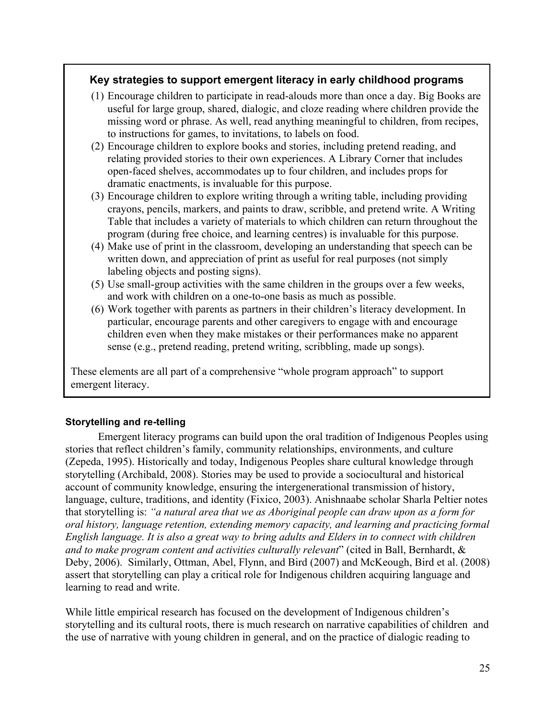## **Key strategies to support emergent literacy in early childhood programs**

- (1) Encourage children to participate in read-alouds more than once a day. Big Books are useful for large group, shared, dialogic, and cloze reading where children provide the missing word or phrase. As well, read anything meaningful to children, from recipes, to instructions for games, to invitations, to labels on food.
- (2) Encourage children to explore books and stories, including pretend reading, and relating provided stories to their own experiences. A Library Corner that includes open-faced shelves, accommodates up to four children, and includes props for dramatic enactments, is invaluable for this purpose.
- (3) Encourage children to explore writing through a writing table, including providing crayons, pencils, markers, and paints to draw, scribble, and pretend write. A Writing Table that includes a variety of materials to which children can return throughout the program (during free choice, and learning centres) is invaluable for this purpose.
- (4) Make use of print in the classroom, developing an understanding that speech can be written down, and appreciation of print as useful for real purposes (not simply labeling objects and posting signs).
- (5) Use small-group activities with the same children in the groups over a few weeks, and work with children on a one-to-one basis as much as possible.
- (6) Work together with parents as partners in their children's literacy development. In particular, encourage parents and other caregivers to engage with and encourage children even when they make mistakes or their performances make no apparent sense (e.g., pretend reading, pretend writing, scribbling, made up songs).

These elements are all part of a comprehensive "whole program approach" to support emergent literacy.

## **Storytelling and re-telling**

Emergent literacy programs can build upon the oral tradition of Indigenous Peoples using stories that reflect children's family, community relationships, environments, and culture (Zepeda, 1995). Historically and today, Indigenous Peoples share cultural knowledge through storytelling (Archibald, 2008). Stories may be used to provide a sociocultural and historical account of community knowledge, ensuring the intergenerational transmission of history, language, culture, traditions, and identity (Fixico, 2003). Anishnaabe scholar Sharla Peltier notes that storytelling is: *"a natural area that we as Aboriginal people can draw upon as a form for oral history, language retention, extending memory capacity, and learning and practicing formal English language. It is also a great way to bring adults and Elders in to connect with children and to make program content and activities culturally relevant*" (cited in Ball, Bernhardt, & Deby, 2006). Similarly, Ottman, Abel, Flynn, and Bird (2007) and McKeough, Bird et al. (2008) assert that storytelling can play a critical role for Indigenous children acquiring language and learning to read and write.

While little empirical research has focused on the development of Indigenous children's storytelling and its cultural roots, there is much research on narrative capabilities of children and the use of narrative with young children in general, and on the practice of dialogic reading to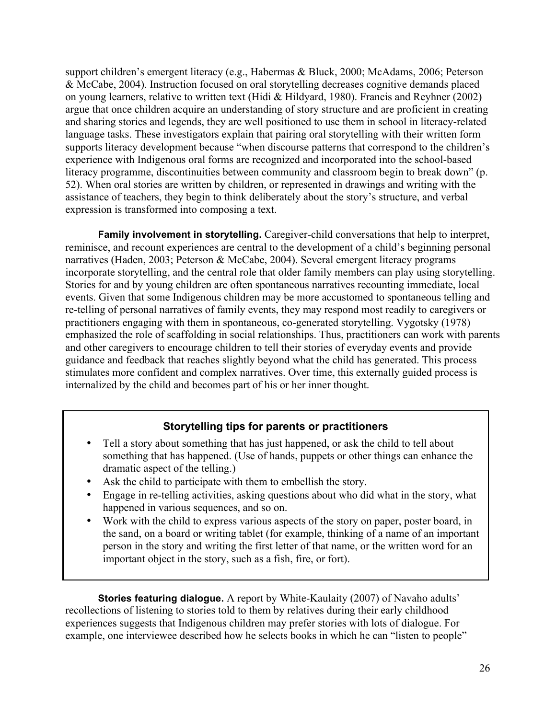support children's emergent literacy (e.g., Habermas & Bluck, 2000; McAdams, 2006; Peterson & McCabe, 2004). Instruction focused on oral storytelling decreases cognitive demands placed on young learners, relative to written text (Hidi & Hildyard, 1980). Francis and Reyhner (2002) argue that once children acquire an understanding of story structure and are proficient in creating and sharing stories and legends, they are well positioned to use them in school in literacy-related language tasks. These investigators explain that pairing oral storytelling with their written form supports literacy development because "when discourse patterns that correspond to the children's experience with Indigenous oral forms are recognized and incorporated into the school-based literacy programme, discontinuities between community and classroom begin to break down" (p. 52). When oral stories are written by children, or represented in drawings and writing with the assistance of teachers, they begin to think deliberately about the story's structure, and verbal expression is transformed into composing a text.

**Family involvement in storytelling.** Caregiver-child conversations that help to interpret, reminisce, and recount experiences are central to the development of a child's beginning personal narratives (Haden, 2003; Peterson & McCabe, 2004). Several emergent literacy programs incorporate storytelling, and the central role that older family members can play using storytelling. Stories for and by young children are often spontaneous narratives recounting immediate, local events. Given that some Indigenous children may be more accustomed to spontaneous telling and re-telling of personal narratives of family events, they may respond most readily to caregivers or practitioners engaging with them in spontaneous, co-generated storytelling. Vygotsky (1978) emphasized the role of scaffolding in social relationships. Thus, practitioners can work with parents and other caregivers to encourage children to tell their stories of everyday events and provide guidance and feedback that reaches slightly beyond what the child has generated. This process stimulates more confident and complex narratives. Over time, this externally guided process is internalized by the child and becomes part of his or her inner thought.

## **Storytelling tips for parents or practitioners**

- Tell a story about something that has just happened, or ask the child to tell about something that has happened. (Use of hands, puppets or other things can enhance the dramatic aspect of the telling.)
- Ask the child to participate with them to embellish the story.
- Engage in re-telling activities, asking questions about who did what in the story, what happened in various sequences, and so on.
- Work with the child to express various aspects of the story on paper, poster board, in the sand, on a board or writing tablet (for example, thinking of a name of an important person in the story and writing the first letter of that name, or the written word for an important object in the story, such as a fish, fire, or fort).

**Stories featuring dialogue.** A report by White-Kaulaity (2007) of Navaho adults' recollections of listening to stories told to them by relatives during their early childhood experiences suggests that Indigenous children may prefer stories with lots of dialogue. For example, one interviewee described how he selects books in which he can "listen to people"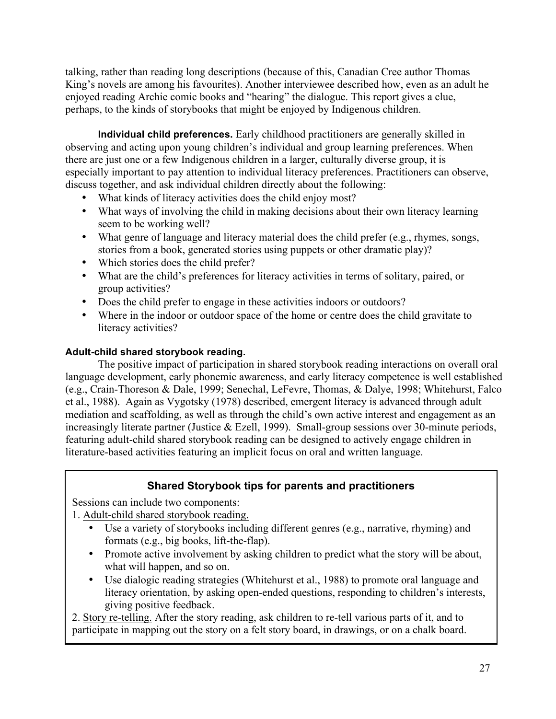talking, rather than reading long descriptions (because of this, Canadian Cree author Thomas King's novels are among his favourites). Another interviewee described how, even as an adult he enjoyed reading Archie comic books and "hearing" the dialogue. This report gives a clue, perhaps, to the kinds of storybooks that might be enjoyed by Indigenous children.

**Individual child preferences.** Early childhood practitioners are generally skilled in observing and acting upon young children's individual and group learning preferences. When there are just one or a few Indigenous children in a larger, culturally diverse group, it is especially important to pay attention to individual literacy preferences. Practitioners can observe, discuss together, and ask individual children directly about the following:

- What kinds of literacy activities does the child enjoy most?
- What ways of involving the child in making decisions about their own literacy learning seem to be working well?
- What genre of language and literacy material does the child prefer (e.g., rhymes, songs, stories from a book, generated stories using puppets or other dramatic play)?
- Which stories does the child prefer?
- What are the child's preferences for literacy activities in terms of solitary, paired, or group activities?
- Does the child prefer to engage in these activities indoors or outdoors?
- Where in the indoor or outdoor space of the home or centre does the child gravitate to literacy activities?

## **Adult-child shared storybook reading.**

The positive impact of participation in shared storybook reading interactions on overall oral language development, early phonemic awareness, and early literacy competence is well established (e.g., Crain-Thoreson & Dale, 1999; Senechal, LeFevre, Thomas, & Dalye, 1998; Whitehurst, Falco et al., 1988). Again as Vygotsky (1978) described, emergent literacy is advanced through adult mediation and scaffolding, as well as through the child's own active interest and engagement as an increasingly literate partner (Justice & Ezell, 1999). Small-group sessions over 30-minute periods, featuring adult-child shared storybook reading can be designed to actively engage children in literature-based activities featuring an implicit focus on oral and written language.

## **Shared Storybook tips for parents and practitioners**

Sessions can include two components:

- 1. Adult-child shared storybook reading.
	- Use a variety of storybooks including different genres (e.g., narrative, rhyming) and formats (e.g., big books, lift-the-flap).
	- Promote active involvement by asking children to predict what the story will be about, what will happen, and so on.
	- Use dialogic reading strategies (Whitehurst et al., 1988) to promote oral language and literacy orientation, by asking open-ended questions, responding to children's interests, giving positive feedback.

2. Story re-telling. After the story reading, ask children to re-tell various parts of it, and to participate in mapping out the story on a felt story board, in drawings, or on a chalk board.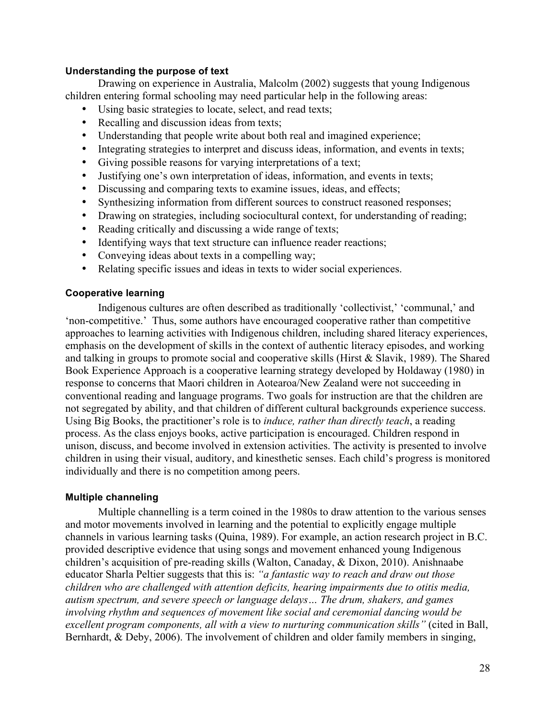### **Understanding the purpose of text**

Drawing on experience in Australia, Malcolm (2002) suggests that young Indigenous children entering formal schooling may need particular help in the following areas:

- Using basic strategies to locate, select, and read texts;
- Recalling and discussion ideas from texts;
- Understanding that people write about both real and imagined experience:
- Integrating strategies to interpret and discuss ideas, information, and events in texts;
- Giving possible reasons for varying interpretations of a text;
- Justifying one's own interpretation of ideas, information, and events in texts;
- Discussing and comparing texts to examine issues, ideas, and effects;
- Synthesizing information from different sources to construct reasoned responses;
- Drawing on strategies, including sociocultural context, for understanding of reading:
- Reading critically and discussing a wide range of texts;
- Identifying ways that text structure can influence reader reactions;
- Conveying ideas about texts in a compelling way;
- Relating specific issues and ideas in texts to wider social experiences.

### **Cooperative learning**

Indigenous cultures are often described as traditionally 'collectivist,' 'communal,' and 'non-competitive.' Thus, some authors have encouraged cooperative rather than competitive approaches to learning activities with Indigenous children, including shared literacy experiences, emphasis on the development of skills in the context of authentic literacy episodes, and working and talking in groups to promote social and cooperative skills (Hirst & Slavik, 1989). The Shared Book Experience Approach is a cooperative learning strategy developed by Holdaway (1980) in response to concerns that Maori children in Aotearoa/New Zealand were not succeeding in conventional reading and language programs. Two goals for instruction are that the children are not segregated by ability, and that children of different cultural backgrounds experience success. Using Big Books, the practitioner's role is to *induce, rather than directly teach*, a reading process. As the class enjoys books, active participation is encouraged. Children respond in unison, discuss, and become involved in extension activities. The activity is presented to involve children in using their visual, auditory, and kinesthetic senses. Each child's progress is monitored individually and there is no competition among peers.

### **Multiple channeling**

Multiple channelling is a term coined in the 1980s to draw attention to the various senses and motor movements involved in learning and the potential to explicitly engage multiple channels in various learning tasks (Quina, 1989). For example, an action research project in B.C. provided descriptive evidence that using songs and movement enhanced young Indigenous children's acquisition of pre-reading skills (Walton, Canaday, & Dixon, 2010). Anishnaabe educator Sharla Peltier suggests that this is: *"a fantastic way to reach and draw out those children who are challenged with attention deficits, hearing impairments due to otitis media, autism spectrum, and severe speech or language delays… The drum, shakers, and games involving rhythm and sequences of movement like social and ceremonial dancing would be excellent program components, all with a view to nurturing communication skills"* (cited in Ball, Bernhardt, & Deby, 2006). The involvement of children and older family members in singing,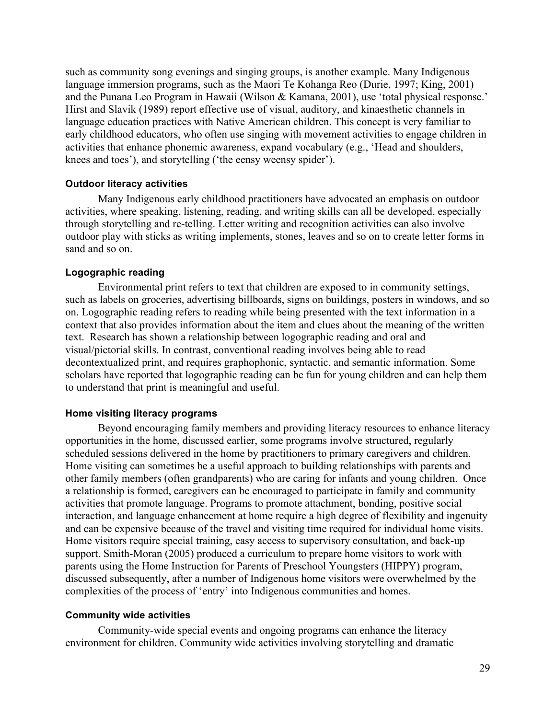such as community song evenings and singing groups, is another example. Many Indigenous language immersion programs, such as the Maori Te Kohanga Reo (Durie, 1997; King, 2001) and the Punana Leo Program in Hawaii (Wilson & Kamana, 2001), use 'total physical response.' Hirst and Slavik (1989) report effective use of visual, auditory, and kinaesthetic channels in language education practices with Native American children. This concept is very familiar to early childhood educators, who often use singing with movement activities to engage children in activities that enhance phonemic awareness, expand vocabulary (e.g., 'Head and shoulders, knees and toes'), and storytelling ('the eensy weensy spider').

#### **Outdoor literacy activities**

Many Indigenous early childhood practitioners have advocated an emphasis on outdoor activities, where speaking, listening, reading, and writing skills can all be developed, especially through storytelling and re-telling. Letter writing and recognition activities can also involve outdoor play with sticks as writing implements, stones, leaves and so on to create letter forms in sand and so on.

#### **Logographic reading**

Environmental print refers to text that children are exposed to in community settings, such as labels on groceries, advertising billboards, signs on buildings, posters in windows, and so on. Logographic reading refers to reading while being presented with the text information in a context that also provides information about the item and clues about the meaning of the written text. Research has shown a relationship between logographic reading and oral and visual/pictorial skills. In contrast, conventional reading involves being able to read decontextualized print, and requires graphophonic, syntactic, and semantic information. Some scholars have reported that logographic reading can be fun for young children and can help them to understand that print is meaningful and useful.

#### **Home visiting literacy programs**

Beyond encouraging family members and providing literacy resources to enhance literacy opportunities in the home, discussed earlier, some programs involve structured, regularly scheduled sessions delivered in the home by practitioners to primary caregivers and children. Home visiting can sometimes be a useful approach to building relationships with parents and other family members (often grandparents) who are caring for infants and young children. Once a relationship is formed, caregivers can be encouraged to participate in family and community activities that promote language. Programs to promote attachment, bonding, positive social interaction, and language enhancement at home require a high degree of flexibility and ingenuity and can be expensive because of the travel and visiting time required for individual home visits. Home visitors require special training, easy access to supervisory consultation, and back-up support. Smith-Moran (2005) produced a curriculum to prepare home visitors to work with parents using the Home Instruction for Parents of Preschool Youngsters (HIPPY) program, discussed subsequently, after a number of Indigenous home visitors were overwhelmed by the complexities of the process of 'entry' into Indigenous communities and homes.

#### **Community wide activities**

Community-wide special events and ongoing programs can enhance the literacy environment for children. Community wide activities involving storytelling and dramatic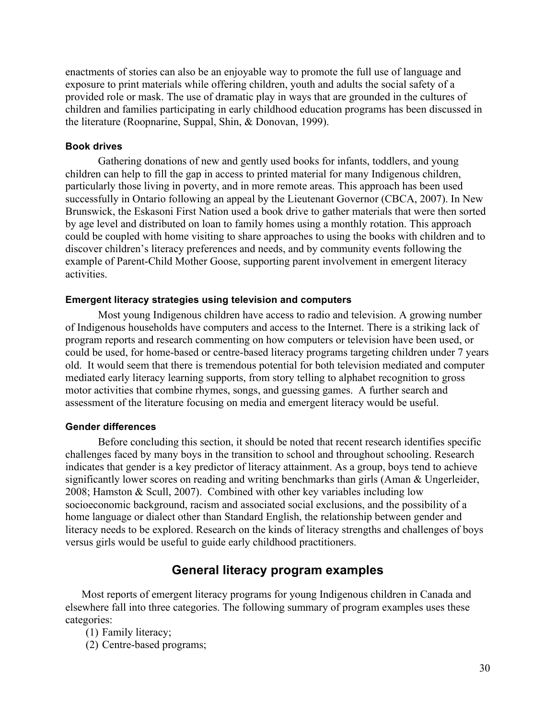enactments of stories can also be an enjoyable way to promote the full use of language and exposure to print materials while offering children, youth and adults the social safety of a provided role or mask. The use of dramatic play in ways that are grounded in the cultures of children and families participating in early childhood education programs has been discussed in the literature (Roopnarine, Suppal, Shin, & Donovan, 1999).

#### **Book drives**

Gathering donations of new and gently used books for infants, toddlers, and young children can help to fill the gap in access to printed material for many Indigenous children, particularly those living in poverty, and in more remote areas. This approach has been used successfully in Ontario following an appeal by the Lieutenant Governor (CBCA, 2007). In New Brunswick, the Eskasoni First Nation used a book drive to gather materials that were then sorted by age level and distributed on loan to family homes using a monthly rotation. This approach could be coupled with home visiting to share approaches to using the books with children and to discover children's literacy preferences and needs, and by community events following the example of Parent-Child Mother Goose, supporting parent involvement in emergent literacy activities.

#### **Emergent literacy strategies using television and computers**

Most young Indigenous children have access to radio and television. A growing number of Indigenous households have computers and access to the Internet. There is a striking lack of program reports and research commenting on how computers or television have been used, or could be used, for home-based or centre-based literacy programs targeting children under 7 years old. It would seem that there is tremendous potential for both television mediated and computer mediated early literacy learning supports, from story telling to alphabet recognition to gross motor activities that combine rhymes, songs, and guessing games. A further search and assessment of the literature focusing on media and emergent literacy would be useful.

#### **Gender differences**

Before concluding this section, it should be noted that recent research identifies specific challenges faced by many boys in the transition to school and throughout schooling. Research indicates that gender is a key predictor of literacy attainment. As a group, boys tend to achieve significantly lower scores on reading and writing benchmarks than girls (Aman & Ungerleider, 2008; Hamston & Scull, 2007). Combined with other key variables including low socioeconomic background, racism and associated social exclusions, and the possibility of a home language or dialect other than Standard English, the relationship between gender and literacy needs to be explored. Research on the kinds of literacy strengths and challenges of boys versus girls would be useful to guide early childhood practitioners.

## **General literacy program examples**

Most reports of emergent literacy programs for young Indigenous children in Canada and elsewhere fall into three categories. The following summary of program examples uses these categories:

- (1) Family literacy;
- (2) Centre-based programs;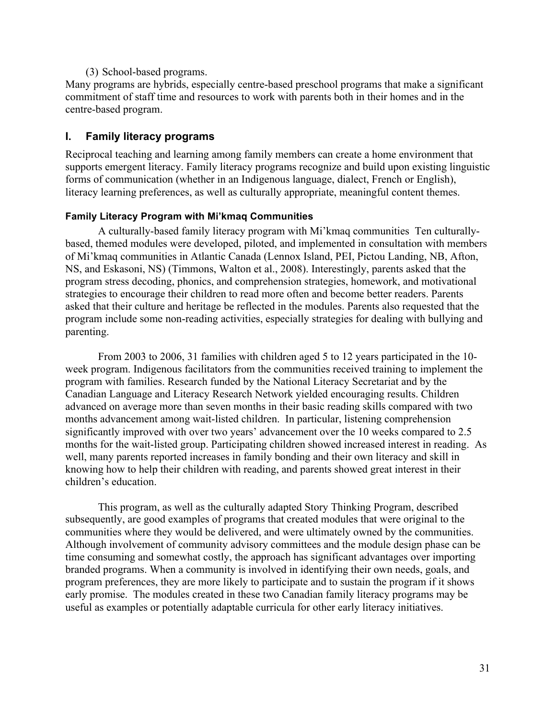#### (3) School-based programs.

Many programs are hybrids, especially centre-based preschool programs that make a significant commitment of staff time and resources to work with parents both in their homes and in the centre-based program.

#### **I. Family literacy programs**

Reciprocal teaching and learning among family members can create a home environment that supports emergent literacy. Family literacy programs recognize and build upon existing linguistic forms of communication (whether in an Indigenous language, dialect, French or English), literacy learning preferences, as well as culturally appropriate, meaningful content themes.

#### **Family Literacy Program with Mi'kmaq Communities**

A culturally-based family literacy program with Mi'kmaq communities Ten culturallybased, themed modules were developed, piloted, and implemented in consultation with members of Mi'kmaq communities in Atlantic Canada (Lennox Island, PEI, Pictou Landing, NB, Afton, NS, and Eskasoni, NS) (Timmons, Walton et al., 2008). Interestingly, parents asked that the program stress decoding, phonics, and comprehension strategies, homework, and motivational strategies to encourage their children to read more often and become better readers. Parents asked that their culture and heritage be reflected in the modules. Parents also requested that the program include some non-reading activities, especially strategies for dealing with bullying and parenting.

From 2003 to 2006, 31 families with children aged 5 to 12 years participated in the 10 week program. Indigenous facilitators from the communities received training to implement the program with families. Research funded by the National Literacy Secretariat and by the Canadian Language and Literacy Research Network yielded encouraging results. Children advanced on average more than seven months in their basic reading skills compared with two months advancement among wait-listed children. In particular, listening comprehension significantly improved with over two years' advancement over the 10 weeks compared to 2.5 months for the wait-listed group. Participating children showed increased interest in reading. As well, many parents reported increases in family bonding and their own literacy and skill in knowing how to help their children with reading, and parents showed great interest in their children's education.

This program, as well as the culturally adapted Story Thinking Program, described subsequently, are good examples of programs that created modules that were original to the communities where they would be delivered, and were ultimately owned by the communities. Although involvement of community advisory committees and the module design phase can be time consuming and somewhat costly, the approach has significant advantages over importing branded programs. When a community is involved in identifying their own needs, goals, and program preferences, they are more likely to participate and to sustain the program if it shows early promise. The modules created in these two Canadian family literacy programs may be useful as examples or potentially adaptable curricula for other early literacy initiatives.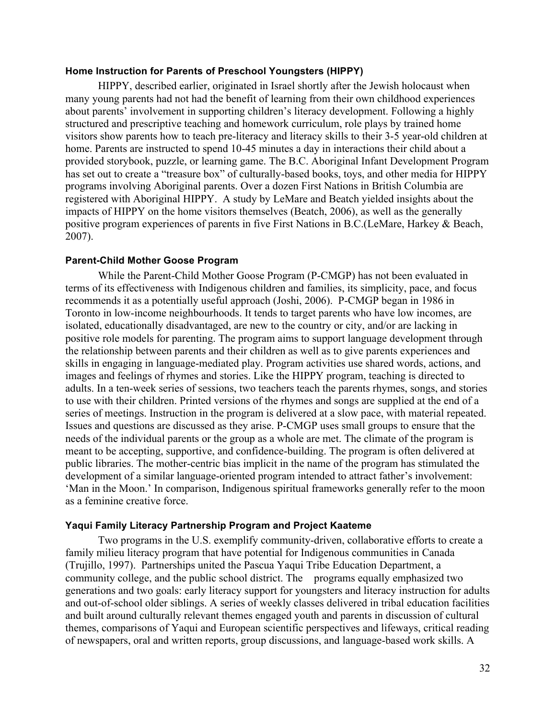#### **Home Instruction for Parents of Preschool Youngsters (HIPPY)**

HIPPY, described earlier, originated in Israel shortly after the Jewish holocaust when many young parents had not had the benefit of learning from their own childhood experiences about parents' involvement in supporting children's literacy development. Following a highly structured and prescriptive teaching and homework curriculum, role plays by trained home visitors show parents how to teach pre-literacy and literacy skills to their 3-5 year-old children at home. Parents are instructed to spend 10-45 minutes a day in interactions their child about a provided storybook, puzzle, or learning game. The B.C. Aboriginal Infant Development Program has set out to create a "treasure box" of culturally-based books, toys, and other media for HIPPY programs involving Aboriginal parents. Over a dozen First Nations in British Columbia are registered with Aboriginal HIPPY. A study by LeMare and Beatch yielded insights about the impacts of HIPPY on the home visitors themselves (Beatch, 2006), as well as the generally positive program experiences of parents in five First Nations in B.C.(LeMare, Harkey & Beach, 2007).

#### **Parent-Child Mother Goose Program**

While the Parent-Child Mother Goose Program (P-CMGP) has not been evaluated in terms of its effectiveness with Indigenous children and families, its simplicity, pace, and focus recommends it as a potentially useful approach (Joshi, 2006). P-CMGP began in 1986 in Toronto in low-income neighbourhoods. It tends to target parents who have low incomes, are isolated, educationally disadvantaged, are new to the country or city, and/or are lacking in positive role models for parenting. The program aims to support language development through the relationship between parents and their children as well as to give parents experiences and skills in engaging in language-mediated play. Program activities use shared words, actions, and images and feelings of rhymes and stories. Like the HIPPY program, teaching is directed to adults. In a ten-week series of sessions, two teachers teach the parents rhymes, songs, and stories to use with their children. Printed versions of the rhymes and songs are supplied at the end of a series of meetings. Instruction in the program is delivered at a slow pace, with material repeated. Issues and questions are discussed as they arise. P-CMGP uses small groups to ensure that the needs of the individual parents or the group as a whole are met. The climate of the program is meant to be accepting, supportive, and confidence-building. The program is often delivered at public libraries. The mother-centric bias implicit in the name of the program has stimulated the development of a similar language-oriented program intended to attract father's involvement: 'Man in the Moon.' In comparison, Indigenous spiritual frameworks generally refer to the moon as a feminine creative force.

#### **Yaqui Family Literacy Partnership Program and Project Kaateme**

Two programs in the U.S. exemplify community-driven, collaborative efforts to create a family milieu literacy program that have potential for Indigenous communities in Canada (Trujillo, 1997). Partnerships united the Pascua Yaqui Tribe Education Department, a community college, and the public school district. The programs equally emphasized two generations and two goals: early literacy support for youngsters and literacy instruction for adults and out-of-school older siblings. A series of weekly classes delivered in tribal education facilities and built around culturally relevant themes engaged youth and parents in discussion of cultural themes, comparisons of Yaqui and European scientific perspectives and lifeways, critical reading of newspapers, oral and written reports, group discussions, and language-based work skills. A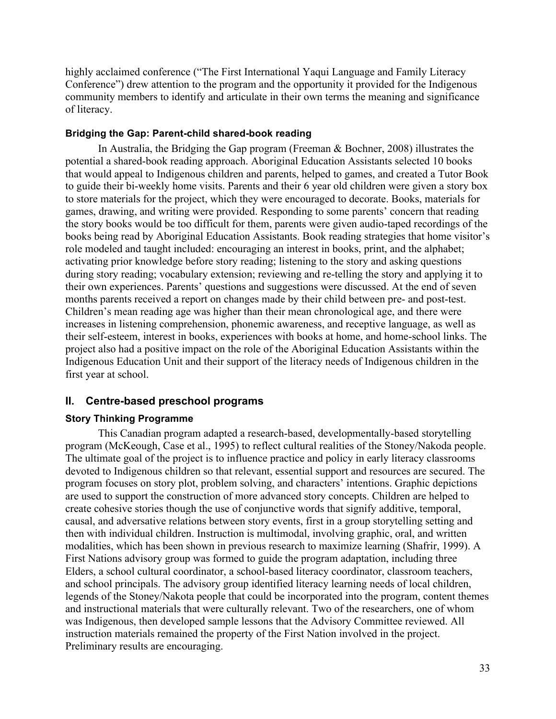highly acclaimed conference ("The First International Yaqui Language and Family Literacy Conference") drew attention to the program and the opportunity it provided for the Indigenous community members to identify and articulate in their own terms the meaning and significance of literacy.

#### **Bridging the Gap: Parent-child shared-book reading**

In Australia, the Bridging the Gap program (Freeman & Bochner, 2008) illustrates the potential a shared-book reading approach. Aboriginal Education Assistants selected 10 books that would appeal to Indigenous children and parents, helped to games, and created a Tutor Book to guide their bi-weekly home visits. Parents and their 6 year old children were given a story box to store materials for the project, which they were encouraged to decorate. Books, materials for games, drawing, and writing were provided. Responding to some parents' concern that reading the story books would be too difficult for them, parents were given audio-taped recordings of the books being read by Aboriginal Education Assistants. Book reading strategies that home visitor's role modeled and taught included: encouraging an interest in books, print, and the alphabet; activating prior knowledge before story reading; listening to the story and asking questions during story reading; vocabulary extension; reviewing and re-telling the story and applying it to their own experiences. Parents' questions and suggestions were discussed. At the end of seven months parents received a report on changes made by their child between pre- and post-test. Children's mean reading age was higher than their mean chronological age, and there were increases in listening comprehension, phonemic awareness, and receptive language, as well as their self-esteem, interest in books, experiences with books at home, and home-school links. The project also had a positive impact on the role of the Aboriginal Education Assistants within the Indigenous Education Unit and their support of the literacy needs of Indigenous children in the first year at school.

### **II. Centre-based preschool programs**

### **Story Thinking Programme**

This Canadian program adapted a research-based, developmentally-based storytelling program (McKeough, Case et al., 1995) to reflect cultural realities of the Stoney/Nakoda people. The ultimate goal of the project is to influence practice and policy in early literacy classrooms devoted to Indigenous children so that relevant, essential support and resources are secured. The program focuses on story plot, problem solving, and characters' intentions. Graphic depictions are used to support the construction of more advanced story concepts. Children are helped to create cohesive stories though the use of conjunctive words that signify additive, temporal, causal, and adversative relations between story events, first in a group storytelling setting and then with individual children. Instruction is multimodal, involving graphic, oral, and written modalities, which has been shown in previous research to maximize learning (Shafrir, 1999). A First Nations advisory group was formed to guide the program adaptation, including three Elders, a school cultural coordinator, a school-based literacy coordinator, classroom teachers, and school principals. The advisory group identified literacy learning needs of local children, legends of the Stoney/Nakota people that could be incorporated into the program, content themes and instructional materials that were culturally relevant. Two of the researchers, one of whom was Indigenous, then developed sample lessons that the Advisory Committee reviewed. All instruction materials remained the property of the First Nation involved in the project. Preliminary results are encouraging.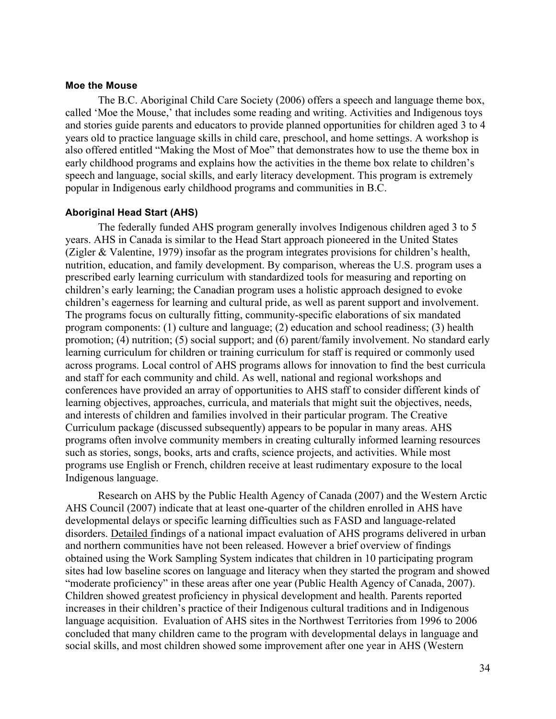#### **Moe the Mouse**

The B.C. Aboriginal Child Care Society (2006) offers a speech and language theme box, called 'Moe the Mouse,' that includes some reading and writing. Activities and Indigenous toys and stories guide parents and educators to provide planned opportunities for children aged 3 to 4 years old to practice language skills in child care, preschool, and home settings. A workshop is also offered entitled "Making the Most of Moe" that demonstrates how to use the theme box in early childhood programs and explains how the activities in the theme box relate to children's speech and language, social skills, and early literacy development. This program is extremely popular in Indigenous early childhood programs and communities in B.C.

#### **Aboriginal Head Start (AHS)**

The federally funded AHS program generally involves Indigenous children aged 3 to 5 years. AHS in Canada is similar to the Head Start approach pioneered in the United States (Zigler & Valentine, 1979) insofar as the program integrates provisions for children's health, nutrition, education, and family development. By comparison, whereas the U.S. program uses a prescribed early learning curriculum with standardized tools for measuring and reporting on children's early learning; the Canadian program uses a holistic approach designed to evoke children's eagerness for learning and cultural pride, as well as parent support and involvement. The programs focus on culturally fitting, community-specific elaborations of six mandated program components: (1) culture and language; (2) education and school readiness; (3) health promotion; (4) nutrition; (5) social support; and (6) parent/family involvement. No standard early learning curriculum for children or training curriculum for staff is required or commonly used across programs. Local control of AHS programs allows for innovation to find the best curricula and staff for each community and child. As well, national and regional workshops and conferences have provided an array of opportunities to AHS staff to consider different kinds of learning objectives, approaches, curricula, and materials that might suit the objectives, needs, and interests of children and families involved in their particular program. The Creative Curriculum package (discussed subsequently) appears to be popular in many areas. AHS programs often involve community members in creating culturally informed learning resources such as stories, songs, books, arts and crafts, science projects, and activities. While most programs use English or French, children receive at least rudimentary exposure to the local Indigenous language.

Research on AHS by the Public Health Agency of Canada (2007) and the Western Arctic AHS Council (2007) indicate that at least one-quarter of the children enrolled in AHS have developmental delays or specific learning difficulties such as FASD and language-related disorders. Detailed findings of a national impact evaluation of AHS programs delivered in urban and northern communities have not been released. However a brief overview of findings obtained using the Work Sampling System indicates that children in 10 participating program sites had low baseline scores on language and literacy when they started the program and showed "moderate proficiency" in these areas after one year (Public Health Agency of Canada, 2007). Children showed greatest proficiency in physical development and health. Parents reported increases in their children's practice of their Indigenous cultural traditions and in Indigenous language acquisition. Evaluation of AHS sites in the Northwest Territories from 1996 to 2006 concluded that many children came to the program with developmental delays in language and social skills, and most children showed some improvement after one year in AHS (Western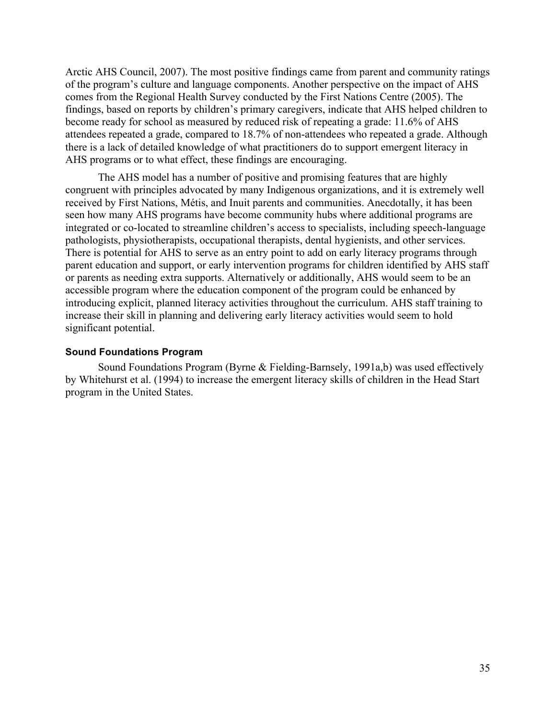Arctic AHS Council, 2007). The most positive findings came from parent and community ratings of the program's culture and language components. Another perspective on the impact of AHS comes from the Regional Health Survey conducted by the First Nations Centre (2005). The findings, based on reports by children's primary caregivers, indicate that AHS helped children to become ready for school as measured by reduced risk of repeating a grade: 11.6% of AHS attendees repeated a grade, compared to 18.7% of non-attendees who repeated a grade. Although there is a lack of detailed knowledge of what practitioners do to support emergent literacy in AHS programs or to what effect, these findings are encouraging.

The AHS model has a number of positive and promising features that are highly congruent with principles advocated by many Indigenous organizations, and it is extremely well received by First Nations, Métis, and Inuit parents and communities. Anecdotally, it has been seen how many AHS programs have become community hubs where additional programs are integrated or co-located to streamline children's access to specialists, including speech-language pathologists, physiotherapists, occupational therapists, dental hygienists, and other services. There is potential for AHS to serve as an entry point to add on early literacy programs through parent education and support, or early intervention programs for children identified by AHS staff or parents as needing extra supports. Alternatively or additionally, AHS would seem to be an accessible program where the education component of the program could be enhanced by introducing explicit, planned literacy activities throughout the curriculum. AHS staff training to increase their skill in planning and delivering early literacy activities would seem to hold significant potential.

#### **Sound Foundations Program**

Sound Foundations Program (Byrne & Fielding-Barnsely, 1991a,b) was used effectively by Whitehurst et al. (1994) to increase the emergent literacy skills of children in the Head Start program in the United States.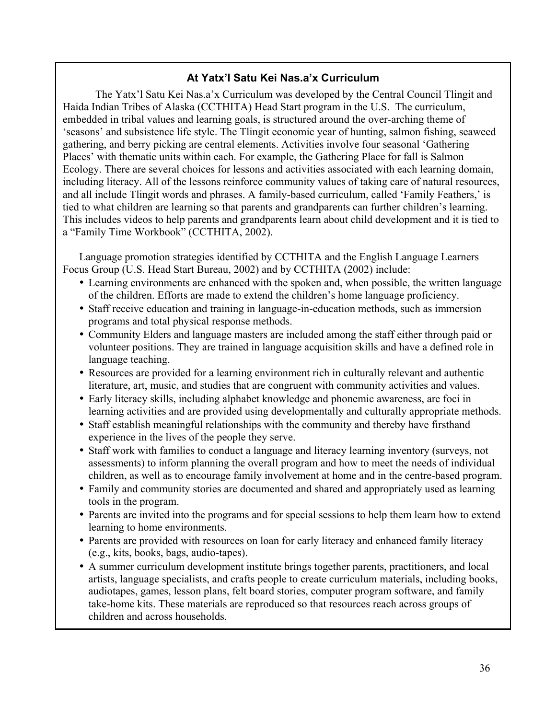### **At Yatx'I Satu Kei Nas.a'x Curriculum**

The Yatx'l Satu Kei Nas.a'x Curriculum was developed by the Central Council Tlingit and Haida Indian Tribes of Alaska (CCTHITA) Head Start program in the U.S. The curriculum, embedded in tribal values and learning goals, is structured around the over-arching theme of 'seasons' and subsistence life style. The Tlingit economic year of hunting, salmon fishing, seaweed gathering, and berry picking are central elements. Activities involve four seasonal 'Gathering Places' with thematic units within each. For example, the Gathering Place for fall is Salmon Ecology. There are several choices for lessons and activities associated with each learning domain, including literacy. All of the lessons reinforce community values of taking care of natural resources, and all include Tlingit words and phrases. A family-based curriculum, called 'Family Feathers,' is tied to what children are learning so that parents and grandparents can further children's learning. This includes videos to help parents and grandparents learn about child development and it is tied to a "Family Time Workbook" (CCTHITA, 2002).

Language promotion strategies identified by CCTHITA and the English Language Learners Focus Group (U.S. Head Start Bureau, 2002) and by CCTHITA (2002) include:

- Learning environments are enhanced with the spoken and, when possible, the written language of the children. Efforts are made to extend the children's home language proficiency.
- Staff receive education and training in language-in-education methods, such as immersion programs and total physical response methods.
- Community Elders and language masters are included among the staff either through paid or volunteer positions. They are trained in language acquisition skills and have a defined role in language teaching.
- Resources are provided for a learning environment rich in culturally relevant and authentic literature, art, music, and studies that are congruent with community activities and values.
- Early literacy skills, including alphabet knowledge and phonemic awareness, are foci in learning activities and are provided using developmentally and culturally appropriate methods.
- Staff establish meaningful relationships with the community and thereby have firsthand experience in the lives of the people they serve.
- Staff work with families to conduct a language and literacy learning inventory (surveys, not assessments) to inform planning the overall program and how to meet the needs of individual children, as well as to encourage family involvement at home and in the centre-based program.
- Family and community stories are documented and shared and appropriately used as learning tools in the program.
- Parents are invited into the programs and for special sessions to help them learn how to extend learning to home environments.
- Parents are provided with resources on loan for early literacy and enhanced family literacy (e.g., kits, books, bags, audio-tapes).
- A summer curriculum development institute brings together parents, practitioners, and local artists, language specialists, and crafts people to create curriculum materials, including books, audiotapes, games, lesson plans, felt board stories, computer program software, and family take-home kits. These materials are reproduced so that resources reach across groups of children and across households.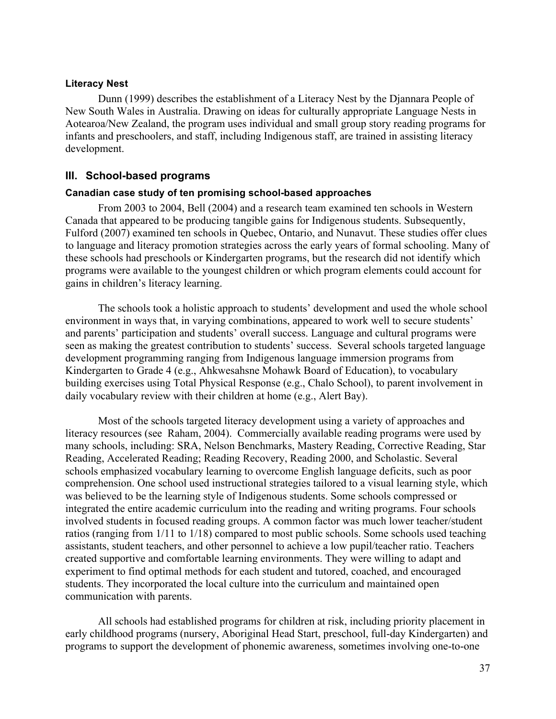#### **Literacy Nest**

Dunn (1999) describes the establishment of a Literacy Nest by the Djannara People of New South Wales in Australia. Drawing on ideas for culturally appropriate Language Nests in Aotearoa/New Zealand, the program uses individual and small group story reading programs for infants and preschoolers, and staff, including Indigenous staff, are trained in assisting literacy development.

### **III. School-based programs**

### **Canadian case study of ten promising school-based approaches**

From 2003 to 2004, Bell (2004) and a research team examined ten schools in Western Canada that appeared to be producing tangible gains for Indigenous students. Subsequently, Fulford (2007) examined ten schools in Quebec, Ontario, and Nunavut. These studies offer clues to language and literacy promotion strategies across the early years of formal schooling. Many of these schools had preschools or Kindergarten programs, but the research did not identify which programs were available to the youngest children or which program elements could account for gains in children's literacy learning.

The schools took a holistic approach to students' development and used the whole school environment in ways that, in varying combinations, appeared to work well to secure students' and parents' participation and students' overall success. Language and cultural programs were seen as making the greatest contribution to students' success. Several schools targeted language development programming ranging from Indigenous language immersion programs from Kindergarten to Grade 4 (e.g., Ahkwesahsne Mohawk Board of Education), to vocabulary building exercises using Total Physical Response (e.g., Chalo School), to parent involvement in daily vocabulary review with their children at home (e.g., Alert Bay).

Most of the schools targeted literacy development using a variety of approaches and literacy resources (see Raham, 2004). Commercially available reading programs were used by many schools, including: SRA, Nelson Benchmarks, Mastery Reading, Corrective Reading, Star Reading, Accelerated Reading; Reading Recovery, Reading 2000, and Scholastic. Several schools emphasized vocabulary learning to overcome English language deficits, such as poor comprehension. One school used instructional strategies tailored to a visual learning style, which was believed to be the learning style of Indigenous students. Some schools compressed or integrated the entire academic curriculum into the reading and writing programs. Four schools involved students in focused reading groups. A common factor was much lower teacher/student ratios (ranging from 1/11 to 1/18) compared to most public schools. Some schools used teaching assistants, student teachers, and other personnel to achieve a low pupil/teacher ratio. Teachers created supportive and comfortable learning environments. They were willing to adapt and experiment to find optimal methods for each student and tutored, coached, and encouraged students. They incorporated the local culture into the curriculum and maintained open communication with parents.

All schools had established programs for children at risk, including priority placement in early childhood programs (nursery, Aboriginal Head Start, preschool, full-day Kindergarten) and programs to support the development of phonemic awareness, sometimes involving one-to-one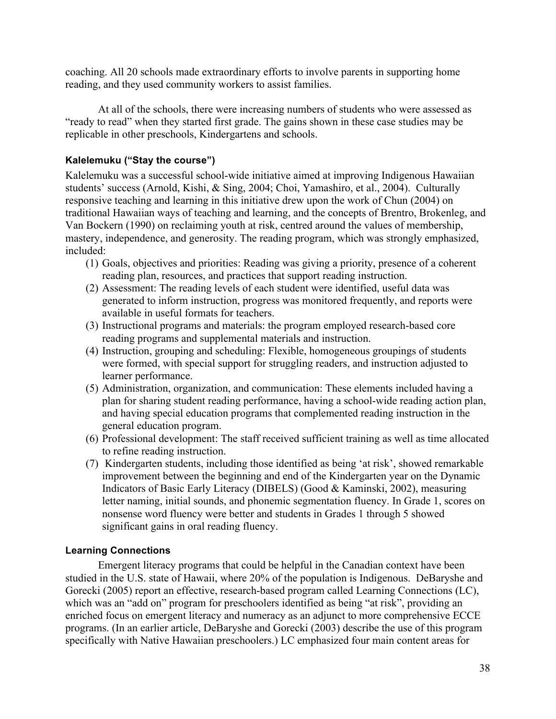coaching. All 20 schools made extraordinary efforts to involve parents in supporting home reading, and they used community workers to assist families.

At all of the schools, there were increasing numbers of students who were assessed as "ready to read" when they started first grade. The gains shown in these case studies may be replicable in other preschools, Kindergartens and schools.

### **Kalelemuku ("Stay the course")**

Kalelemuku was a successful school-wide initiative aimed at improving Indigenous Hawaiian students' success (Arnold, Kishi, & Sing, 2004; Choi, Yamashiro, et al., 2004). Culturally responsive teaching and learning in this initiative drew upon the work of Chun (2004) on traditional Hawaiian ways of teaching and learning, and the concepts of Brentro, Brokenleg, and Van Bockern (1990) on reclaiming youth at risk, centred around the values of membership, mastery, independence, and generosity. The reading program, which was strongly emphasized, included:

- (1) Goals, objectives and priorities: Reading was giving a priority, presence of a coherent reading plan, resources, and practices that support reading instruction.
- (2) Assessment: The reading levels of each student were identified, useful data was generated to inform instruction, progress was monitored frequently, and reports were available in useful formats for teachers.
- (3) Instructional programs and materials: the program employed research-based core reading programs and supplemental materials and instruction.
- (4) Instruction, grouping and scheduling: Flexible, homogeneous groupings of students were formed, with special support for struggling readers, and instruction adjusted to learner performance.
- (5) Administration, organization, and communication: These elements included having a plan for sharing student reading performance, having a school-wide reading action plan, and having special education programs that complemented reading instruction in the general education program.
- (6) Professional development: The staff received sufficient training as well as time allocated to refine reading instruction.
- (7) Kindergarten students, including those identified as being 'at risk', showed remarkable improvement between the beginning and end of the Kindergarten year on the Dynamic Indicators of Basic Early Literacy (DIBELS) (Good & Kaminski, 2002), measuring letter naming, initial sounds, and phonemic segmentation fluency. In Grade 1, scores on nonsense word fluency were better and students in Grades 1 through 5 showed significant gains in oral reading fluency.

### **Learning Connections**

Emergent literacy programs that could be helpful in the Canadian context have been studied in the U.S. state of Hawaii, where 20% of the population is Indigenous. DeBaryshe and Gorecki (2005) report an effective, research-based program called Learning Connections (LC), which was an "add on" program for preschoolers identified as being "at risk", providing an enriched focus on emergent literacy and numeracy as an adjunct to more comprehensive ECCE programs. (In an earlier article, DeBaryshe and Gorecki (2003) describe the use of this program specifically with Native Hawaiian preschoolers.) LC emphasized four main content areas for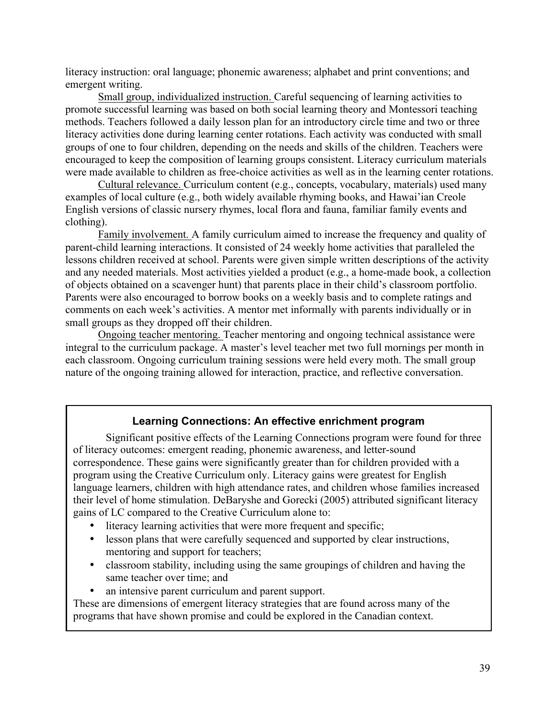literacy instruction: oral language; phonemic awareness; alphabet and print conventions; and emergent writing.

Small group, individualized instruction. Careful sequencing of learning activities to promote successful learning was based on both social learning theory and Montessori teaching methods. Teachers followed a daily lesson plan for an introductory circle time and two or three literacy activities done during learning center rotations. Each activity was conducted with small groups of one to four children, depending on the needs and skills of the children. Teachers were encouraged to keep the composition of learning groups consistent. Literacy curriculum materials were made available to children as free-choice activities as well as in the learning center rotations.

Cultural relevance. Curriculum content (e.g., concepts, vocabulary, materials) used many examples of local culture (e.g., both widely available rhyming books, and Hawai'ian Creole English versions of classic nursery rhymes, local flora and fauna, familiar family events and clothing).

Family involvement. A family curriculum aimed to increase the frequency and quality of parent-child learning interactions. It consisted of 24 weekly home activities that paralleled the lessons children received at school. Parents were given simple written descriptions of the activity and any needed materials. Most activities yielded a product (e.g., a home-made book, a collection of objects obtained on a scavenger hunt) that parents place in their child's classroom portfolio. Parents were also encouraged to borrow books on a weekly basis and to complete ratings and comments on each week's activities. A mentor met informally with parents individually or in small groups as they dropped off their children.

Ongoing teacher mentoring. Teacher mentoring and ongoing technical assistance were integral to the curriculum package. A master's level teacher met two full mornings per month in each classroom. Ongoing curriculum training sessions were held every moth. The small group nature of the ongoing training allowed for interaction, practice, and reflective conversation.

### **Learning Connections: An effective enrichment program**

Significant positive effects of the Learning Connections program were found for three of literacy outcomes: emergent reading, phonemic awareness, and letter-sound correspondence. These gains were significantly greater than for children provided with a program using the Creative Curriculum only. Literacy gains were greatest for English language learners, children with high attendance rates, and children whose families increased their level of home stimulation. DeBaryshe and Gorecki (2005) attributed significant literacy gains of LC compared to the Creative Curriculum alone to:

- literacy learning activities that were more frequent and specific;
- lesson plans that were carefully sequenced and supported by clear instructions, mentoring and support for teachers;
- classroom stability, including using the same groupings of children and having the same teacher over time; and
- an intensive parent curriculum and parent support.

These are dimensions of emergent literacy strategies that are found across many of the programs that have shown promise and could be explored in the Canadian context.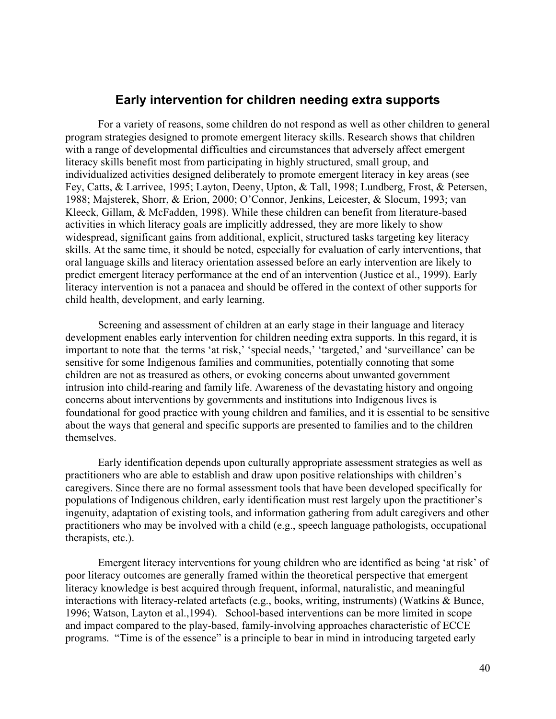## **Early intervention for children needing extra supports**

For a variety of reasons, some children do not respond as well as other children to general program strategies designed to promote emergent literacy skills. Research shows that children with a range of developmental difficulties and circumstances that adversely affect emergent literacy skills benefit most from participating in highly structured, small group, and individualized activities designed deliberately to promote emergent literacy in key areas (see Fey, Catts, & Larrivee, 1995; Layton, Deeny, Upton, & Tall, 1998; Lundberg, Frost, & Petersen, 1988; Majsterek, Shorr, & Erion, 2000; O'Connor, Jenkins, Leicester, & Slocum, 1993; van Kleeck, Gillam, & McFadden, 1998). While these children can benefit from literature-based activities in which literacy goals are implicitly addressed, they are more likely to show widespread, significant gains from additional, explicit, structured tasks targeting key literacy skills. At the same time, it should be noted, especially for evaluation of early interventions, that oral language skills and literacy orientation assessed before an early intervention are likely to predict emergent literacy performance at the end of an intervention (Justice et al., 1999). Early literacy intervention is not a panacea and should be offered in the context of other supports for child health, development, and early learning.

Screening and assessment of children at an early stage in their language and literacy development enables early intervention for children needing extra supports. In this regard, it is important to note that the terms 'at risk,' 'special needs,' 'targeted,' and 'surveillance' can be sensitive for some Indigenous families and communities, potentially connoting that some children are not as treasured as others, or evoking concerns about unwanted government intrusion into child-rearing and family life. Awareness of the devastating history and ongoing concerns about interventions by governments and institutions into Indigenous lives is foundational for good practice with young children and families, and it is essential to be sensitive about the ways that general and specific supports are presented to families and to the children themselves.

Early identification depends upon culturally appropriate assessment strategies as well as practitioners who are able to establish and draw upon positive relationships with children's caregivers. Since there are no formal assessment tools that have been developed specifically for populations of Indigenous children, early identification must rest largely upon the practitioner's ingenuity, adaptation of existing tools, and information gathering from adult caregivers and other practitioners who may be involved with a child (e.g., speech language pathologists, occupational therapists, etc.).

Emergent literacy interventions for young children who are identified as being 'at risk' of poor literacy outcomes are generally framed within the theoretical perspective that emergent literacy knowledge is best acquired through frequent, informal, naturalistic, and meaningful interactions with literacy-related artefacts (e.g., books, writing, instruments) (Watkins & Bunce, 1996; Watson, Layton et al.,1994). School-based interventions can be more limited in scope and impact compared to the play-based, family-involving approaches characteristic of ECCE programs. "Time is of the essence" is a principle to bear in mind in introducing targeted early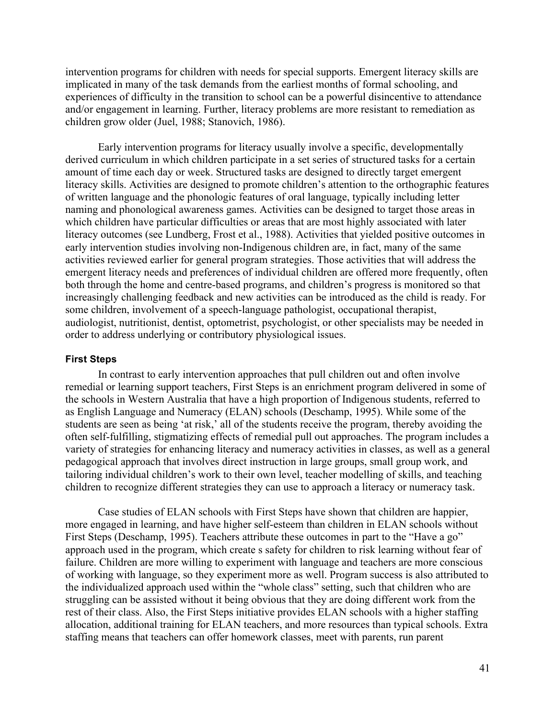intervention programs for children with needs for special supports. Emergent literacy skills are implicated in many of the task demands from the earliest months of formal schooling, and experiences of difficulty in the transition to school can be a powerful disincentive to attendance and/or engagement in learning. Further, literacy problems are more resistant to remediation as children grow older (Juel, 1988; Stanovich, 1986).

Early intervention programs for literacy usually involve a specific, developmentally derived curriculum in which children participate in a set series of structured tasks for a certain amount of time each day or week. Structured tasks are designed to directly target emergent literacy skills. Activities are designed to promote children's attention to the orthographic features of written language and the phonologic features of oral language, typically including letter naming and phonological awareness games. Activities can be designed to target those areas in which children have particular difficulties or areas that are most highly associated with later literacy outcomes (see Lundberg, Frost et al., 1988). Activities that yielded positive outcomes in early intervention studies involving non-Indigenous children are, in fact, many of the same activities reviewed earlier for general program strategies. Those activities that will address the emergent literacy needs and preferences of individual children are offered more frequently, often both through the home and centre-based programs, and children's progress is monitored so that increasingly challenging feedback and new activities can be introduced as the child is ready. For some children, involvement of a speech-language pathologist, occupational therapist, audiologist, nutritionist, dentist, optometrist, psychologist, or other specialists may be needed in order to address underlying or contributory physiological issues.

#### **First Steps**

In contrast to early intervention approaches that pull children out and often involve remedial or learning support teachers, First Steps is an enrichment program delivered in some of the schools in Western Australia that have a high proportion of Indigenous students, referred to as English Language and Numeracy (ELAN) schools (Deschamp, 1995). While some of the students are seen as being 'at risk,' all of the students receive the program, thereby avoiding the often self-fulfilling, stigmatizing effects of remedial pull out approaches. The program includes a variety of strategies for enhancing literacy and numeracy activities in classes, as well as a general pedagogical approach that involves direct instruction in large groups, small group work, and tailoring individual children's work to their own level, teacher modelling of skills, and teaching children to recognize different strategies they can use to approach a literacy or numeracy task.

Case studies of ELAN schools with First Steps have shown that children are happier, more engaged in learning, and have higher self-esteem than children in ELAN schools without First Steps (Deschamp, 1995). Teachers attribute these outcomes in part to the "Have a go" approach used in the program, which create s safety for children to risk learning without fear of failure. Children are more willing to experiment with language and teachers are more conscious of working with language, so they experiment more as well. Program success is also attributed to the individualized approach used within the "whole class" setting, such that children who are struggling can be assisted without it being obvious that they are doing different work from the rest of their class. Also, the First Steps initiative provides ELAN schools with a higher staffing allocation, additional training for ELAN teachers, and more resources than typical schools. Extra staffing means that teachers can offer homework classes, meet with parents, run parent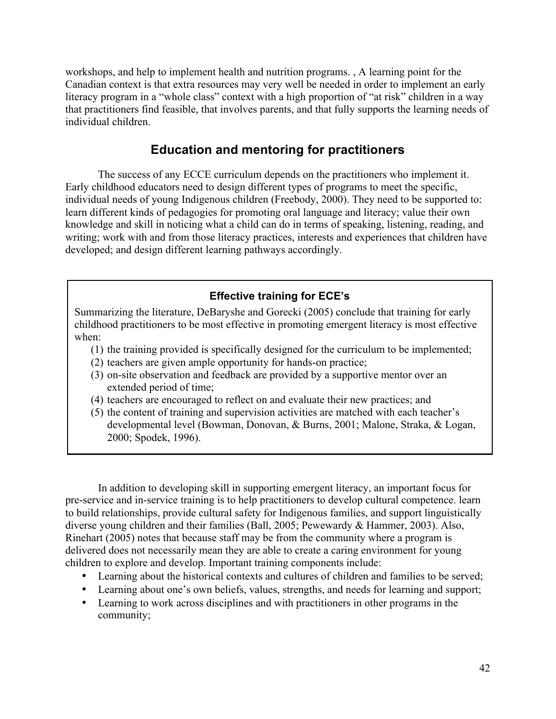workshops, and help to implement health and nutrition programs. , A learning point for the Canadian context is that extra resources may very well be needed in order to implement an early literacy program in a "whole class" context with a high proportion of "at risk" children in a way that practitioners find feasible, that involves parents, and that fully supports the learning needs of individual children.

## **Education and mentoring for practitioners**

The success of any ECCE curriculum depends on the practitioners who implement it. Early childhood educators need to design different types of programs to meet the specific, individual needs of young Indigenous children (Freebody, 2000). They need to be supported to: learn different kinds of pedagogies for promoting oral language and literacy; value their own knowledge and skill in noticing what a child can do in terms of speaking, listening, reading, and writing; work with and from those literacy practices, interests and experiences that children have developed; and design different learning pathways accordingly.

## **Effective training for ECE's**

Summarizing the literature, DeBaryshe and Gorecki (2005) conclude that training for early childhood practitioners to be most effective in promoting emergent literacy is most effective when:

- (1) the training provided is specifically designed for the curriculum to be implemented;
- (2) teachers are given ample opportunity for hands-on practice;
- (3) on-site observation and feedback are provided by a supportive mentor over an extended period of time;
- (4) teachers are encouraged to reflect on and evaluate their new practices; and
- (5) the content of training and supervision activities are matched with each teacher's developmental level (Bowman, Donovan, & Burns, 2001; Malone, Straka, & Logan, 2000; Spodek, 1996).

In addition to developing skill in supporting emergent literacy, an important focus for pre-service and in-service training is to help practitioners to develop cultural competence. learn to build relationships, provide cultural safety for Indigenous families, and support linguistically diverse young children and their families (Ball, 2005; Pewewardy & Hammer, 2003). Also, Rinehart (2005) notes that because staff may be from the community where a program is delivered does not necessarily mean they are able to create a caring environment for young children to explore and develop. Important training components include:

- Learning about the historical contexts and cultures of children and families to be served;
- Learning about one's own beliefs, values, strengths, and needs for learning and support;
- Learning to work across disciplines and with practitioners in other programs in the community;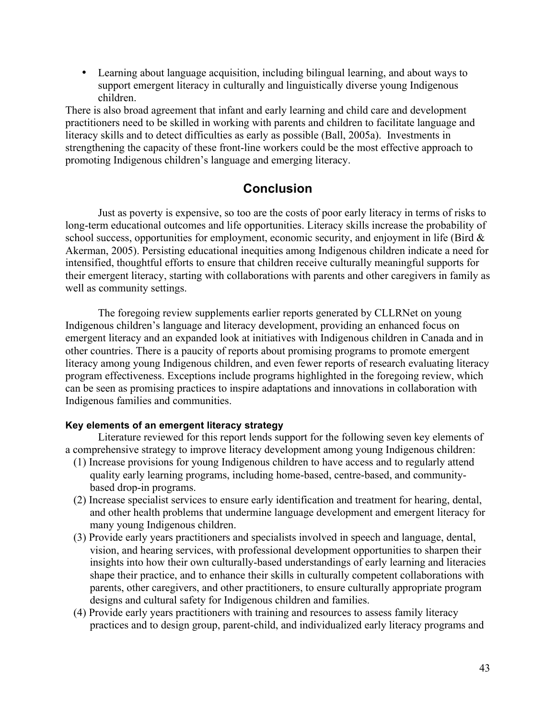• Learning about language acquisition, including bilingual learning, and about ways to support emergent literacy in culturally and linguistically diverse young Indigenous children.

There is also broad agreement that infant and early learning and child care and development practitioners need to be skilled in working with parents and children to facilitate language and literacy skills and to detect difficulties as early as possible (Ball, 2005a). Investments in strengthening the capacity of these front-line workers could be the most effective approach to promoting Indigenous children's language and emerging literacy.

## **Conclusion**

Just as poverty is expensive, so too are the costs of poor early literacy in terms of risks to long-term educational outcomes and life opportunities. Literacy skills increase the probability of school success, opportunities for employment, economic security, and enjoyment in life (Bird  $\&$ Akerman, 2005). Persisting educational inequities among Indigenous children indicate a need for intensified, thoughtful efforts to ensure that children receive culturally meaningful supports for their emergent literacy, starting with collaborations with parents and other caregivers in family as well as community settings.

The foregoing review supplements earlier reports generated by CLLRNet on young Indigenous children's language and literacy development, providing an enhanced focus on emergent literacy and an expanded look at initiatives with Indigenous children in Canada and in other countries. There is a paucity of reports about promising programs to promote emergent literacy among young Indigenous children, and even fewer reports of research evaluating literacy program effectiveness. Exceptions include programs highlighted in the foregoing review, which can be seen as promising practices to inspire adaptations and innovations in collaboration with Indigenous families and communities.

### **Key elements of an emergent literacy strategy**

Literature reviewed for this report lends support for the following seven key elements of a comprehensive strategy to improve literacy development among young Indigenous children:

- (1) Increase provisions for young Indigenous children to have access and to regularly attend quality early learning programs, including home-based, centre-based, and communitybased drop-in programs.
- (2) Increase specialist services to ensure early identification and treatment for hearing, dental, and other health problems that undermine language development and emergent literacy for many young Indigenous children.
- (3) Provide early years practitioners and specialists involved in speech and language, dental, vision, and hearing services, with professional development opportunities to sharpen their insights into how their own culturally-based understandings of early learning and literacies shape their practice, and to enhance their skills in culturally competent collaborations with parents, other caregivers, and other practitioners, to ensure culturally appropriate program designs and cultural safety for Indigenous children and families.
- (4) Provide early years practitioners with training and resources to assess family literacy practices and to design group, parent-child, and individualized early literacy programs and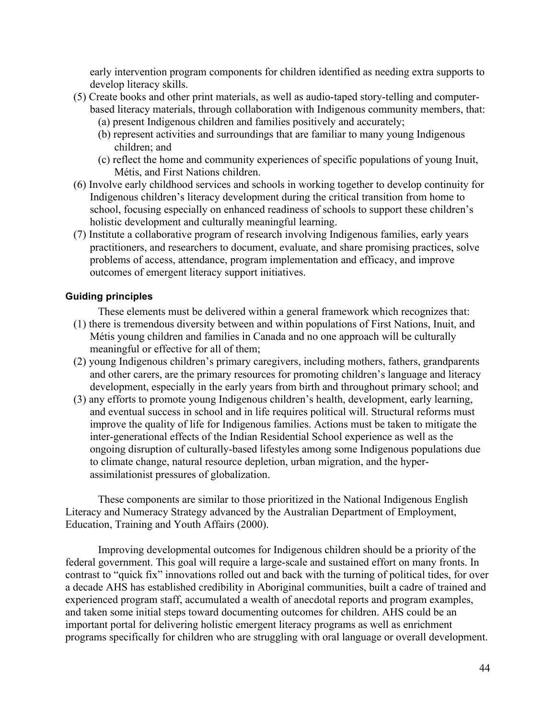early intervention program components for children identified as needing extra supports to develop literacy skills.

- (5) Create books and other print materials, as well as audio-taped story-telling and computerbased literacy materials, through collaboration with Indigenous community members, that:
	- (a) present Indigenous children and families positively and accurately;
	- (b) represent activities and surroundings that are familiar to many young Indigenous children; and
	- (c) reflect the home and community experiences of specific populations of young Inuit, Métis, and First Nations children.
- (6) Involve early childhood services and schools in working together to develop continuity for Indigenous children's literacy development during the critical transition from home to school, focusing especially on enhanced readiness of schools to support these children's holistic development and culturally meaningful learning.
- (7) Institute a collaborative program of research involving Indigenous families, early years practitioners, and researchers to document, evaluate, and share promising practices, solve problems of access, attendance, program implementation and efficacy, and improve outcomes of emergent literacy support initiatives.

### **Guiding principles**

These elements must be delivered within a general framework which recognizes that:

- (1) there is tremendous diversity between and within populations of First Nations, Inuit, and Métis young children and families in Canada and no one approach will be culturally meaningful or effective for all of them;
- (2) young Indigenous children's primary caregivers, including mothers, fathers, grandparents and other carers, are the primary resources for promoting children's language and literacy development, especially in the early years from birth and throughout primary school; and
- (3) any efforts to promote young Indigenous children's health, development, early learning, and eventual success in school and in life requires political will. Structural reforms must improve the quality of life for Indigenous families. Actions must be taken to mitigate the inter-generational effects of the Indian Residential School experience as well as the ongoing disruption of culturally-based lifestyles among some Indigenous populations due to climate change, natural resource depletion, urban migration, and the hyperassimilationist pressures of globalization.

These components are similar to those prioritized in the National Indigenous English Literacy and Numeracy Strategy advanced by the Australian Department of Employment, Education, Training and Youth Affairs (2000).

Improving developmental outcomes for Indigenous children should be a priority of the federal government. This goal will require a large-scale and sustained effort on many fronts. In contrast to "quick fix" innovations rolled out and back with the turning of political tides, for over a decade AHS has established credibility in Aboriginal communities, built a cadre of trained and experienced program staff, accumulated a wealth of anecdotal reports and program examples, and taken some initial steps toward documenting outcomes for children. AHS could be an important portal for delivering holistic emergent literacy programs as well as enrichment programs specifically for children who are struggling with oral language or overall development.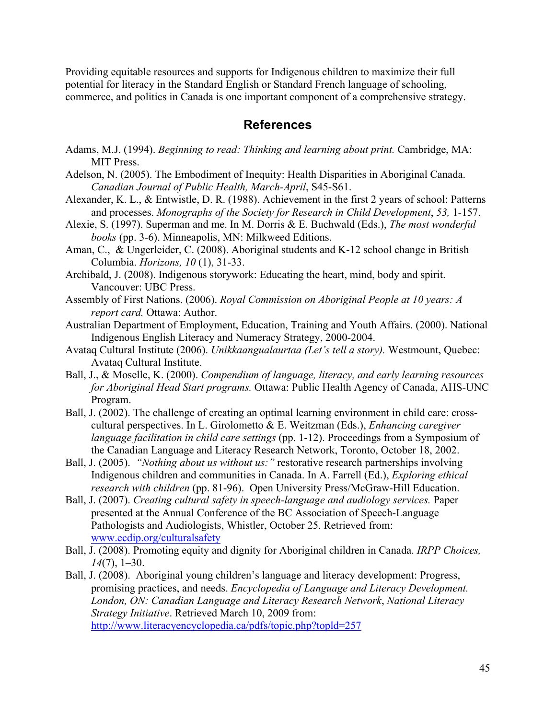Providing equitable resources and supports for Indigenous children to maximize their full potential for literacy in the Standard English or Standard French language of schooling, commerce, and politics in Canada is one important component of a comprehensive strategy.

### **References**

- Adams, M.J. (1994). *Beginning to read: Thinking and learning about print.* Cambridge, MA: MIT Press.
- Adelson, N. (2005). The Embodiment of Inequity: Health Disparities in Aboriginal Canada. *Canadian Journal of Public Health, March-April*, S45-S61.
- Alexander, K. L., & Entwistle, D. R. (1988). Achievement in the first 2 years of school: Patterns and processes. *Monographs of the Society for Research in Child Development*, *53,* 1-157.
- Alexie, S. (1997). Superman and me. In M. Dorris & E. Buchwald (Eds.), *The most wonderful books* (pp. 3-6). Minneapolis, MN: Milkweed Editions.
- Aman, C., & Ungerleider, C. (2008). Aboriginal students and K-12 school change in British Columbia. *Horizons, 10* (1), 31-33.
- Archibald, J. (2008). Indigenous storywork: Educating the heart, mind, body and spirit. Vancouver: UBC Press.
- Assembly of First Nations. (2006). *Royal Commission on Aboriginal People at 10 years: A report card.* Ottawa: Author.
- Australian Department of Employment, Education, Training and Youth Affairs. (2000). National Indigenous English Literacy and Numeracy Strategy, 2000-2004.
- Avataq Cultural Institute (2006). *Unikkaangualaurtaa (Let's tell a story).* Westmount, Quebec: Avataq Cultural Institute.
- Ball, J., & Moselle, K. (2000). *Compendium of language, literacy, and early learning resources for Aboriginal Head Start programs.* Ottawa: Public Health Agency of Canada, AHS-UNC Program.
- Ball, J. (2002). The challenge of creating an optimal learning environment in child care: crosscultural perspectives. In L. Girolometto & E. Weitzman (Eds.), *Enhancing caregiver language facilitation in child care settings* (pp. 1-12). Proceedings from a Symposium of the Canadian Language and Literacy Research Network, Toronto, October 18, 2002.
- Ball, J. (2005). *"Nothing about us without us:"* restorative research partnerships involving Indigenous children and communities in Canada. In A. Farrell (Ed.), *Exploring ethical research with children* (pp. 81-96). Open University Press/McGraw-Hill Education.
- Ball, J. (2007). *Creating cultural safety in speech-language and audiology services.* Paper presented at the Annual Conference of the BC Association of Speech-Language Pathologists and Audiologists, Whistler, October 25. Retrieved from: www.ecdip.org/culturalsafety
- Ball, J. (2008). Promoting equity and dignity for Aboriginal children in Canada. *IRPP Choices, 14*(7), 1–30.
- Ball, J. (2008). Aboriginal young children's language and literacy development: Progress, promising practices, and needs. *Encyclopedia of Language and Literacy Development. London, ON: Canadian Language and Literacy Research Network*, *National Literacy Strategy Initiative*. Retrieved March 10, 2009 from: http://www.literacyencyclopedia.ca/pdfs/topic.php?topld=257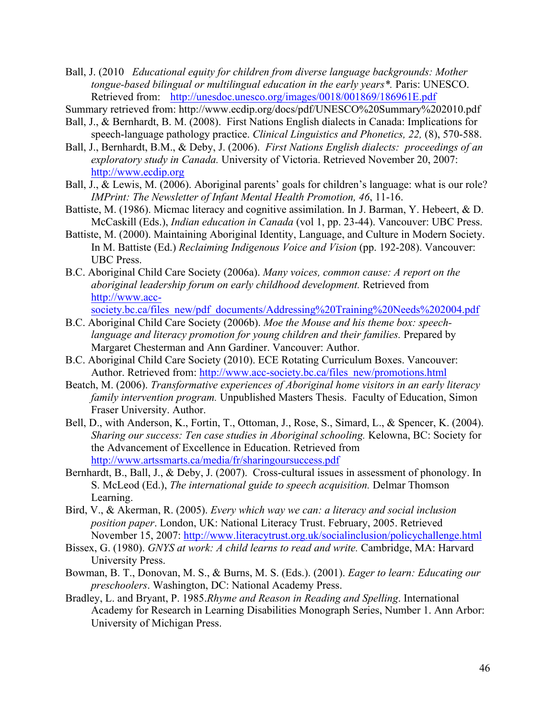- Ball, J. (2010 *Educational equity for children from diverse language backgrounds: Mother tongue-based bilingual or multilingual education in the early years\*.* Paris: UNESCO. Retrieved from: http://unesdoc.unesco.org/images/0018/001869/186961E.pdf
- Summary retrieved from: http://www.ecdip.org/docs/pdf/UNESCO%20Summary%202010.pdf
- Ball, J., & Bernhardt, B. M. (2008). First Nations English dialects in Canada: Implications for speech-language pathology practice. *Clinical Linguistics and Phonetics, 22,* (8), 570-588.
- Ball, J., Bernhardt, B.M., & Deby, J. (2006). *First Nations English dialects: proceedings of an exploratory study in Canada.* University of Victoria. Retrieved November 20, 2007: http://www.ecdip.org
- Ball, J., & Lewis, M. (2006). Aboriginal parents' goals for children's language: what is our role? *IMPrint: The Newsletter of Infant Mental Health Promotion, 46*, 11-16.
- Battiste, M. (1986). Micmac literacy and cognitive assimilation. In J. Barman, Y. Hebeert, & D. McCaskill (Eds.), *Indian education in Canada* (vol 1, pp. 23-44). Vancouver: UBC Press.
- Battiste, M. (2000). Maintaining Aboriginal Identity, Language, and Culture in Modern Society. In M. Battiste (Ed.) *Reclaiming Indigenous Voice and Vision* (pp. 192-208). Vancouver: UBC Press.
- B.C. Aboriginal Child Care Society (2006a). *Many voices, common cause: A report on the aboriginal leadership forum on early childhood development.* Retrieved from http://www.acc-

society.bc.ca/files\_new/pdf\_documents/Addressing%20Training%20Needs%202004.pdf

- B.C. Aboriginal Child Care Society (2006b). *Moe the Mouse and his theme box: speechlanguage and literacy promotion for young children and their families.* Prepared by Margaret Chesterman and Ann Gardiner. Vancouver: Author.
- B.C. Aboriginal Child Care Society (2010). ECE Rotating Curriculum Boxes. Vancouver: Author. Retrieved from: http://www.acc-society.bc.ca/files\_new/promotions.html
- Beatch, M. (2006). *Transformative experiences of Aboriginal home visitors in an early literacy family intervention program.* Unpublished Masters Thesis. Faculty of Education, Simon Fraser University. Author.
- Bell, D., with Anderson, K., Fortin, T., Ottoman, J., Rose, S., Simard, L., & Spencer, K. (2004). *Sharing our success: Ten case studies in Aboriginal schooling.* Kelowna, BC: Society for the Advancement of Excellence in Education. Retrieved from http://www.artssmarts.ca/media/fr/sharingoursuccess.pdf
- Bernhardt, B., Ball, J., & Deby, J. (2007). Cross-cultural issues in assessment of phonology. In S. McLeod (Ed.), *The international guide to speech acquisition.* Delmar Thomson Learning.
- Bird, V., & Akerman, R. (2005). *Every which way we can: a literacy and social inclusion position paper*. London, UK: National Literacy Trust. February, 2005. Retrieved November 15, 2007: http://www.literacytrust.org.uk/socialinclusion/policychallenge.html
- Bissex, G. (1980). *GNYS at work: A child learns to read and write.* Cambridge, MA: Harvard University Press.
- Bowman, B. T., Donovan, M. S., & Burns, M. S. (Eds.). (2001). *Eager to learn: Educating our preschoolers*. Washington, DC: National Academy Press.
- Bradley, L. and Bryant, P. 1985.*Rhyme and Reason in Reading and Spelling*. International Academy for Research in Learning Disabilities Monograph Series, Number 1. Ann Arbor: University of Michigan Press.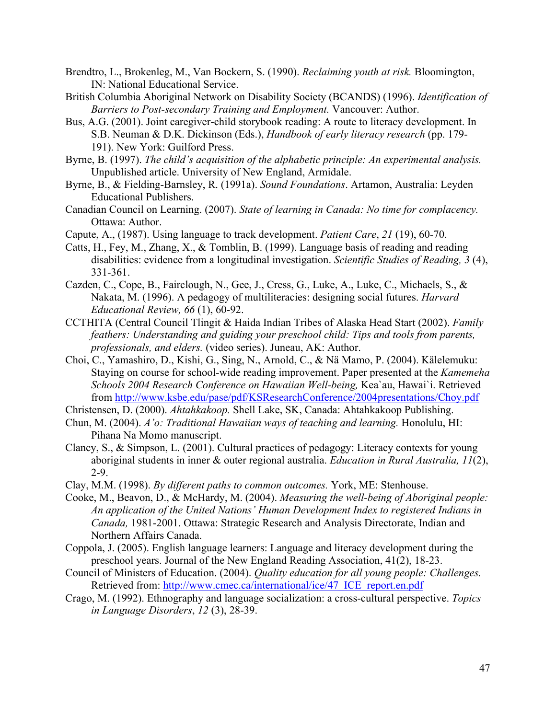- Brendtro, L., Brokenleg, M., Van Bockern, S. (1990). *Reclaiming youth at risk.* Bloomington, IN: National Educational Service.
- British Columbia Aboriginal Network on Disability Society (BCANDS) (1996). *Identification of Barriers to Post-secondary Training and Employment.* Vancouver: Author.
- Bus, A.G. (2001). Joint caregiver-child storybook reading: A route to literacy development. In S.B. Neuman & D.K. Dickinson (Eds.), *Handbook of early literacy research* (pp. 179- 191). New York: Guilford Press.
- Byrne, B. (1997). *The child's acquisition of the alphabetic principle: An experimental analysis.*  Unpublished article. University of New England, Armidale.
- Byrne, B., & Fielding-Barnsley, R. (1991a). *Sound Foundations*. Artamon, Australia: Leyden Educational Publishers.
- Canadian Council on Learning. (2007). *State of learning in Canada: No time for complacency.* Ottawa: Author.
- Capute, A., (1987). Using language to track development. *Patient Care*, *21* (19), 60-70.
- Catts, H., Fey, M., Zhang, X., & Tomblin, B. (1999). Language basis of reading and reading disabilities: evidence from a longitudinal investigation. *Scientific Studies of Reading, 3* (4), 331-361.
- Cazden, C., Cope, B., Fairclough, N., Gee, J., Cress, G., Luke, A., Luke, C., Michaels, S., & Nakata, M. (1996). A pedagogy of multiliteracies: designing social futures. *Harvard Educational Review, 66* (1), 60-92.
- CCTHITA (Central Council Tlingit & Haida Indian Tribes of Alaska Head Start (2002). *Family feathers: Understanding and guiding your preschool child: Tips and tools from parents, professionals, and elders.* (video series). Juneau, AK: Author.
- Choi, C., Yamashiro, D., Kishi, G., Sing, N., Arnold, C., & Nä Mamo, P. (2004). Kälelemuku: Staying on course for school-wide reading improvement. Paper presented at the *Kamemeha Schools 2004 Research Conference on Hawaiian Well-being,* Kea`au, Hawai`i. Retrieved from http://www.ksbe.edu/pase/pdf/KSResearchConference/2004presentations/Choy.pdf
- Christensen, D. (2000). *Ahtahkakoop.* Shell Lake, SK, Canada: Ahtahkakoop Publishing.
- Chun, M. (2004). *A'o: Traditional Hawaiian ways of teaching and learning.* Honolulu, HI: Pihana Na Momo manuscript.
- Clancy, S., & Simpson, L. (2001). Cultural practices of pedagogy: Literacy contexts for young aboriginal students in inner & outer regional australia. *Education in Rural Australia, 11*(2),  $2-9.$
- Clay, M.M. (1998). *By different paths to common outcomes.* York, ME: Stenhouse.
- Cooke, M., Beavon, D., & McHardy, M. (2004). *Measuring the well-being of Aboriginal people: An application of the United Nations' Human Development Index to registered Indians in Canada,* 1981-2001. Ottawa: Strategic Research and Analysis Directorate, Indian and Northern Affairs Canada.
- Coppola, J. (2005). English language learners: Language and literacy development during the preschool years. Journal of the New England Reading Association, 41(2), 18-23.
- Council of Ministers of Education. (2004). *Quality education for all young people: Challenges.* Retrieved from: http://www.cmec.ca/international/ice/47\_ICE\_report.en.pdf
- Crago, M. (1992). Ethnography and language socialization: a cross-cultural perspective. *Topics in Language Disorders*, *12* (3), 28-39.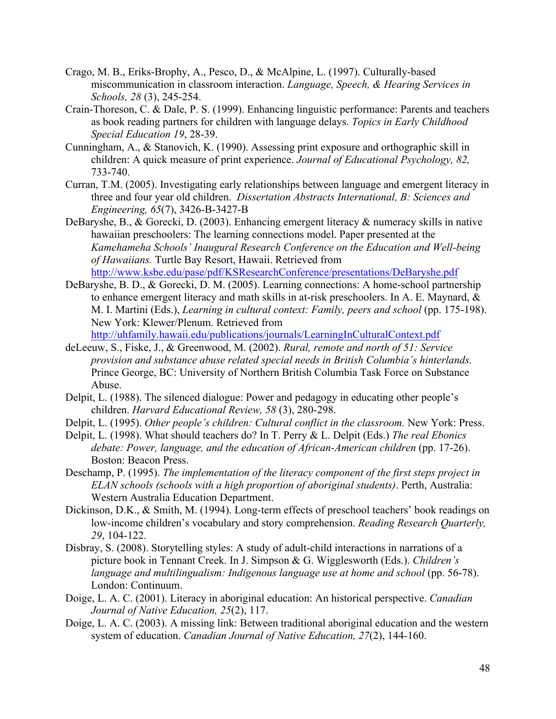- Crago, M. B., Eriks-Brophy, A., Pesco, D., & McAlpine, L. (1997). Culturally-based miscommunication in classroom interaction. *Language, Speech, & Hearing Services in Schools, 28* (3), 245-254.
- Crain-Thoreson, C. & Dale, P. S. (1999). Enhancing linguistic performance: Parents and teachers as book reading partners for children with language delays. *Topics in Early Childhood Special Education 19*, 28-39.
- Cunningham, A., & Stanovich, K. (1990). Assessing print exposure and orthographic skill in children: A quick measure of print experience. *Journal of Educational Psychology, 82,* 733-740.
- Curran, T.M. (2005). Investigating early relationships between language and emergent literacy in three and four year old children. *Dissertation Abstracts International, B: Sciences and Engineering, 65*(7), 3426-B-3427-B
- DeBaryshe, B., & Gorecki, D. (2003). Enhancing emergent literacy & numeracy skills in native hawaiian preschoolers: The learning connections model. Paper presented at the *Kamehameha Schools' Inaugural Research Conference on the Education and Well-being of Hawaiians.* Turtle Bay Resort, Hawaii. Retrieved from http://www.ksbe.edu/pase/pdf/KSResearchConference/presentations/DeBaryshe.pdf
- DeBaryshe, B. D., & Gorecki, D. M. (2005). Learning connections: A home-school partnership to enhance emergent literacy and math skills in at-risk preschoolers. In A. E. Maynard, & M. I. Martini (Eds.), *Learning in cultural context: Family, peers and school* (pp. 175-198). New York: Klewer/Plenum. Retrieved from

http://uhfamily.hawaii.edu/publications/journals/LearningInCulturalContext.pdf

- deLeeuw, S., Fiske, J., & Greenwood, M. (2002). *Rural, remote and north of 51: Service provision and substance abuse related special needs in British Columbia's hinterlands.* Prince George, BC: University of Northern British Columbia Task Force on Substance Abuse.
- Delpit, L. (1988). The silenced dialogue: Power and pedagogy in educating other people's children. *Harvard Educational Review, 58* (3), 280-298.
- Delpit, L. (1995). *Other people's children: Cultural conflict in the classroom.* New York: Press.
- Delpit, L. (1998). What should teachers do? In T. Perry & L. Delpit (Eds.) *The real Ebonics debate: Power, language, and the education of African-American children* (pp. 17-26). Boston: Beacon Press.
- Deschamp, P. (1995). *The implementation of the literacy component of the first steps project in ELAN schools (schools with a high proportion of aboriginal students)*. Perth, Australia: Western Australia Education Department.
- Dickinson, D.K., & Smith, M. (1994). Long-term effects of preschool teachers' book readings on low-income children's vocabulary and story comprehension. *Reading Research Quarterly, 29*, 104-122.
- Disbray, S. (2008). Storytelling styles: A study of adult-child interactions in narrations of a picture book in Tennant Creek. In J. Simpson & G. Wigglesworth (Eds.). *Children's language and multilingualism: Indigenous language use at home and school* (pp. 56-78). London: Continuum.
- Doige, L. A. C. (2001). Literacy in aboriginal education: An historical perspective. *Canadian Journal of Native Education, 25*(2), 117.
- Doige, L. A. C. (2003). A missing link: Between traditional aboriginal education and the western system of education. *Canadian Journal of Native Education, 27*(2), 144-160.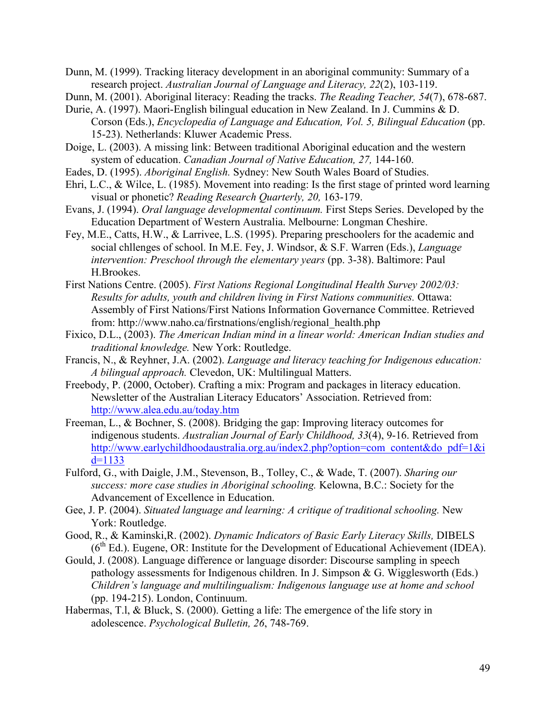Dunn, M. (1999). Tracking literacy development in an aboriginal community: Summary of a research project. *Australian Journal of Language and Literacy, 22*(2), 103-119.

- Dunn, M. (2001). Aboriginal literacy: Reading the tracks. *The Reading Teacher, 54*(7), 678-687.
- Durie, A. (1997). Maori-English bilingual education in New Zealand. In J. Cummins & D. Corson (Eds.), *Encyclopedia of Language and Education, Vol. 5, Bilingual Education* (pp. 15-23). Netherlands: Kluwer Academic Press.
- Doige, L. (2003). A missing link: Between traditional Aboriginal education and the western system of education. *Canadian Journal of Native Education, 27,* 144-160.
- Eades, D. (1995). *Aboriginal English.* Sydney: New South Wales Board of Studies.
- Ehri, L.C., & Wilce, L. (1985). Movement into reading: Is the first stage of printed word learning visual or phonetic? *Reading Research Quarterly, 20,* 163-179.
- Evans, J. (1994). *Oral language developmental continuum.* First Steps Series. Developed by the Education Department of Western Australia. Melbourne: Longman Cheshire.
- Fey, M.E., Catts, H.W., & Larrivee, L.S. (1995). Preparing preschoolers for the academic and social chllenges of school. In M.E. Fey, J. Windsor, & S.F. Warren (Eds.), *Language intervention: Preschool through the elementary years* (pp. 3-38). Baltimore: Paul H.Brookes.
- First Nations Centre. (2005). *First Nations Regional Longitudinal Health Survey 2002/03: Results for adults, youth and children living in First Nations communities.* Ottawa: Assembly of First Nations/First Nations Information Governance Committee. Retrieved from: http://www.naho.ca/firstnations/english/regional\_health.php
- Fixico, D.L., (2003). *The American Indian mind in a linear world: American Indian studies and traditional knowledge.* New York: Routledge.
- Francis, N., & Reyhner, J.A. (2002). *Language and literacy teaching for Indigenous education: A bilingual approach.* Clevedon, UK: Multilingual Matters.
- Freebody, P. (2000, October). Crafting a mix: Program and packages in literacy education. Newsletter of the Australian Literacy Educators' Association. Retrieved from: http://www.alea.edu.au/today.htm
- Freeman, L., & Bochner, S. (2008). Bridging the gap: Improving literacy outcomes for indigenous students. *Australian Journal of Early Childhood, 33*(4), 9-16. Retrieved from http://www.earlychildhoodaustralia.org.au/index2.php?option=com\_content&do\_pdf=1&i  $d=1133$
- Fulford, G., with Daigle, J.M., Stevenson, B., Tolley, C., & Wade, T. (2007). *Sharing our success: more case studies in Aboriginal schooling.* Kelowna, B.C.: Society for the Advancement of Excellence in Education.
- Gee, J. P. (2004). *Situated language and learning: A critique of traditional schooling.* New York: Routledge.
- Good, R., & Kaminski,R. (2002). *Dynamic Indicators of Basic Early Literacy Skills,* DIBELS  $(6<sup>th</sup> Ed.)$ . Eugene, OR: Institute for the Development of Educational Achievement (IDEA).
- Gould, J. (2008). Language difference or language disorder: Discourse sampling in speech pathology assessments for Indigenous children. In J. Simpson & G. Wigglesworth (Eds.) *Children's language and multilingualism: Indigenous language use at home and school* (pp. 194-215). London, Continuum.
- Habermas, T.l, & Bluck, S. (2000). Getting a life: The emergence of the life story in adolescence. *Psychological Bulletin, 26*, 748-769.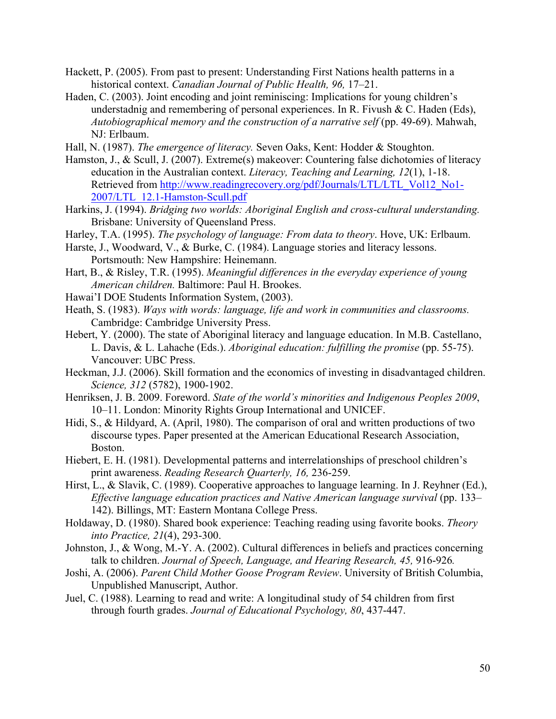- Hackett, P. (2005). From past to present: Understanding First Nations health patterns in a historical context. *Canadian Journal of Public Health, 96,* 17–21.
- Haden, C. (2003). Joint encoding and joint reminiscing: Implications for young children's understadnig and remembering of personal experiences. In R. Fivush & C. Haden (Eds), *Autobiographical memory and the construction of a narrative self* (pp. 49-69). Mahwah, NJ: Erlbaum.
- Hall, N. (1987). *The emergence of literacy.* Seven Oaks, Kent: Hodder & Stoughton.
- Hamston, J., & Scull, J. (2007). Extreme(s) makeover: Countering false dichotomies of literacy education in the Australian context. *Literacy, Teaching and Learning, 12*(1), 1-18. Retrieved from http://www.readingrecovery.org/pdf/Journals/LTL/LTL\_Vol12\_No1-2007/LTL\_12.1-Hamston-Scull.pdf
- Harkins, J. (1994). *Bridging two worlds: Aboriginal English and cross-cultural understanding.* Brisbane: University of Queensland Press.
- Harley, T.A. (1995). *The psychology of language: From data to theory*. Hove, UK: Erlbaum.
- Harste, J., Woodward, V., & Burke, C. (1984). Language stories and literacy lessons. Portsmouth: New Hampshire: Heinemann.
- Hart, B., & Risley, T.R. (1995). *Meaningful differences in the everyday experience of young American children.* Baltimore: Paul H. Brookes.
- Hawai'I DOE Students Information System, (2003).
- Heath, S. (1983). *Ways with words: language, life and work in communities and classrooms.* Cambridge: Cambridge University Press.
- Hebert, Y. (2000). The state of Aboriginal literacy and language education. In M.B. Castellano, L. Davis, & L. Lahache (Eds.). *Aboriginal education: fulfilling the promise* (pp. 55-75). Vancouver: UBC Press.
- Heckman, J.J. (2006). Skill formation and the economics of investing in disadvantaged children. *Science, 312* (5782), 1900-1902.
- Henriksen, J. B. 2009. Foreword. *State of the world's minorities and Indigenous Peoples 2009*, 10–11. London: Minority Rights Group International and UNICEF.
- Hidi, S., & Hildyard, A. (April, 1980). The comparison of oral and written productions of two discourse types. Paper presented at the American Educational Research Association, Boston.
- Hiebert, E. H. (1981). Developmental patterns and interrelationships of preschool children's print awareness. *Reading Research Quarterly, 16,* 236-259.
- Hirst, L., & Slavik, C. (1989). Cooperative approaches to language learning. In J. Reyhner (Ed.), *Effective language education practices and Native American language survival* (pp. 133– 142). Billings, MT: Eastern Montana College Press.
- Holdaway, D. (1980). Shared book experience: Teaching reading using favorite books. *Theory into Practice, 21*(4), 293-300.
- Johnston, J., & Wong, M.-Y. A. (2002). Cultural differences in beliefs and practices concerning talk to children. *Journal of Speech, Language, and Hearing Research, 45,* 916-926*.*
- Joshi, A. (2006). *Parent Child Mother Goose Program Review*. University of British Columbia, Unpublished Manuscript, Author.
- Juel, C. (1988). Learning to read and write: A longitudinal study of 54 children from first through fourth grades. *Journal of Educational Psychology, 80*, 437-447.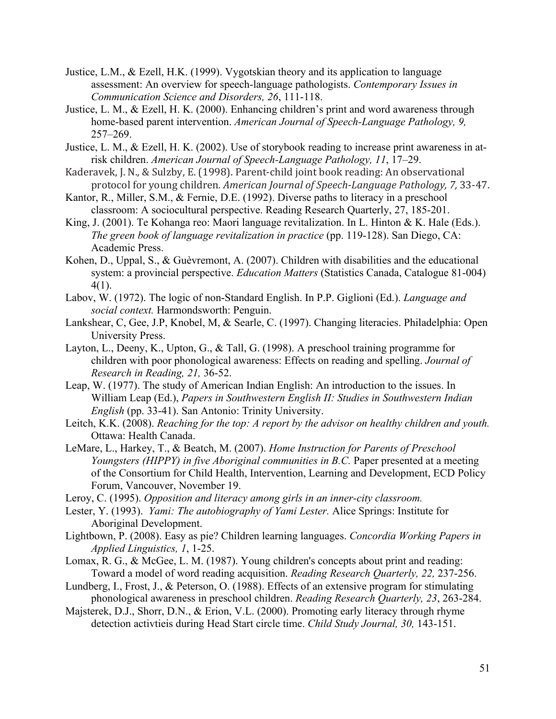- Justice, L.M., & Ezell, H.K. (1999). Vygotskian theory and its application to language assessment: An overview for speech-language pathologists. *Contemporary Issues in Communication Science and Disorders, 26*, 111-118.
- Justice, L. M., & Ezell, H. K. (2000). Enhancing children's print and word awareness through home-based parent intervention. *American Journal of Speech-Language Pathology, 9,*  257–269.
- Justice, L. M., & Ezell, H. K. (2002). Use of storybook reading to increase print awareness in atrisk children. *American Journal of Speech-Language Pathology, 11*, 17–29.
- Kaderavek, J. N., & Sulzby, E. (1998). Parent-child joint book reading: An observational protocol for young children. American Journal of Speech-Language Pathology, 7, 33-47.
- Kantor, R., Miller, S.M., & Fernie, D.E. (1992). Diverse paths to literacy in a preschool classroom: A sociocultural perspective. Reading Research Quarterly, 27, 185-201.
- King, J. (2001). Te Kohanga reo: Maori language revitalization. In L. Hinton & K. Hale (Eds.). *The green book of language revitalization in practice* (pp. 119-128). San Diego, CA: Academic Press.
- Kohen, D., Uppal, S., & Guèvremont, A. (2007). Children with disabilities and the educational system: a provincial perspective. *Education Matters* (Statistics Canada, Catalogue 81-004) 4(1).
- Labov, W. (1972). The logic of non-Standard English. In P.P. Giglioni (Ed.). *Language and social context.* Harmondsworth: Penguin.
- Lankshear, C, Gee, J.P, Knobel, M, & Searle, C. (1997). Changing literacies. Philadelphia: Open University Press.
- Layton, L., Deeny, K., Upton, G., & Tall, G. (1998). A preschool training programme for children with poor phonological awareness: Effects on reading and spelling. *Journal of Research in Reading, 21,* 36-52.
- Leap, W. (1977). The study of American Indian English: An introduction to the issues. In William Leap (Ed.), *Papers in Southwestern English II: Studies in Southwestern Indian English* (pp. 33-41). San Antonio: Trinity University.
- Leitch, K.K. (2008). *Reaching for the top: A report by the advisor on healthy children and youth.*  Ottawa: Health Canada.
- LeMare, L., Harkey, T., & Beatch, M. (2007). *Home Instruction for Parents of Preschool Youngsters (HIPPY) in five Aboriginal communities in B.C.* Paper presented at a meeting of the Consortium for Child Health, Intervention, Learning and Development, ECD Policy Forum, Vancouver, November 19.
- Leroy, C. (1995). *Opposition and literacy among girls in an inner-city classroom.*
- Lester, Y. (1993). *Yami: The autobiography of Yami Lester.* Alice Springs: Institute for Aboriginal Development.
- Lightbown, P. (2008). Easy as pie? Children learning languages. *Concordia Working Papers in Applied Linguistics, 1*, 1-25.
- Lomax, R. G., & McGee, L. M. (1987). Young children's concepts about print and reading: Toward a model of word reading acquisition. *Reading Research Quarterly, 22,* 237-256.
- Lundberg, I., Frost, J., & Peterson, O. (1988). Effects of an extensive program for stimulating phonological awareness in preschool children. *Reading Research Quarterly, 23*, 263-284.
- Majsterek, D.J., Shorr, D.N., & Erion, V.L. (2000). Promoting early literacy through rhyme detection activtieis during Head Start circle time. *Child Study Journal, 30,* 143-151.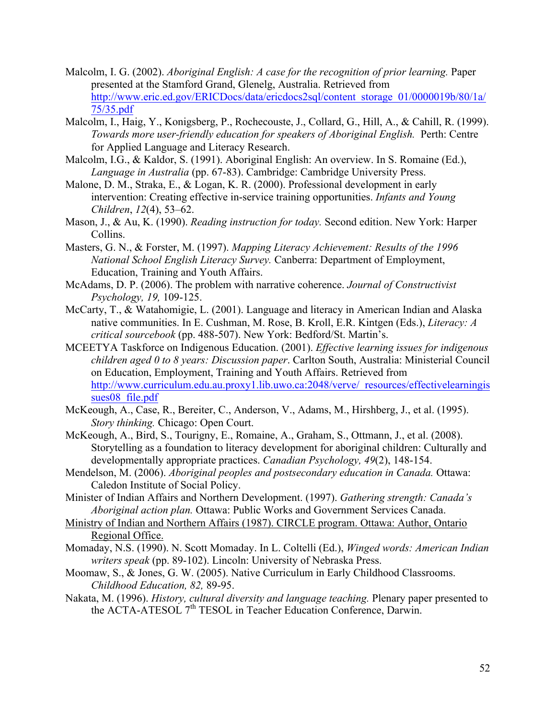- Malcolm, I. G. (2002). *Aboriginal English: A case for the recognition of prior learning.* Paper presented at the Stamford Grand, Glenelg, Australia. Retrieved from http://www.eric.ed.gov/ERICDocs/data/ericdocs2sql/content\_storage\_01/0000019b/80/1a/ 75/35.pdf
- Malcolm, I., Haig, Y., Konigsberg, P., Rochecouste, J., Collard, G., Hill, A., & Cahill, R. (1999). *Towards more user-friendly education for speakers of Aboriginal English.* Perth: Centre for Applied Language and Literacy Research.
- Malcolm, I.G., & Kaldor, S. (1991). Aboriginal English: An overview. In S. Romaine (Ed.), *Language in Australia* (pp. 67-83). Cambridge: Cambridge University Press.
- Malone, D. M., Straka, E., & Logan, K. R. (2000). Professional development in early intervention: Creating effective in-service training opportunities. *Infants and Young Children*, *12*(4), 53–62.
- Mason, J., & Au, K. (1990). *Reading instruction for today.* Second edition. New York: Harper Collins.
- Masters, G. N., & Forster, M. (1997). *Mapping Literacy Achievement: Results of the 1996 National School English Literacy Survey.* Canberra: Department of Employment, Education, Training and Youth Affairs.
- McAdams, D. P. (2006). The problem with narrative coherence. *Journal of Constructivist Psychology, 19,* 109-125.
- McCarty, T., & Watahomigie, L. (2001). Language and literacy in American Indian and Alaska native communities. In E. Cushman, M. Rose, B. Kroll, E.R. Kintgen (Eds.), *Literacy: A critical sourcebook* (pp. 488-507). New York: Bedford/St. Martin's.
- MCEETYA Taskforce on Indigenous Education. (2001). *Effective learning issues for indigenous children aged 0 to 8 years: Discussion paper*. Carlton South, Australia: Ministerial Council on Education, Employment, Training and Youth Affairs. Retrieved from http://www.curriculum.edu.au.proxy1.lib.uwo.ca:2048/verve/\_resources/effectivelearningis sues08 file.pdf
- McKeough, A., Case, R., Bereiter, C., Anderson, V., Adams, M., Hirshberg, J., et al. (1995). *Story thinking.* Chicago: Open Court.
- McKeough, A., Bird, S., Tourigny, E., Romaine, A., Graham, S., Ottmann, J., et al. (2008). Storytelling as a foundation to literacy development for aboriginal children: Culturally and developmentally appropriate practices. *Canadian Psychology, 49*(2), 148-154.
- Mendelson, M. (2006). *Aboriginal peoples and postsecondary education in Canada.* Ottawa: Caledon Institute of Social Policy.
- Minister of Indian Affairs and Northern Development. (1997). *Gathering strength: Canada's Aboriginal action plan.* Ottawa: Public Works and Government Services Canada.
- Ministry of Indian and Northern Affairs (1987). CIRCLE program. Ottawa: Author, Ontario Regional Office.
- Momaday, N.S. (1990). N. Scott Momaday. In L. Coltelli (Ed.), *Winged words: American Indian writers speak* (pp. 89-102). Lincoln: University of Nebraska Press.
- Moomaw, S., & Jones, G. W. (2005). Native Curriculum in Early Childhood Classrooms. *Childhood Education, 82,* 89-95.
- Nakata, M. (1996). *History, cultural diversity and language teaching.* Plenary paper presented to the ACTA-ATESOL 7<sup>th</sup> TESOL in Teacher Education Conference, Darwin.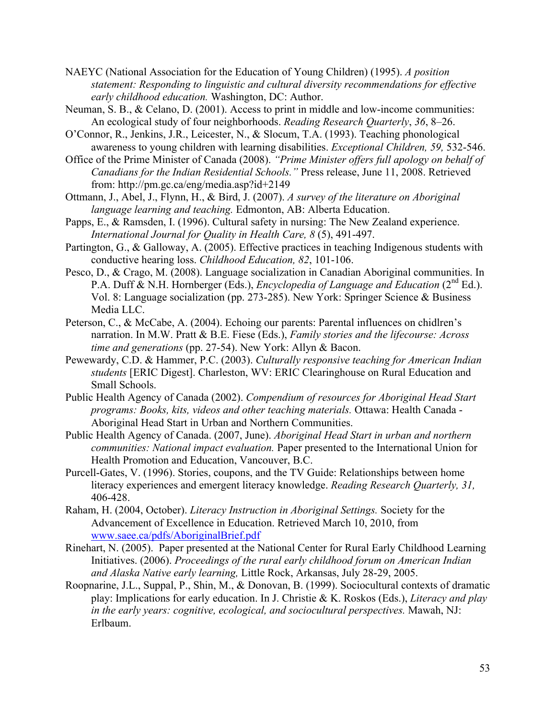- NAEYC (National Association for the Education of Young Children) (1995). *A position statement: Responding to linguistic and cultural diversity recommendations for effective early childhood education.* Washington, DC: Author.
- Neuman, S. B., & Celano, D. (2001). Access to print in middle and low-income communities: An ecological study of four neighborhoods. *Reading Research Quarterly*, *36*, 8–26.
- O'Connor, R., Jenkins, J.R., Leicester, N., & Slocum, T.A. (1993). Teaching phonological awareness to young children with learning disabilities. *Exceptional Children, 59,* 532-546.
- Office of the Prime Minister of Canada (2008). *"Prime Minister offers full apology on behalf of Canadians for the Indian Residential Schools."* Press release, June 11, 2008. Retrieved from: http://pm.gc.ca/eng/media.asp?id+2149
- Ottmann, J., Abel, J., Flynn, H., & Bird, J. (2007). *A survey of the literature on Aboriginal language learning and teaching.* Edmonton, AB: Alberta Education.
- Papps, E., & Ramsden, I. (1996). Cultural safety in nursing: The New Zealand experience. *International Journal for Quality in Health Care, 8* (5), 491-497.
- Partington, G., & Galloway, A. (2005). Effective practices in teaching Indigenous students with conductive hearing loss. *Childhood Education, 82*, 101-106.
- Pesco, D., & Crago, M. (2008). Language socialization in Canadian Aboriginal communities. In P.A. Duff & N.H. Hornberger (Eds.), *Encyclopedia of Language and Education* (2<sup>nd</sup> Ed.). Vol. 8: Language socialization (pp. 273-285). New York: Springer Science & Business Media LLC.
- Peterson, C., & McCabe, A. (2004). Echoing our parents: Parental influences on chidlren's narration. In M.W. Pratt & B.E. Fiese (Eds.), *Family stories and the lifecourse: Across time and generations* (pp. 27-54). New York: Allyn & Bacon.
- Pewewardy, C.D. & Hammer, P.C. (2003). *Culturally responsive teaching for American Indian students* [ERIC Digest]. Charleston, WV: ERIC Clearinghouse on Rural Education and Small Schools.
- Public Health Agency of Canada (2002). *Compendium of resources for Aboriginal Head Start programs: Books, kits, videos and other teaching materials.* Ottawa: Health Canada - Aboriginal Head Start in Urban and Northern Communities.
- Public Health Agency of Canada. (2007, June). *Aboriginal Head Start in urban and northern communities: National impact evaluation.* Paper presented to the International Union for Health Promotion and Education, Vancouver, B.C.
- Purcell-Gates, V. (1996). Stories, coupons, and the TV Guide: Relationships between home literacy experiences and emergent literacy knowledge. *Reading Research Quarterly, 31,* 406-428.
- Raham, H. (2004, October). *Literacy Instruction in Aboriginal Settings.* Society for the Advancement of Excellence in Education. Retrieved March 10, 2010, from www.saee.ca/pdfs/AboriginalBrief.pdf
- Rinehart, N. (2005). Paper presented at the National Center for Rural Early Childhood Learning Initiatives. (2006). *Proceedings of the rural early childhood forum on American Indian and Alaska Native early learning,* Little Rock, Arkansas, July 28-29, 2005.
- Roopnarine, J.L., Suppal, P., Shin, M., & Donovan, B. (1999). Sociocultural contexts of dramatic play: Implications for early education. In J. Christie & K. Roskos (Eds.), *Literacy and play in the early years: cognitive, ecological, and sociocultural perspectives.* Mawah, NJ: Erlbaum.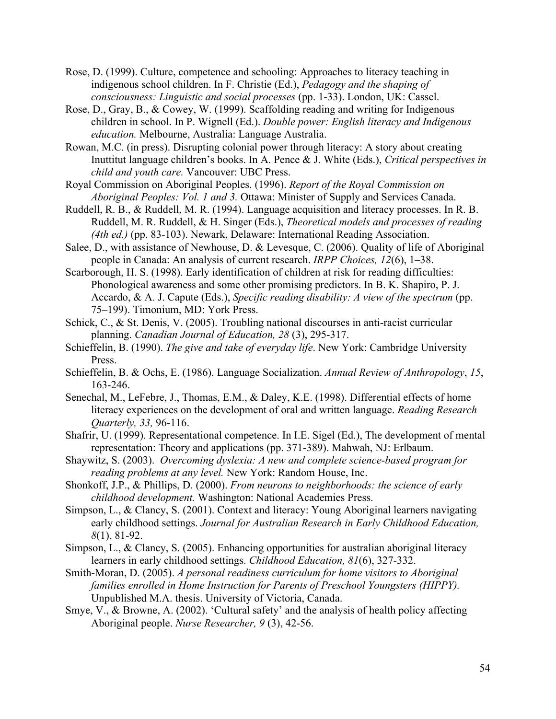- Rose, D. (1999). Culture, competence and schooling: Approaches to literacy teaching in indigenous school children. In F. Christie (Ed.), *Pedagogy and the shaping of consciousness: Linguistic and social processes* (pp. 1-33). London, UK: Cassel.
- Rose, D., Gray, B., & Cowey, W. (1999). Scaffolding reading and writing for Indigenous children in school. In P. Wignell (Ed.). *Double power: English literacy and Indigenous education.* Melbourne, Australia: Language Australia.
- Rowan, M.C. (in press). Disrupting colonial power through literacy: A story about creating Inuttitut language children's books. In A. Pence & J. White (Eds.), *Critical perspectives in child and youth care.* Vancouver: UBC Press.
- Royal Commission on Aboriginal Peoples. (1996). *Report of the Royal Commission on Aboriginal Peoples: Vol. 1 and 3.* Ottawa: Minister of Supply and Services Canada.
- Ruddell, R. B., & Ruddell, M. R. (1994). Language acquisition and literacy processes. In R. B. Ruddell, M. R. Ruddell, & H. Singer (Eds.), *Theoretical models and processes of reading (4th ed.)* (pp. 83-103). Newark, Delaware: International Reading Association.
- Salee, D., with assistance of Newhouse, D. & Levesque, C. (2006). Quality of life of Aboriginal people in Canada: An analysis of current research. *IRPP Choices, 12*(6), 1–38.
- Scarborough, H. S. (1998). Early identification of children at risk for reading difficulties: Phonological awareness and some other promising predictors. In B. K. Shapiro, P. J. Accardo, & A. J. Capute (Eds.), *Specific reading disability: A view of the spectrum* (pp. 75–199). Timonium, MD: York Press.
- Schick, C., & St. Denis, V. (2005). Troubling national discourses in anti-racist curricular planning. *Canadian Journal of Education, 28* (3), 295-317.
- Schieffelin, B. (1990). *The give and take of everyday life*. New York: Cambridge University Press.
- Schieffelin, B. & Ochs, E. (1986). Language Socialization. *Annual Review of Anthropology*, *15*, 163-246.
- Senechal, M., LeFebre, J., Thomas, E.M., & Daley, K.E. (1998). Differential effects of home literacy experiences on the development of oral and written language. *Reading Research Quarterly, 33,* 96-116.
- Shafrir, U. (1999). Representational competence. In I.E. Sigel (Ed.), The development of mental representation: Theory and applications (pp. 371-389). Mahwah, NJ: Erlbaum.
- Shaywitz, S. (2003). *Overcoming dyslexia: A new and complete science-based program for reading problems at any level.* New York: Random House, Inc.
- Shonkoff, J.P., & Phillips, D. (2000). *From neurons to neighborhoods: the science of early childhood development.* Washington: National Academies Press.
- Simpson, L., & Clancy, S. (2001). Context and literacy: Young Aboriginal learners navigating early childhood settings. *Journal for Australian Research in Early Childhood Education, 8*(1), 81-92.
- Simpson, L., & Clancy, S. (2005). Enhancing opportunities for australian aboriginal literacy learners in early childhood settings. *Childhood Education, 81*(6), 327-332.
- Smith-Moran, D. (2005). *A personal readiness curriculum for home visitors to Aboriginal families enrolled in Home Instruction for Parents of Preschool Youngsters (HIPPY).* Unpublished M.A. thesis. University of Victoria, Canada.
- Smye, V., & Browne, A. (2002). 'Cultural safety' and the analysis of health policy affecting Aboriginal people. *Nurse Researcher, 9* (3), 42-56.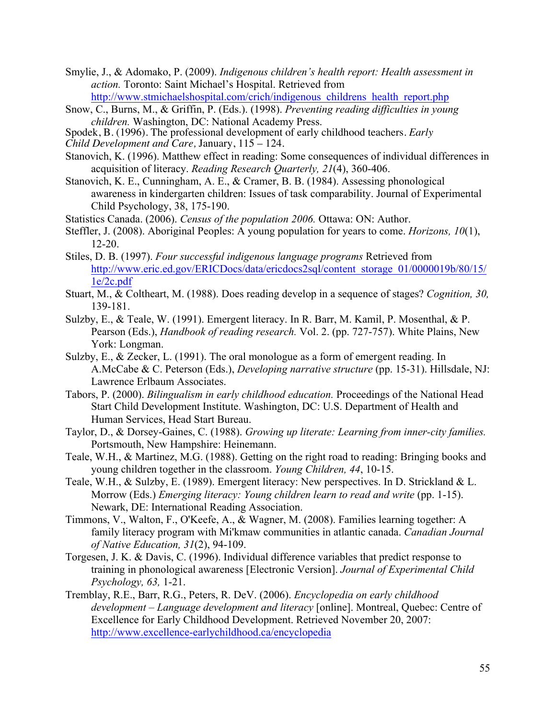Smylie, J., & Adomako, P. (2009). *Indigenous children's health report: Health assessment in action.* Toronto: Saint Michael's Hospital. Retrieved from http://www.stmichaelshospital.com/crich/indigenous childrens health report.php

Snow, C., Burns, M., & Griffin, P. (Eds.). (1998). *Preventing reading difficulties in young children.* Washington, DC: National Academy Press.

Spodek, B. (1996). The professional development of early childhood teachers. *Early*

*Child Development and Care,* January, 115 – 124.

- Stanovich, K. (1996). Matthew effect in reading: Some consequences of individual differences in acquisition of literacy. *Reading Research Quarterly, 21*(4), 360-406.
- Stanovich, K. E., Cunningham, A. E., & Cramer, B. B. (1984). Assessing phonological awareness in kindergarten children: Issues of task comparability. Journal of Experimental Child Psychology, 38, 175-190.

Statistics Canada. (2006). *Census of the population 2006.* Ottawa: ON: Author.

- Steffler, J. (2008). Aboriginal Peoples: A young population for years to come. *Horizons, 10*(1), 12-20.
- Stiles, D. B. (1997). *Four successful indigenous language programs* Retrieved from http://www.eric.ed.gov/ERICDocs/data/ericdocs2sql/content\_storage\_01/0000019b/80/15/ 1e/2c.pdf
- Stuart, M., & Coltheart, M. (1988). Does reading develop in a sequence of stages? *Cognition, 30,* 139-181.
- Sulzby, E., & Teale, W. (1991). Emergent literacy. In R. Barr, M. Kamil, P. Mosenthal, & P. Pearson (Eds.), *Handbook of reading research.* Vol. 2. (pp. 727-757). White Plains, New York: Longman.
- Sulzby, E., & Zecker, L. (1991). The oral monologue as a form of emergent reading. In A.McCabe & C. Peterson (Eds.), *Developing narrative structure* (pp. 15-31). Hillsdale, NJ: Lawrence Erlbaum Associates.
- Tabors, P. (2000). *Bilingualism in early childhood education.* Proceedings of the National Head Start Child Development Institute. Washington, DC: U.S. Department of Health and Human Services, Head Start Bureau.
- Taylor, D., & Dorsey-Gaines, C. (1988). *Growing up literate: Learning from inner-city families.* Portsmouth, New Hampshire: Heinemann.
- Teale, W.H., & Martinez, M.G. (1988). Getting on the right road to reading: Bringing books and young children together in the classroom. *Young Children, 44*, 10-15.
- Teale, W.H., & Sulzby, E. (1989). Emergent literacy: New perspectives. In D. Strickland & L. Morrow (Eds.) *Emerging literacy: Young children learn to read and write* (pp. 1-15). Newark, DE: International Reading Association.
- Timmons, V., Walton, F., O'Keefe, A., & Wagner, M. (2008). Families learning together: A family literacy program with Mi'kmaw communities in atlantic canada. *Canadian Journal of Native Education, 31*(2), 94-109.
- Torgesen, J. K. & Davis, C. (1996). Individual difference variables that predict response to training in phonological awareness [Electronic Version]. *Journal of Experimental Child Psychology, 63,* 1-21.
- Tremblay, R.E., Barr, R.G., Peters, R. DeV. (2006). *Encyclopedia on early childhood development – Language development and literacy* [online]. Montreal, Quebec: Centre of Excellence for Early Childhood Development. Retrieved November 20, 2007: http://www.excellence-earlychildhood.ca/encyclopedia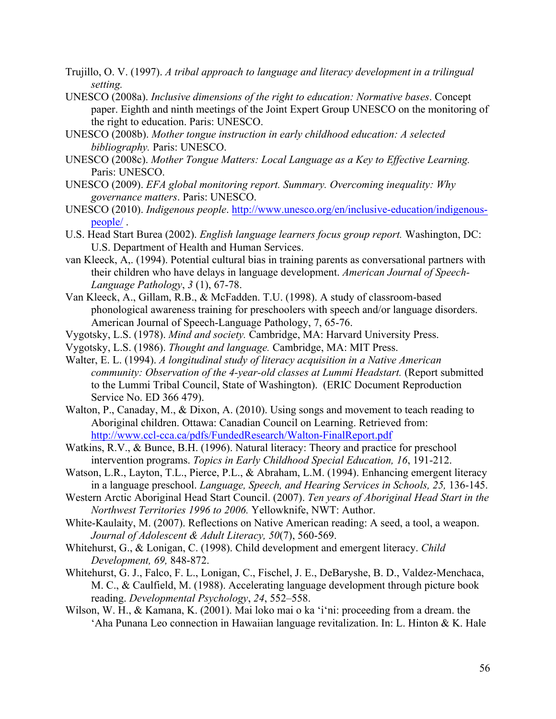- Trujillo, O. V. (1997). *A tribal approach to language and literacy development in a trilingual setting.*
- UNESCO (2008a). *Inclusive dimensions of the right to education: Normative bases*. Concept paper. Eighth and ninth meetings of the Joint Expert Group UNESCO on the monitoring of the right to education. Paris: UNESCO.
- UNESCO (2008b). *Mother tongue instruction in early childhood education: A selected bibliography.* Paris: UNESCO.
- UNESCO (2008c). *Mother Tongue Matters: Local Language as a Key to Effective Learning.*  Paris: UNESCO.
- UNESCO (2009). *EFA global monitoring report. Summary. Overcoming inequality: Why governance matters*. Paris: UNESCO.
- UNESCO (2010). *Indigenous people*. http://www.unesco.org/en/inclusive-education/indigenouspeople/ .
- U.S. Head Start Burea (2002). *English language learners focus group report.* Washington, DC: U.S. Department of Health and Human Services.
- van Kleeck, A,. (1994). Potential cultural bias in training parents as conversational partners with their children who have delays in language development. *American Journal of Speech-Language Pathology*, *3* (1), 67-78.
- Van Kleeck, A., Gillam, R.B., & McFadden. T.U. (1998). A study of classroom-based phonological awareness training for preschoolers with speech and/or language disorders. American Journal of Speech-Language Pathology, 7, 65-76.
- Vygotsky, L.S. (1978). *Mind and society.* Cambridge, MA: Harvard University Press.
- Vygotsky, L.S. (1986). *Thought and language.* Cambridge, MA: MIT Press.
- Walter, E. L. (1994). *A longitudinal study of literacy acquisition in a Native American community: Observation of the 4-year-old classes at Lummi Headstart.* (Report submitted to the Lummi Tribal Council, State of Washington). (ERIC Document Reproduction Service No. ED 366 479).
- Walton, P., Canaday, M., & Dixon, A. (2010). Using songs and movement to teach reading to Aboriginal children. Ottawa: Canadian Council on Learning. Retrieved from: http://www.ccl-cca.ca/pdfs/FundedResearch/Walton-FinalReport.pdf
- Watkins, R.V., & Bunce, B.H. (1996). Natural literacy: Theory and practice for preschool intervention programs. *Topics in Early Childhood Special Education, 16*, 191-212.
- Watson, L.R., Layton, T.L., Pierce, P.L., & Abraham, L.M. (1994). Enhancing emergent literacy in a language preschool. *Language, Speech, and Hearing Services in Schools, 25,* 136-145.
- Western Arctic Aboriginal Head Start Council. (2007). *Ten years of Aboriginal Head Start in the Northwest Territories 1996 to 2006.* Yellowknife, NWT: Author.
- White-Kaulaity, M. (2007). Reflections on Native American reading: A seed, a tool, a weapon. *Journal of Adolescent & Adult Literacy, 50*(7), 560-569.
- Whitehurst, G., & Lonigan, C. (1998). Child development and emergent literacy. *Child Development, 69,* 848-872.
- Whitehurst, G. J., Falco, F. L., Lonigan, C., Fischel, J. E., DeBaryshe, B. D., Valdez-Menchaca, M. C., & Caulfield, M. (1988). Accelerating language development through picture book reading. *Developmental Psychology*, *24*, 552–558.
- Wilson, W. H., & Kamana, K. (2001). Mai loko mai o ka 'i'ni: proceeding from a dream. the 'Aha Punana Leo connection in Hawaiian language revitalization. In: L. Hinton & K. Hale